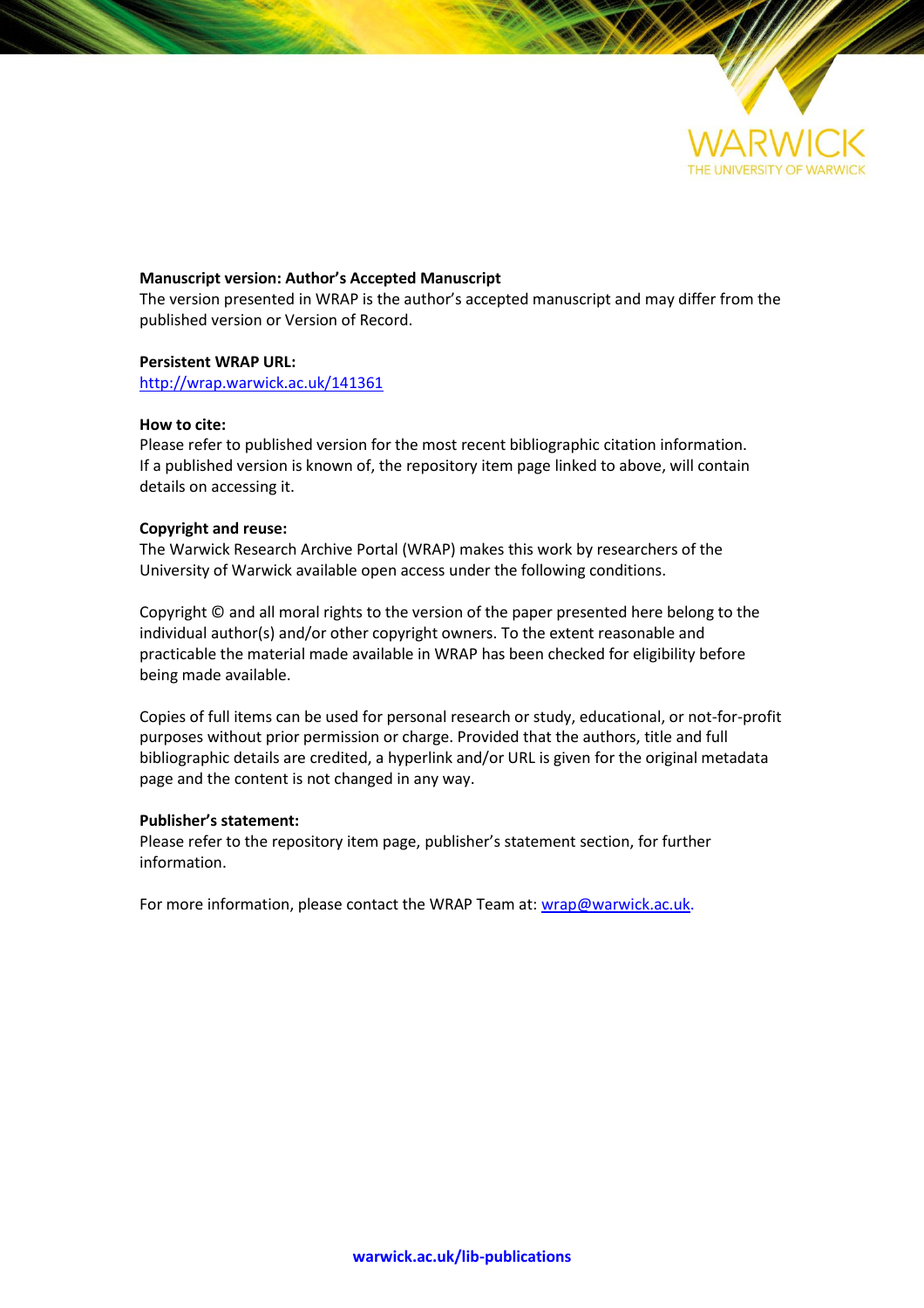

# **Manuscript version: Author's Accepted Manuscript**

The version presented in WRAP is the author's accepted manuscript and may differ from the published version or Version of Record.

## **Persistent WRAP URL:**

<http://wrap.warwick.ac.uk/141361>

## **How to cite:**

Please refer to published version for the most recent bibliographic citation information. If a published version is known of, the repository item page linked to above, will contain details on accessing it.

## **Copyright and reuse:**

The Warwick Research Archive Portal (WRAP) makes this work by researchers of the University of Warwick available open access under the following conditions.

Copyright © and all moral rights to the version of the paper presented here belong to the individual author(s) and/or other copyright owners. To the extent reasonable and practicable the material made available in WRAP has been checked for eligibility before being made available.

Copies of full items can be used for personal research or study, educational, or not-for-profit purposes without prior permission or charge. Provided that the authors, title and full bibliographic details are credited, a hyperlink and/or URL is given for the original metadata page and the content is not changed in any way.

## **Publisher's statement:**

Please refer to the repository item page, publisher's statement section, for further information.

For more information, please contact the WRAP Team at[: wrap@warwick.ac.uk.](mailto:wrap@warwick.ac.uk)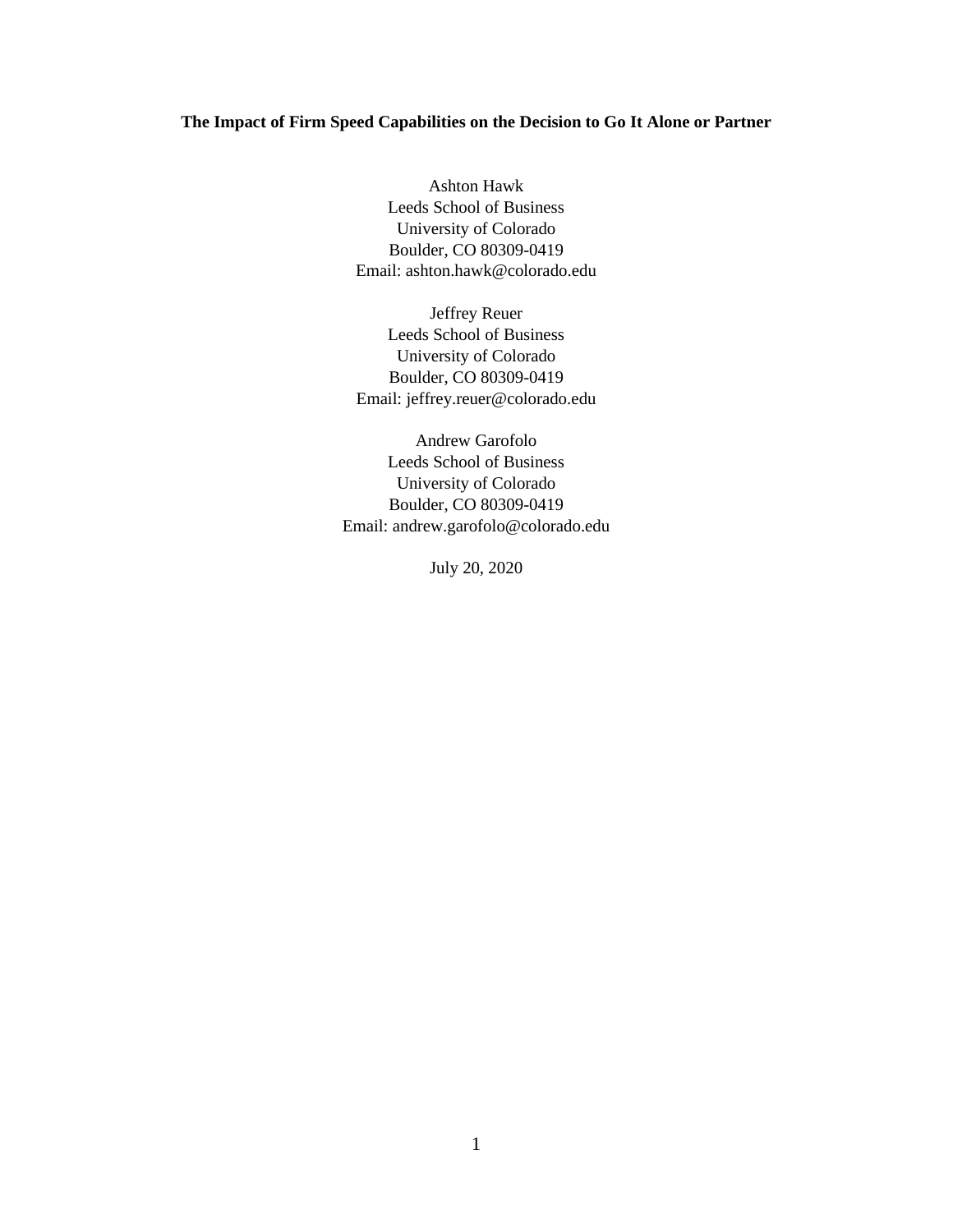# **The Impact of Firm Speed Capabilities on the Decision to Go It Alone or Partner**

Ashton Hawk Leeds School of Business University of Colorado Boulder, CO 80309-0419 Email: ashton.hawk@colorado.edu

Jeffrey Reuer Leeds School of Business University of Colorado Boulder, CO 80309-0419 Email: jeffrey.reuer@colorado.edu

Andrew Garofolo Leeds School of Business University of Colorado Boulder, CO 80309-0419 Email: andrew.garofolo@colorado.edu

July 20, 2020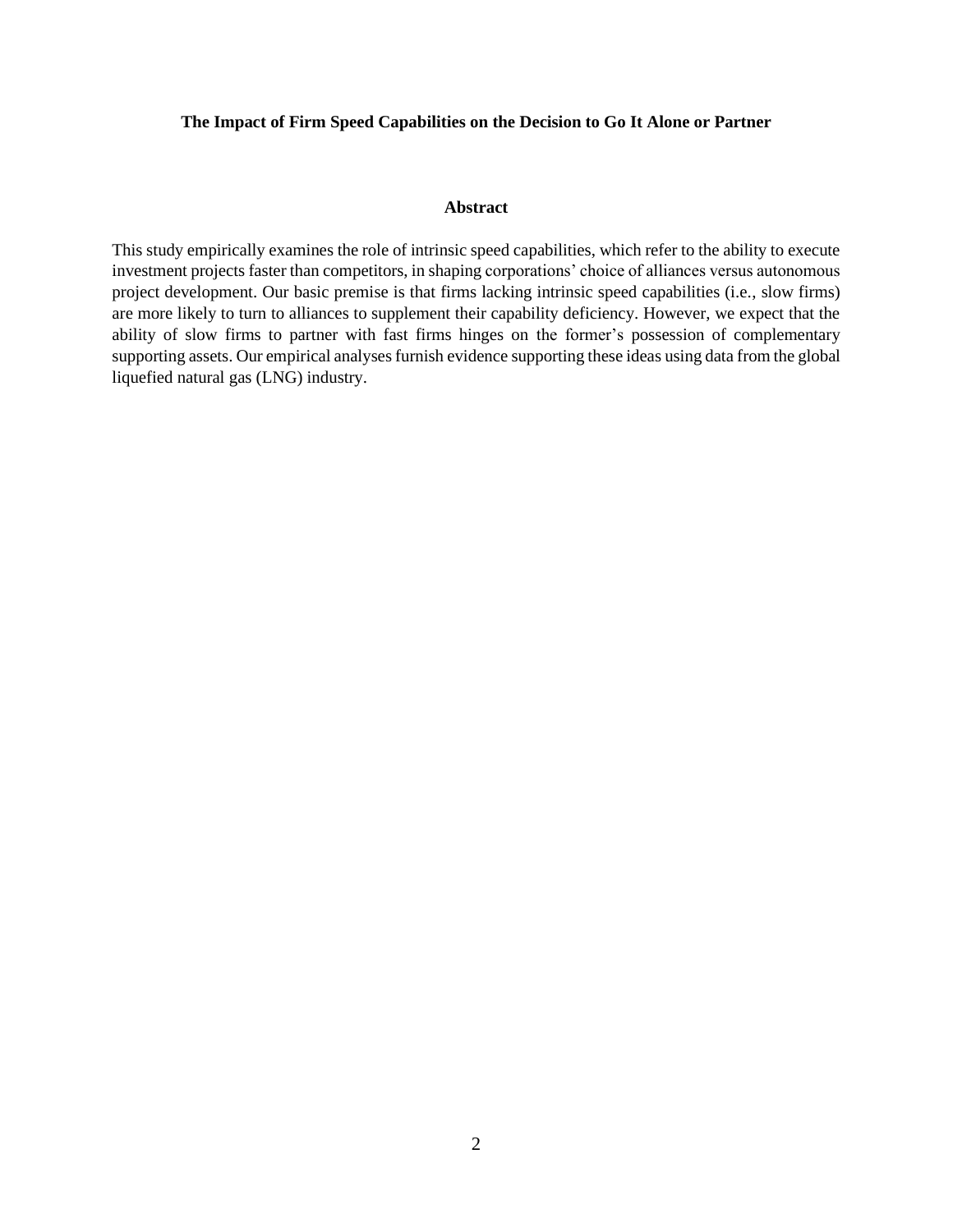# **The Impact of Firm Speed Capabilities on the Decision to Go It Alone or Partner**

# **Abstract**

This study empirically examines the role of intrinsic speed capabilities, which refer to the ability to execute investment projects faster than competitors, in shaping corporations' choice of alliances versus autonomous project development. Our basic premise is that firms lacking intrinsic speed capabilities (i.e., slow firms) are more likely to turn to alliances to supplement their capability deficiency. However, we expect that the ability of slow firms to partner with fast firms hinges on the former's possession of complementary supporting assets. Our empirical analyses furnish evidence supporting these ideas using data from the global liquefied natural gas (LNG) industry.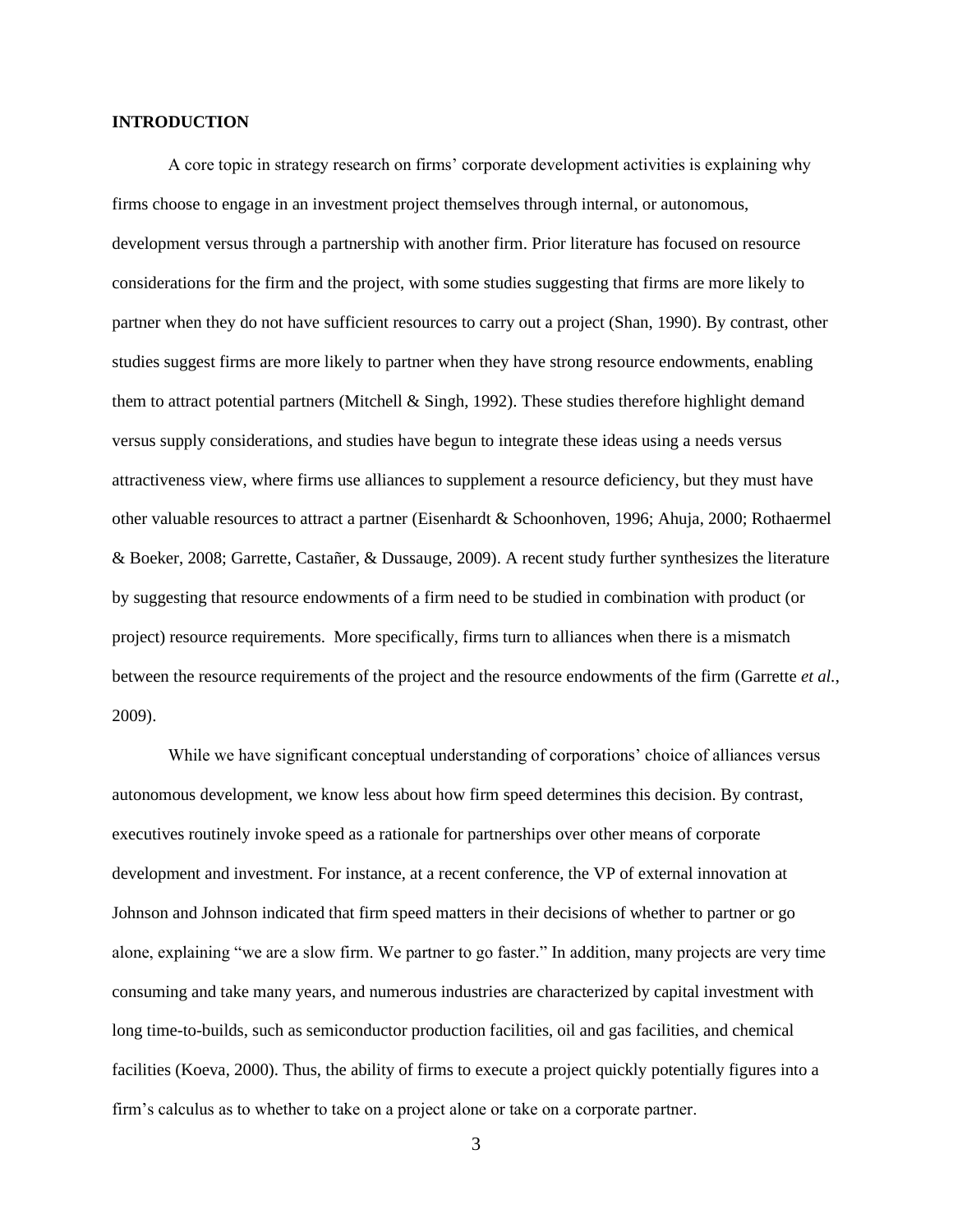## **INTRODUCTION**

A core topic in strategy research on firms' corporate development activities is explaining why firms choose to engage in an investment project themselves through internal, or autonomous, development versus through a partnership with another firm. Prior literature has focused on resource considerations for the firm and the project, with some studies suggesting that firms are more likely to partner when they do not have sufficient resources to carry out a project (Shan, 1990). By contrast, other studies suggest firms are more likely to partner when they have strong resource endowments, enabling them to attract potential partners (Mitchell & Singh, 1992). These studies therefore highlight demand versus supply considerations, and studies have begun to integrate these ideas using a needs versus attractiveness view, where firms use alliances to supplement a resource deficiency, but they must have other valuable resources to attract a partner (Eisenhardt & Schoonhoven, 1996; Ahuja, 2000; Rothaermel & Boeker, 2008; Garrette, Castañer, & Dussauge, 2009). A recent study further synthesizes the literature by suggesting that resource endowments of a firm need to be studied in combination with product (or project) resource requirements. More specifically, firms turn to alliances when there is a mismatch between the resource requirements of the project and the resource endowments of the firm (Garrette *et al.*, 2009).

While we have significant conceptual understanding of corporations' choice of alliances versus autonomous development, we know less about how firm speed determines this decision. By contrast, executives routinely invoke speed as a rationale for partnerships over other means of corporate development and investment. For instance, at a recent conference, the VP of external innovation at Johnson and Johnson indicated that firm speed matters in their decisions of whether to partner or go alone, explaining "we are a slow firm. We partner to go faster." In addition, many projects are very time consuming and take many years, and numerous industries are characterized by capital investment with long time-to-builds, such as semiconductor production facilities, oil and gas facilities, and chemical facilities (Koeva, 2000). Thus, the ability of firms to execute a project quickly potentially figures into a firm's calculus as to whether to take on a project alone or take on a corporate partner.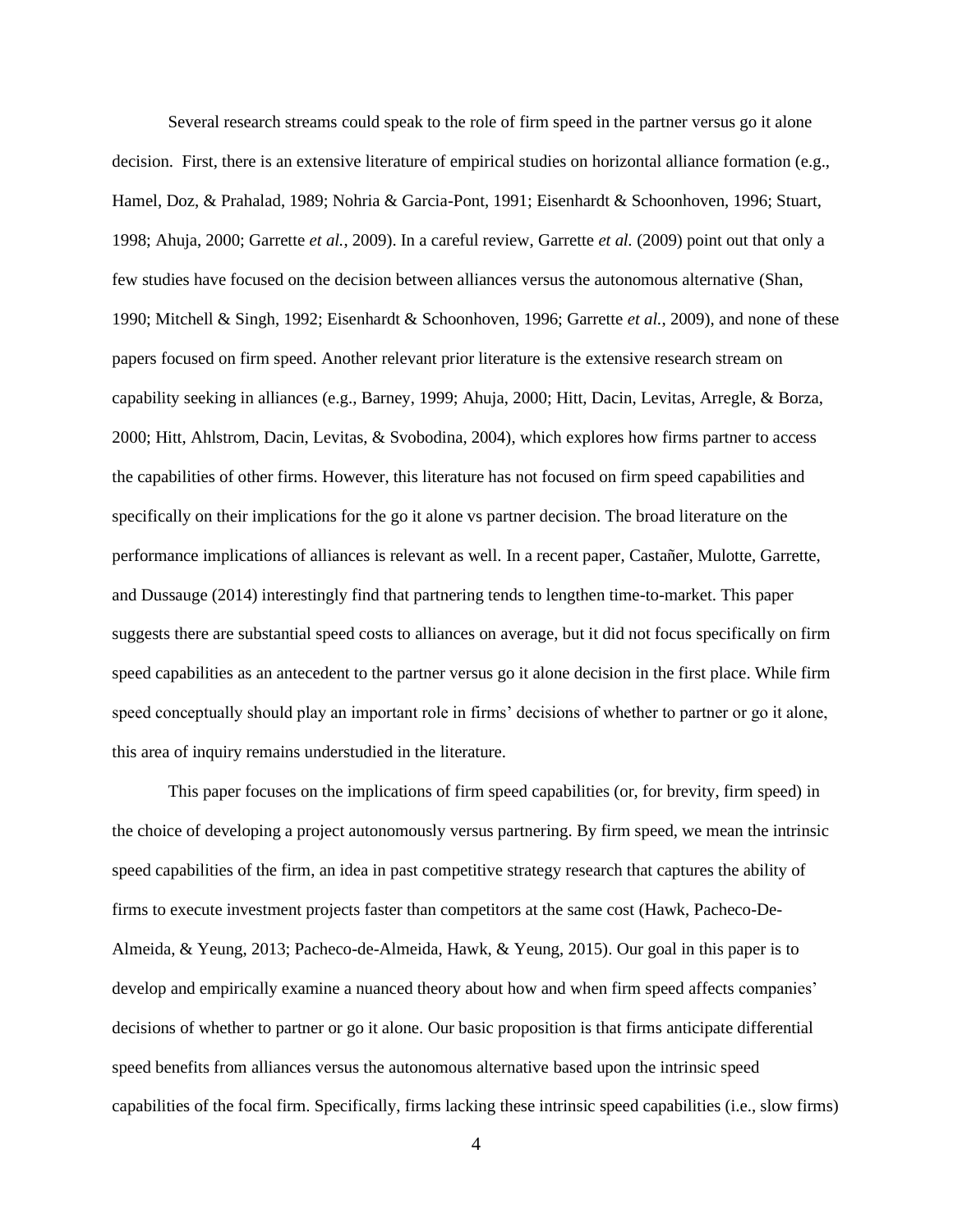Several research streams could speak to the role of firm speed in the partner versus go it alone decision. First, there is an extensive literature of empirical studies on horizontal alliance formation (e.g., Hamel, Doz, & Prahalad, 1989; Nohria & Garcia-Pont, 1991; Eisenhardt & Schoonhoven, 1996; Stuart, 1998; Ahuja, 2000; Garrette *et al.*, 2009). In a careful review, Garrette *et al.* (2009) point out that only a few studies have focused on the decision between alliances versus the autonomous alternative (Shan, 1990; Mitchell & Singh, 1992; Eisenhardt & Schoonhoven, 1996; Garrette *et al.*, 2009), and none of these papers focused on firm speed. Another relevant prior literature is the extensive research stream on capability seeking in alliances (e.g., Barney, 1999; Ahuja, 2000; Hitt, Dacin, Levitas, Arregle, & Borza, 2000; Hitt, Ahlstrom, Dacin, Levitas, & Svobodina, 2004), which explores how firms partner to access the capabilities of other firms. However, this literature has not focused on firm speed capabilities and specifically on their implications for the go it alone vs partner decision. The broad literature on the performance implications of alliances is relevant as well. In a recent paper, Castañer, Mulotte, Garrette, and Dussauge (2014) interestingly find that partnering tends to lengthen time-to-market. This paper suggests there are substantial speed costs to alliances on average, but it did not focus specifically on firm speed capabilities as an antecedent to the partner versus go it alone decision in the first place. While firm speed conceptually should play an important role in firms' decisions of whether to partner or go it alone, this area of inquiry remains understudied in the literature.

This paper focuses on the implications of firm speed capabilities (or, for brevity, firm speed) in the choice of developing a project autonomously versus partnering. By firm speed, we mean the intrinsic speed capabilities of the firm, an idea in past competitive strategy research that captures the ability of firms to execute investment projects faster than competitors at the same cost (Hawk, Pacheco-De-Almeida, & Yeung, 2013; Pacheco-de-Almeida, Hawk, & Yeung, 2015). Our goal in this paper is to develop and empirically examine a nuanced theory about how and when firm speed affects companies' decisions of whether to partner or go it alone. Our basic proposition is that firms anticipate differential speed benefits from alliances versus the autonomous alternative based upon the intrinsic speed capabilities of the focal firm. Specifically, firms lacking these intrinsic speed capabilities (i.e., slow firms)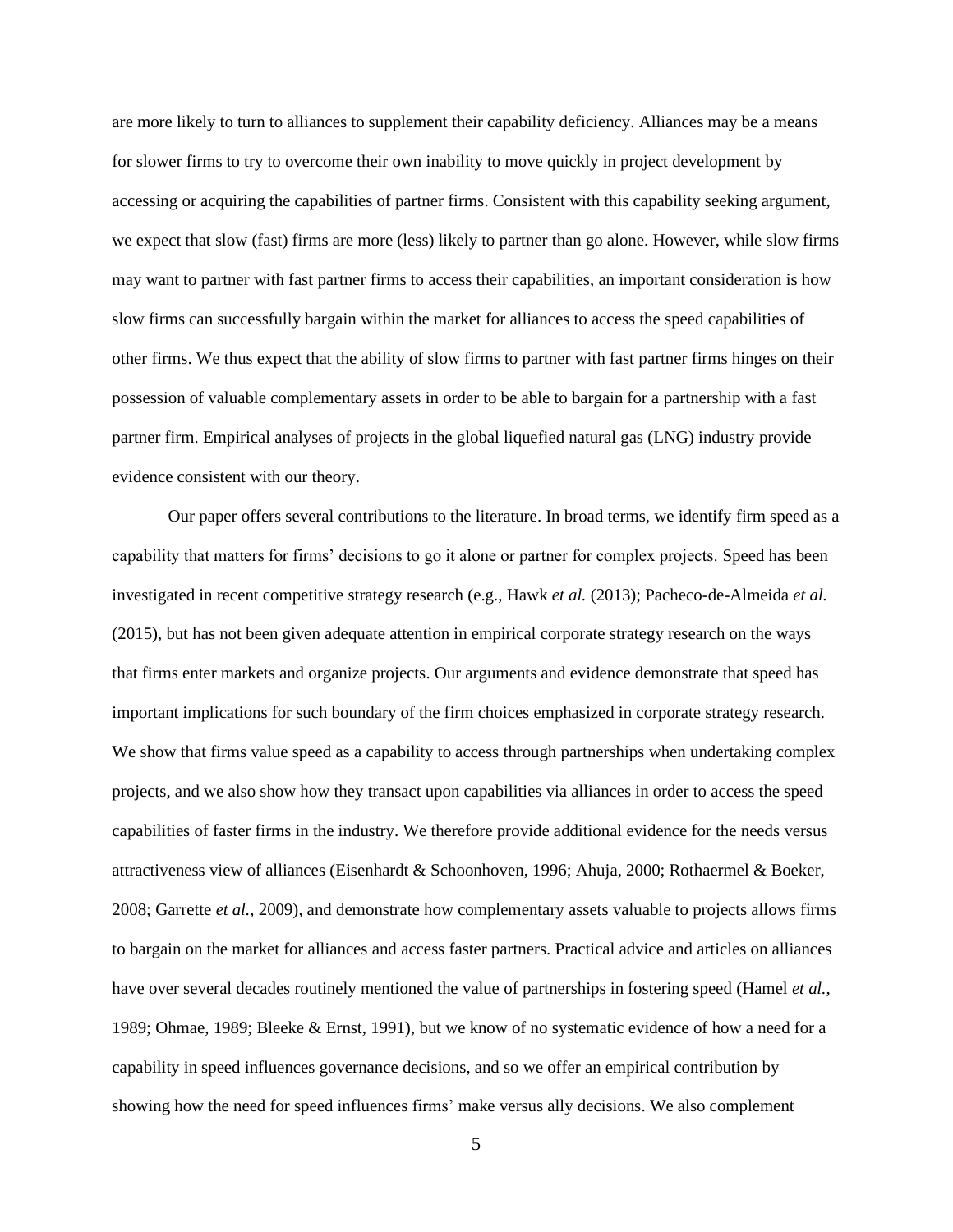are more likely to turn to alliances to supplement their capability deficiency. Alliances may be a means for slower firms to try to overcome their own inability to move quickly in project development by accessing or acquiring the capabilities of partner firms. Consistent with this capability seeking argument, we expect that slow (fast) firms are more (less) likely to partner than go alone. However, while slow firms may want to partner with fast partner firms to access their capabilities, an important consideration is how slow firms can successfully bargain within the market for alliances to access the speed capabilities of other firms. We thus expect that the ability of slow firms to partner with fast partner firms hinges on their possession of valuable complementary assets in order to be able to bargain for a partnership with a fast partner firm. Empirical analyses of projects in the global liquefied natural gas (LNG) industry provide evidence consistent with our theory.

Our paper offers several contributions to the literature. In broad terms, we identify firm speed as a capability that matters for firms' decisions to go it alone or partner for complex projects. Speed has been investigated in recent competitive strategy research (e.g., Hawk *et al.* (2013); Pacheco-de-Almeida *et al.* (2015), but has not been given adequate attention in empirical corporate strategy research on the ways that firms enter markets and organize projects. Our arguments and evidence demonstrate that speed has important implications for such boundary of the firm choices emphasized in corporate strategy research. We show that firms value speed as a capability to access through partnerships when undertaking complex projects, and we also show how they transact upon capabilities via alliances in order to access the speed capabilities of faster firms in the industry. We therefore provide additional evidence for the needs versus attractiveness view of alliances (Eisenhardt & Schoonhoven, 1996; Ahuja, 2000; Rothaermel & Boeker, 2008; Garrette *et al.*, 2009), and demonstrate how complementary assets valuable to projects allows firms to bargain on the market for alliances and access faster partners. Practical advice and articles on alliances have over several decades routinely mentioned the value of partnerships in fostering speed (Hamel *et al.*, 1989; Ohmae, 1989; Bleeke & Ernst, 1991), but we know of no systematic evidence of how a need for a capability in speed influences governance decisions, and so we offer an empirical contribution by showing how the need for speed influences firms' make versus ally decisions. We also complement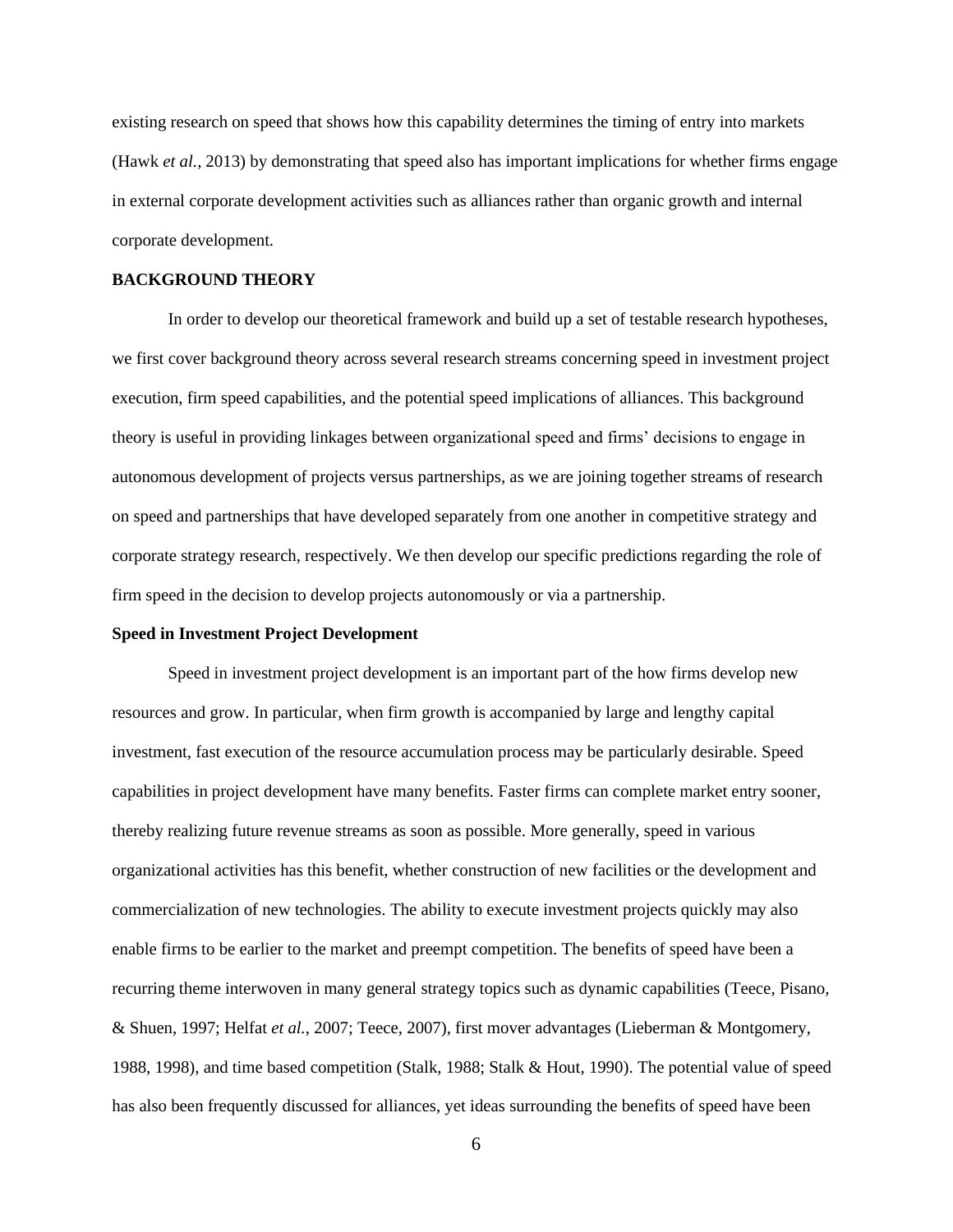existing research on speed that shows how this capability determines the timing of entry into markets (Hawk *et al.*, 2013) by demonstrating that speed also has important implications for whether firms engage in external corporate development activities such as alliances rather than organic growth and internal corporate development.

## **BACKGROUND THEORY**

In order to develop our theoretical framework and build up a set of testable research hypotheses, we first cover background theory across several research streams concerning speed in investment project execution, firm speed capabilities, and the potential speed implications of alliances. This background theory is useful in providing linkages between organizational speed and firms' decisions to engage in autonomous development of projects versus partnerships, as we are joining together streams of research on speed and partnerships that have developed separately from one another in competitive strategy and corporate strategy research, respectively. We then develop our specific predictions regarding the role of firm speed in the decision to develop projects autonomously or via a partnership.

## **Speed in Investment Project Development**

Speed in investment project development is an important part of the how firms develop new resources and grow. In particular, when firm growth is accompanied by large and lengthy capital investment, fast execution of the resource accumulation process may be particularly desirable. Speed capabilities in project development have many benefits. Faster firms can complete market entry sooner, thereby realizing future revenue streams as soon as possible. More generally, speed in various organizational activities has this benefit, whether construction of new facilities or the development and commercialization of new technologies. The ability to execute investment projects quickly may also enable firms to be earlier to the market and preempt competition. The benefits of speed have been a recurring theme interwoven in many general strategy topics such as dynamic capabilities (Teece, Pisano, & Shuen, 1997; Helfat *et al.*, 2007; Teece, 2007), first mover advantages (Lieberman & Montgomery, 1988, 1998), and time based competition (Stalk, 1988; Stalk & Hout, 1990). The potential value of speed has also been frequently discussed for alliances, yet ideas surrounding the benefits of speed have been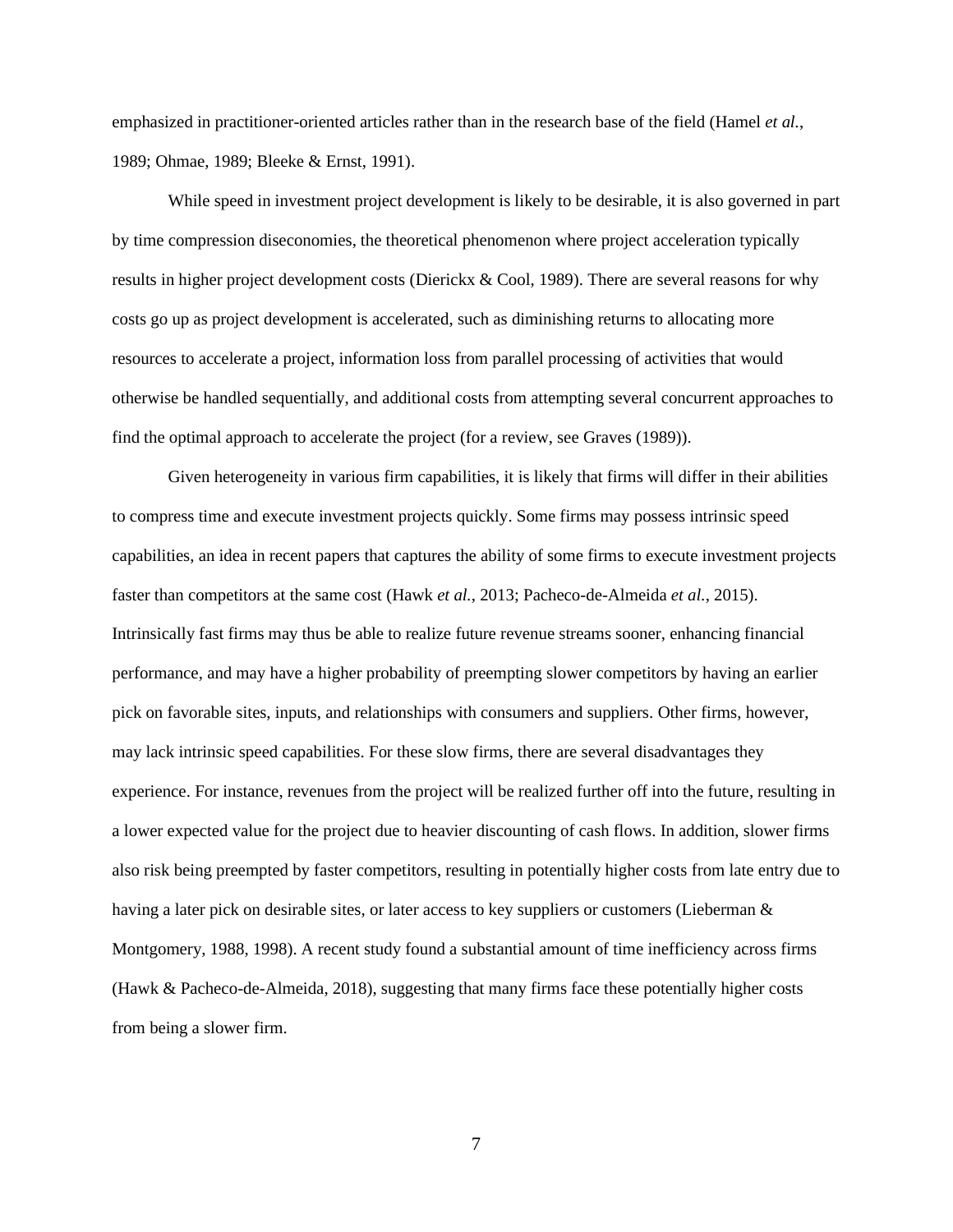emphasized in practitioner-oriented articles rather than in the research base of the field (Hamel *et al.*, 1989; Ohmae, 1989; Bleeke & Ernst, 1991).

While speed in investment project development is likely to be desirable, it is also governed in part by time compression diseconomies, the theoretical phenomenon where project acceleration typically results in higher project development costs (Dierickx & Cool, 1989). There are several reasons for why costs go up as project development is accelerated, such as diminishing returns to allocating more resources to accelerate a project, information loss from parallel processing of activities that would otherwise be handled sequentially, and additional costs from attempting several concurrent approaches to find the optimal approach to accelerate the project (for a review, see Graves (1989)).

Given heterogeneity in various firm capabilities, it is likely that firms will differ in their abilities to compress time and execute investment projects quickly. Some firms may possess intrinsic speed capabilities, an idea in recent papers that captures the ability of some firms to execute investment projects faster than competitors at the same cost (Hawk *et al.*, 2013; Pacheco-de-Almeida *et al.*, 2015). Intrinsically fast firms may thus be able to realize future revenue streams sooner, enhancing financial performance, and may have a higher probability of preempting slower competitors by having an earlier pick on favorable sites, inputs, and relationships with consumers and suppliers. Other firms, however, may lack intrinsic speed capabilities. For these slow firms, there are several disadvantages they experience. For instance, revenues from the project will be realized further off into the future, resulting in a lower expected value for the project due to heavier discounting of cash flows. In addition, slower firms also risk being preempted by faster competitors, resulting in potentially higher costs from late entry due to having a later pick on desirable sites, or later access to key suppliers or customers (Lieberman & Montgomery, 1988, 1998). A recent study found a substantial amount of time inefficiency across firms (Hawk & Pacheco-de-Almeida, 2018), suggesting that many firms face these potentially higher costs from being a slower firm.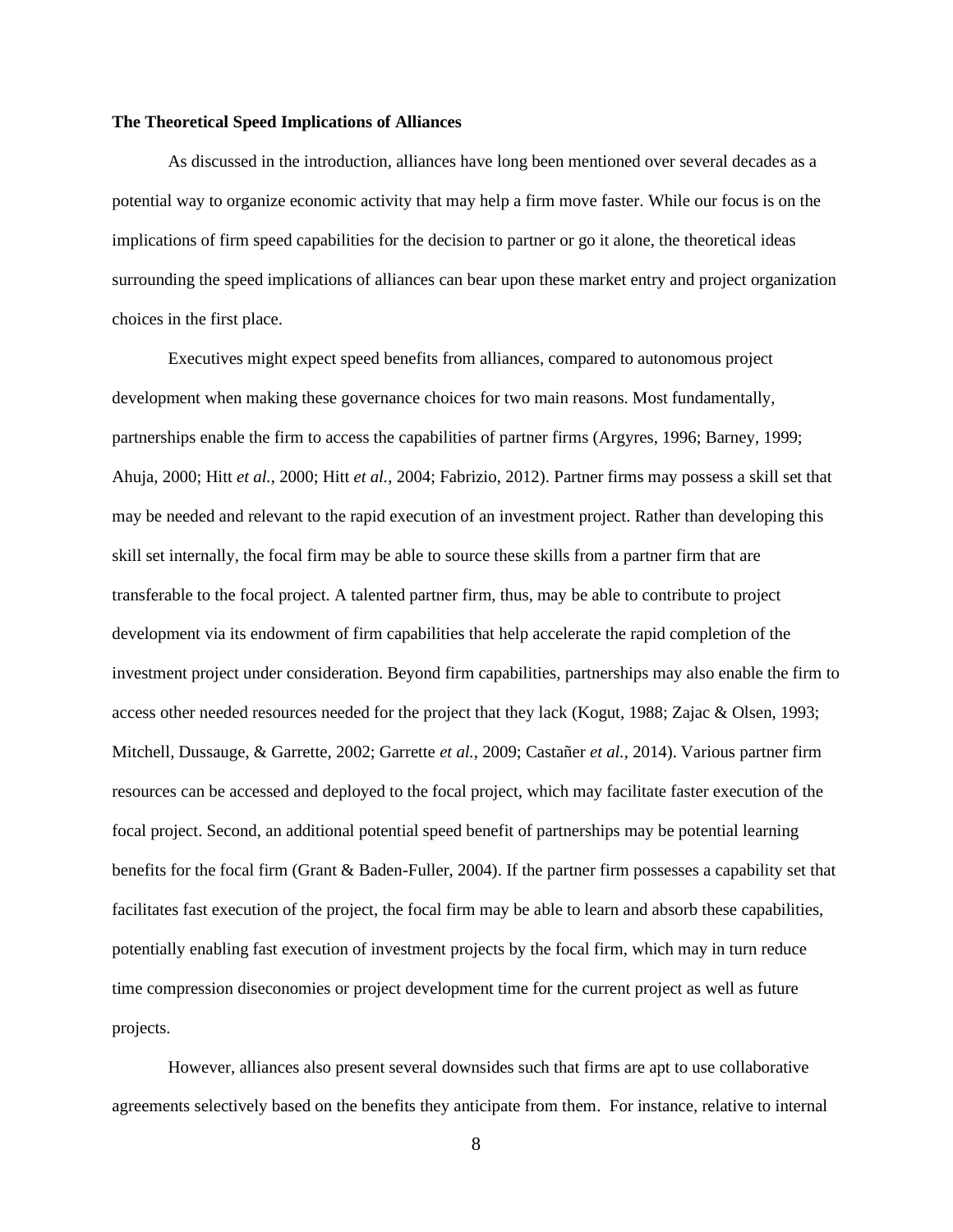## **The Theoretical Speed Implications of Alliances**

As discussed in the introduction, alliances have long been mentioned over several decades as a potential way to organize economic activity that may help a firm move faster. While our focus is on the implications of firm speed capabilities for the decision to partner or go it alone, the theoretical ideas surrounding the speed implications of alliances can bear upon these market entry and project organization choices in the first place.

Executives might expect speed benefits from alliances, compared to autonomous project development when making these governance choices for two main reasons. Most fundamentally, partnerships enable the firm to access the capabilities of partner firms (Argyres, 1996; Barney, 1999; Ahuja, 2000; Hitt *et al.*, 2000; Hitt *et al.*, 2004; Fabrizio, 2012). Partner firms may possess a skill set that may be needed and relevant to the rapid execution of an investment project. Rather than developing this skill set internally, the focal firm may be able to source these skills from a partner firm that are transferable to the focal project. A talented partner firm, thus, may be able to contribute to project development via its endowment of firm capabilities that help accelerate the rapid completion of the investment project under consideration. Beyond firm capabilities, partnerships may also enable the firm to access other needed resources needed for the project that they lack (Kogut, 1988; Zajac & Olsen, 1993; Mitchell, Dussauge, & Garrette, 2002; Garrette *et al.*, 2009; Castañer *et al.*, 2014). Various partner firm resources can be accessed and deployed to the focal project, which may facilitate faster execution of the focal project. Second, an additional potential speed benefit of partnerships may be potential learning benefits for the focal firm (Grant & Baden-Fuller, 2004). If the partner firm possesses a capability set that facilitates fast execution of the project, the focal firm may be able to learn and absorb these capabilities, potentially enabling fast execution of investment projects by the focal firm, which may in turn reduce time compression diseconomies or project development time for the current project as well as future projects.

However, alliances also present several downsides such that firms are apt to use collaborative agreements selectively based on the benefits they anticipate from them. For instance, relative to internal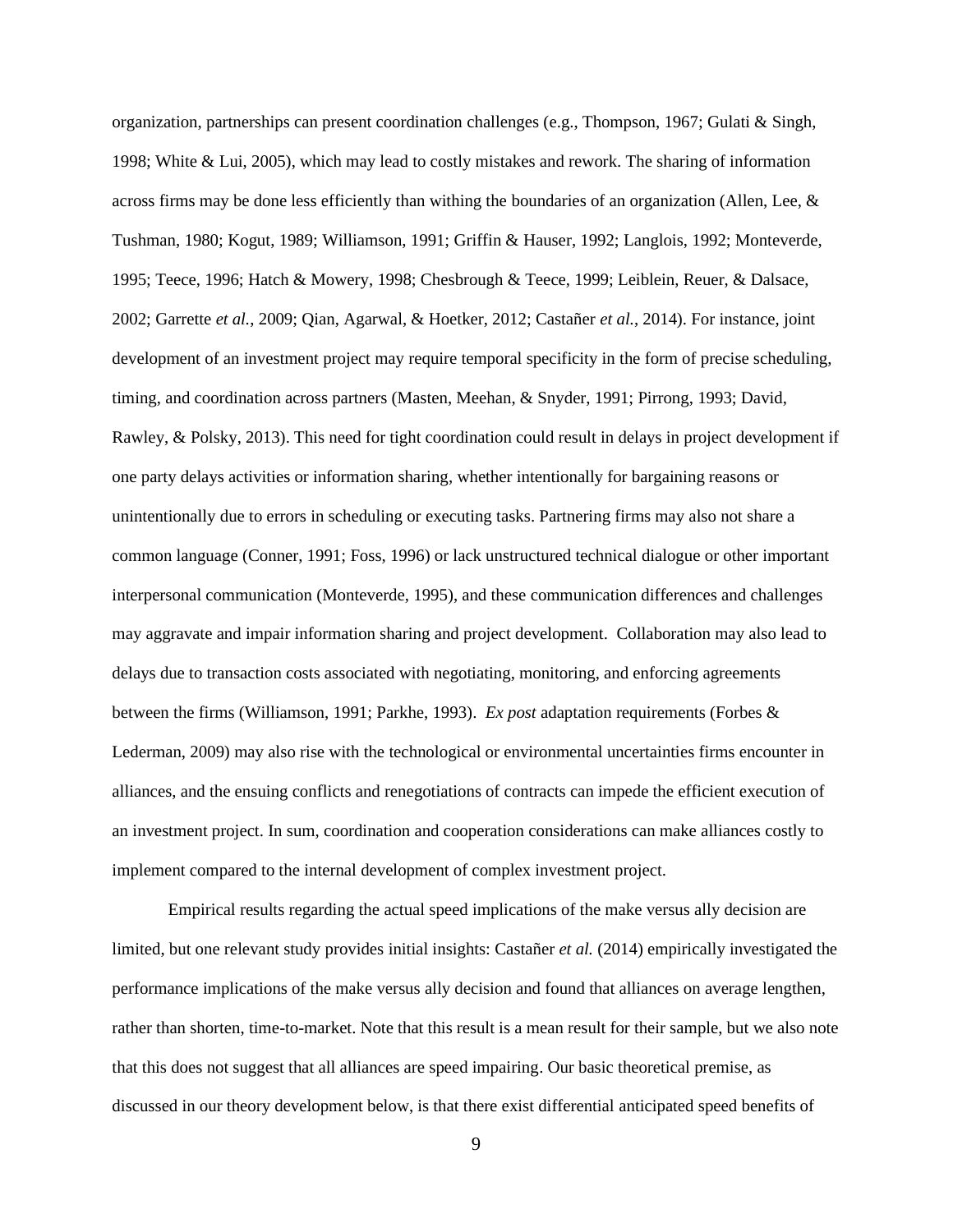organization, partnerships can present coordination challenges (e.g., Thompson, 1967; Gulati & Singh, 1998; White & Lui, 2005), which may lead to costly mistakes and rework. The sharing of information across firms may be done less efficiently than withing the boundaries of an organization (Allen, Lee,  $\&$ Tushman, 1980; Kogut, 1989; Williamson, 1991; Griffin & Hauser, 1992; Langlois, 1992; Monteverde, 1995; Teece, 1996; Hatch & Mowery, 1998; Chesbrough & Teece, 1999; Leiblein, Reuer, & Dalsace, 2002; Garrette *et al.*, 2009; Qian, Agarwal, & Hoetker, 2012; Castañer *et al.*, 2014). For instance, joint development of an investment project may require temporal specificity in the form of precise scheduling, timing, and coordination across partners (Masten, Meehan, & Snyder, 1991; Pirrong, 1993; David, Rawley, & Polsky, 2013). This need for tight coordination could result in delays in project development if one party delays activities or information sharing, whether intentionally for bargaining reasons or unintentionally due to errors in scheduling or executing tasks. Partnering firms may also not share a common language (Conner, 1991; Foss, 1996) or lack unstructured technical dialogue or other important interpersonal communication (Monteverde, 1995), and these communication differences and challenges may aggravate and impair information sharing and project development. Collaboration may also lead to delays due to transaction costs associated with negotiating, monitoring, and enforcing agreements between the firms (Williamson, 1991; Parkhe, 1993). *Ex post* adaptation requirements (Forbes & Lederman, 2009) may also rise with the technological or environmental uncertainties firms encounter in alliances, and the ensuing conflicts and renegotiations of contracts can impede the efficient execution of an investment project. In sum, coordination and cooperation considerations can make alliances costly to implement compared to the internal development of complex investment project.

Empirical results regarding the actual speed implications of the make versus ally decision are limited, but one relevant study provides initial insights: Castañer *et al.* (2014) empirically investigated the performance implications of the make versus ally decision and found that alliances on average lengthen, rather than shorten, time-to-market. Note that this result is a mean result for their sample, but we also note that this does not suggest that all alliances are speed impairing. Our basic theoretical premise, as discussed in our theory development below, is that there exist differential anticipated speed benefits of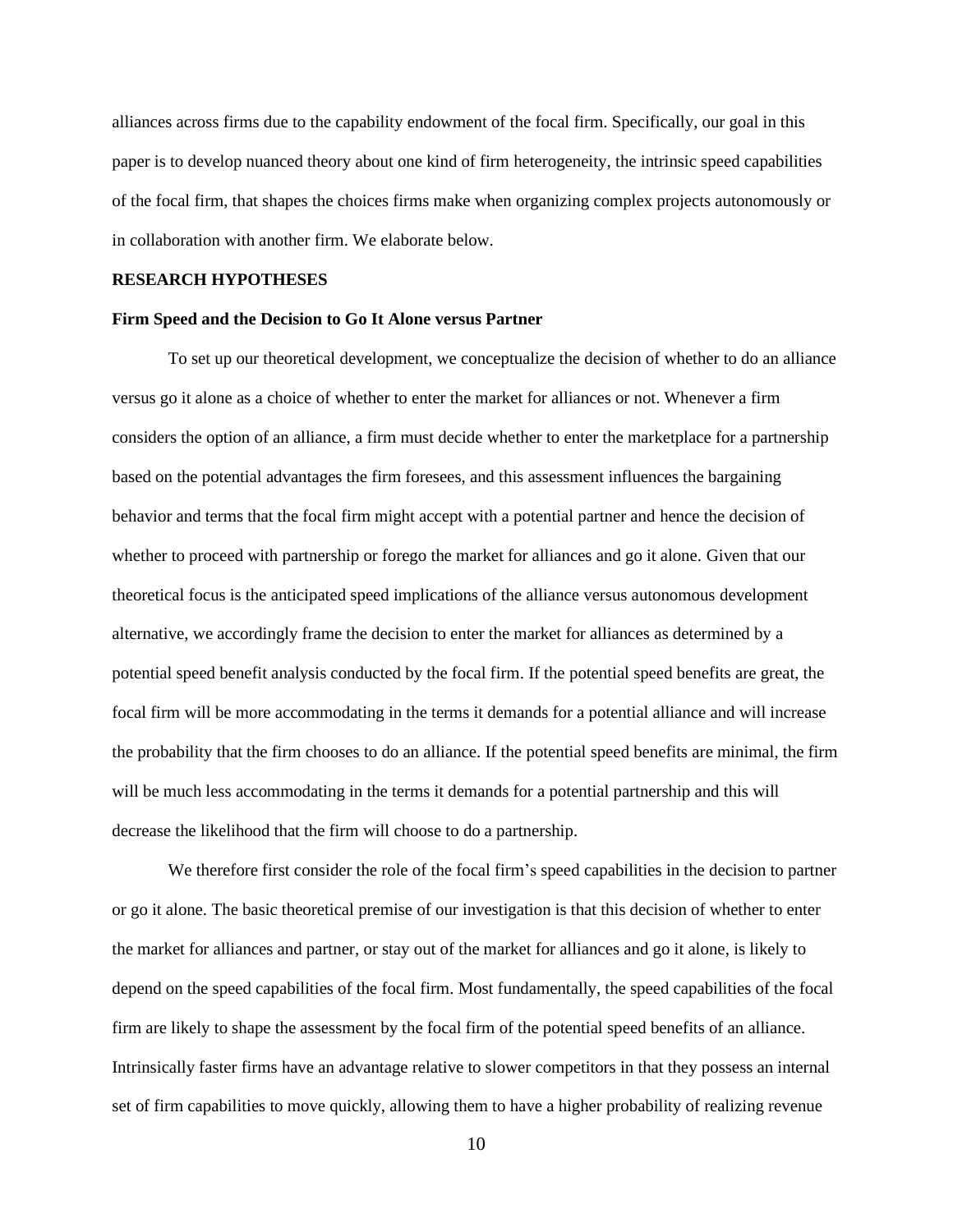alliances across firms due to the capability endowment of the focal firm. Specifically, our goal in this paper is to develop nuanced theory about one kind of firm heterogeneity, the intrinsic speed capabilities of the focal firm, that shapes the choices firms make when organizing complex projects autonomously or in collaboration with another firm. We elaborate below.

#### **RESEARCH HYPOTHESES**

#### **Firm Speed and the Decision to Go It Alone versus Partner**

To set up our theoretical development, we conceptualize the decision of whether to do an alliance versus go it alone as a choice of whether to enter the market for alliances or not. Whenever a firm considers the option of an alliance, a firm must decide whether to enter the marketplace for a partnership based on the potential advantages the firm foresees, and this assessment influences the bargaining behavior and terms that the focal firm might accept with a potential partner and hence the decision of whether to proceed with partnership or forego the market for alliances and go it alone. Given that our theoretical focus is the anticipated speed implications of the alliance versus autonomous development alternative, we accordingly frame the decision to enter the market for alliances as determined by a potential speed benefit analysis conducted by the focal firm. If the potential speed benefits are great, the focal firm will be more accommodating in the terms it demands for a potential alliance and will increase the probability that the firm chooses to do an alliance. If the potential speed benefits are minimal, the firm will be much less accommodating in the terms it demands for a potential partnership and this will decrease the likelihood that the firm will choose to do a partnership.

We therefore first consider the role of the focal firm's speed capabilities in the decision to partner or go it alone. The basic theoretical premise of our investigation is that this decision of whether to enter the market for alliances and partner, or stay out of the market for alliances and go it alone, is likely to depend on the speed capabilities of the focal firm. Most fundamentally, the speed capabilities of the focal firm are likely to shape the assessment by the focal firm of the potential speed benefits of an alliance. Intrinsically faster firms have an advantage relative to slower competitors in that they possess an internal set of firm capabilities to move quickly, allowing them to have a higher probability of realizing revenue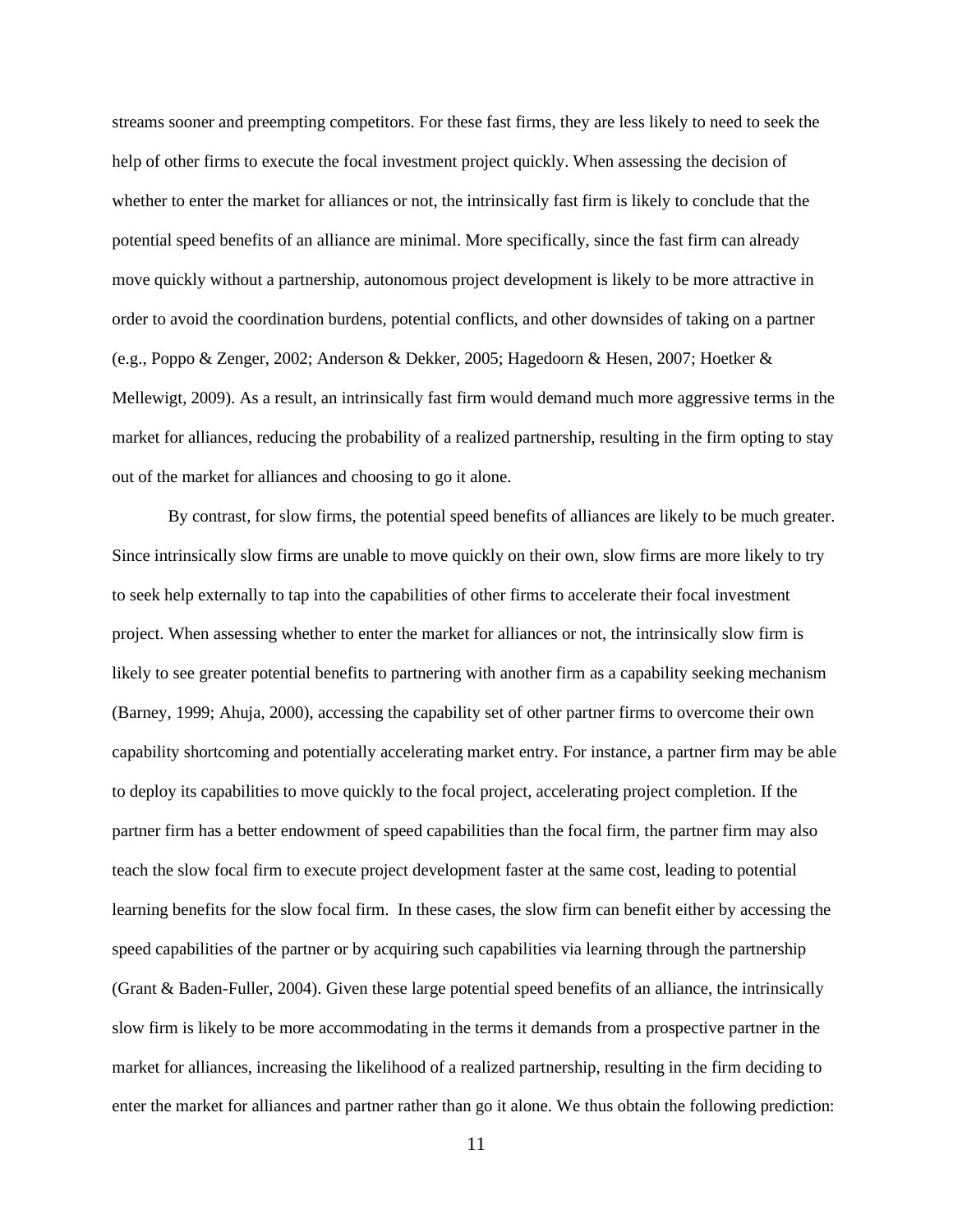streams sooner and preempting competitors. For these fast firms, they are less likely to need to seek the help of other firms to execute the focal investment project quickly. When assessing the decision of whether to enter the market for alliances or not, the intrinsically fast firm is likely to conclude that the potential speed benefits of an alliance are minimal. More specifically, since the fast firm can already move quickly without a partnership, autonomous project development is likely to be more attractive in order to avoid the coordination burdens, potential conflicts, and other downsides of taking on a partner (e.g., Poppo & Zenger, 2002; Anderson & Dekker, 2005; Hagedoorn & Hesen, 2007; Hoetker & Mellewigt, 2009). As a result, an intrinsically fast firm would demand much more aggressive terms in the market for alliances, reducing the probability of a realized partnership, resulting in the firm opting to stay out of the market for alliances and choosing to go it alone.

By contrast, for slow firms, the potential speed benefits of alliances are likely to be much greater. Since intrinsically slow firms are unable to move quickly on their own, slow firms are more likely to try to seek help externally to tap into the capabilities of other firms to accelerate their focal investment project. When assessing whether to enter the market for alliances or not, the intrinsically slow firm is likely to see greater potential benefits to partnering with another firm as a capability seeking mechanism (Barney, 1999; Ahuja, 2000), accessing the capability set of other partner firms to overcome their own capability shortcoming and potentially accelerating market entry. For instance, a partner firm may be able to deploy its capabilities to move quickly to the focal project, accelerating project completion. If the partner firm has a better endowment of speed capabilities than the focal firm, the partner firm may also teach the slow focal firm to execute project development faster at the same cost, leading to potential learning benefits for the slow focal firm. In these cases, the slow firm can benefit either by accessing the speed capabilities of the partner or by acquiring such capabilities via learning through the partnership (Grant & Baden-Fuller, 2004). Given these large potential speed benefits of an alliance, the intrinsically slow firm is likely to be more accommodating in the terms it demands from a prospective partner in the market for alliances, increasing the likelihood of a realized partnership, resulting in the firm deciding to enter the market for alliances and partner rather than go it alone. We thus obtain the following prediction: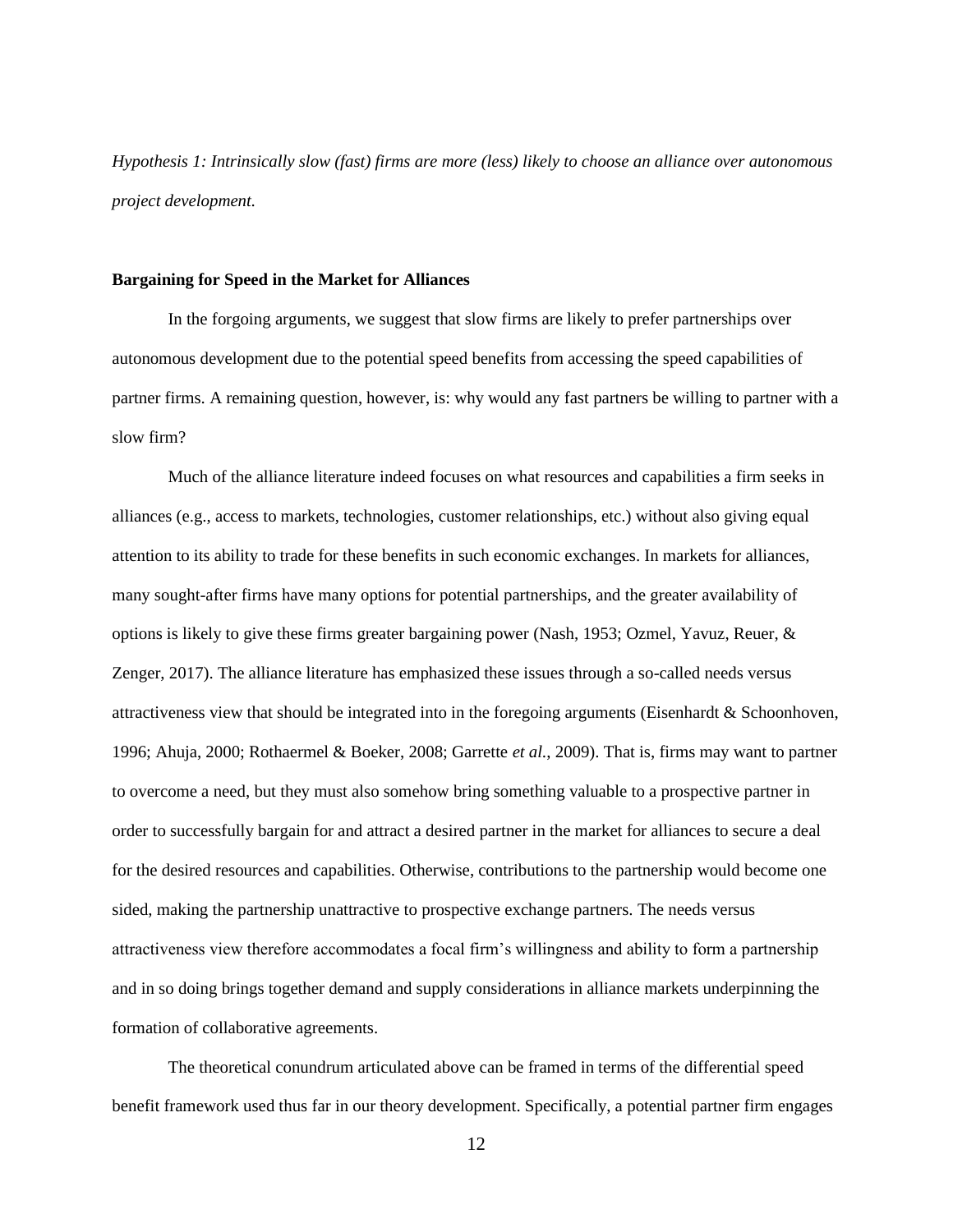*Hypothesis 1: Intrinsically slow (fast) firms are more (less) likely to choose an alliance over autonomous project development.*

## **Bargaining for Speed in the Market for Alliances**

In the forgoing arguments, we suggest that slow firms are likely to prefer partnerships over autonomous development due to the potential speed benefits from accessing the speed capabilities of partner firms. A remaining question, however, is: why would any fast partners be willing to partner with a slow firm?

Much of the alliance literature indeed focuses on what resources and capabilities a firm seeks in alliances (e.g., access to markets, technologies, customer relationships, etc.) without also giving equal attention to its ability to trade for these benefits in such economic exchanges. In markets for alliances, many sought-after firms have many options for potential partnerships, and the greater availability of options is likely to give these firms greater bargaining power (Nash, 1953; Ozmel, Yavuz, Reuer, & Zenger, 2017). The alliance literature has emphasized these issues through a so-called needs versus attractiveness view that should be integrated into in the foregoing arguments (Eisenhardt & Schoonhoven, 1996; Ahuja, 2000; Rothaermel & Boeker, 2008; Garrette *et al.*, 2009). That is, firms may want to partner to overcome a need, but they must also somehow bring something valuable to a prospective partner in order to successfully bargain for and attract a desired partner in the market for alliances to secure a deal for the desired resources and capabilities. Otherwise, contributions to the partnership would become one sided, making the partnership unattractive to prospective exchange partners. The needs versus attractiveness view therefore accommodates a focal firm's willingness and ability to form a partnership and in so doing brings together demand and supply considerations in alliance markets underpinning the formation of collaborative agreements.

The theoretical conundrum articulated above can be framed in terms of the differential speed benefit framework used thus far in our theory development. Specifically, a potential partner firm engages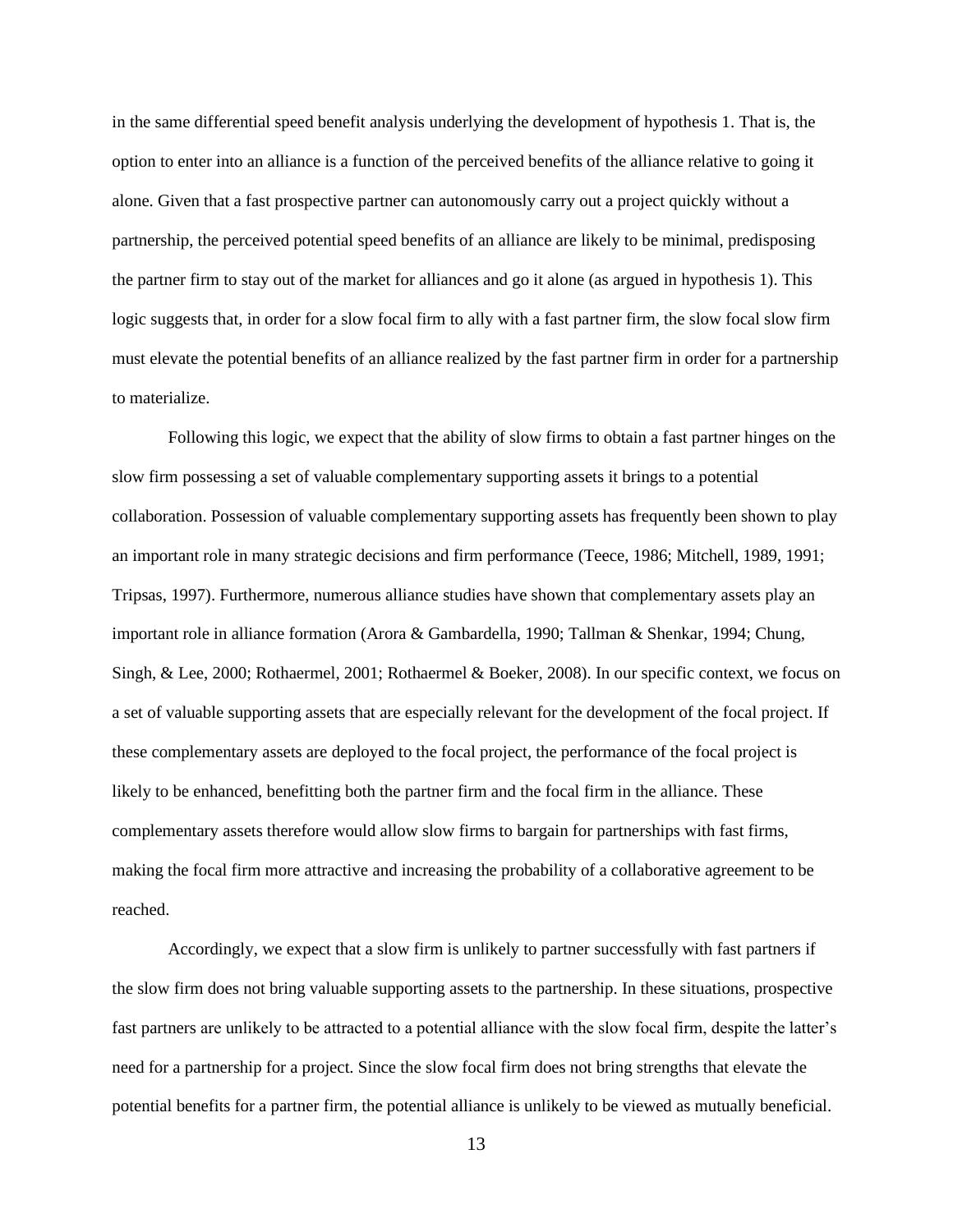in the same differential speed benefit analysis underlying the development of hypothesis 1. That is, the option to enter into an alliance is a function of the perceived benefits of the alliance relative to going it alone. Given that a fast prospective partner can autonomously carry out a project quickly without a partnership, the perceived potential speed benefits of an alliance are likely to be minimal, predisposing the partner firm to stay out of the market for alliances and go it alone (as argued in hypothesis 1). This logic suggests that, in order for a slow focal firm to ally with a fast partner firm, the slow focal slow firm must elevate the potential benefits of an alliance realized by the fast partner firm in order for a partnership to materialize.

Following this logic, we expect that the ability of slow firms to obtain a fast partner hinges on the slow firm possessing a set of valuable complementary supporting assets it brings to a potential collaboration. Possession of valuable complementary supporting assets has frequently been shown to play an important role in many strategic decisions and firm performance (Teece, 1986; Mitchell, 1989, 1991; Tripsas, 1997). Furthermore, numerous alliance studies have shown that complementary assets play an important role in alliance formation (Arora & Gambardella, 1990; Tallman & Shenkar, 1994; Chung, Singh, & Lee, 2000; Rothaermel, 2001; Rothaermel & Boeker, 2008). In our specific context, we focus on a set of valuable supporting assets that are especially relevant for the development of the focal project. If these complementary assets are deployed to the focal project, the performance of the focal project is likely to be enhanced, benefitting both the partner firm and the focal firm in the alliance. These complementary assets therefore would allow slow firms to bargain for partnerships with fast firms, making the focal firm more attractive and increasing the probability of a collaborative agreement to be reached.

Accordingly, we expect that a slow firm is unlikely to partner successfully with fast partners if the slow firm does not bring valuable supporting assets to the partnership. In these situations, prospective fast partners are unlikely to be attracted to a potential alliance with the slow focal firm, despite the latter's need for a partnership for a project. Since the slow focal firm does not bring strengths that elevate the potential benefits for a partner firm, the potential alliance is unlikely to be viewed as mutually beneficial.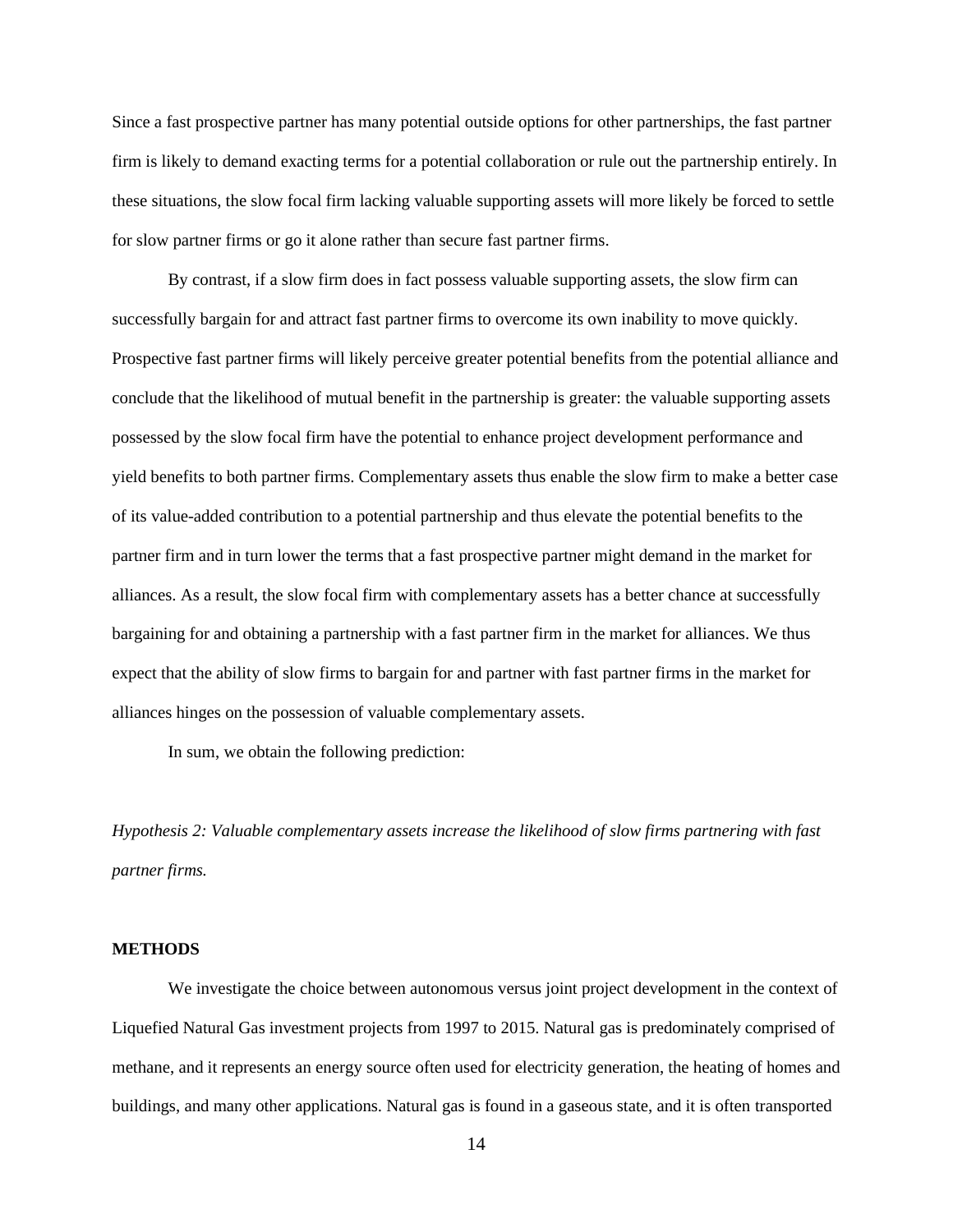Since a fast prospective partner has many potential outside options for other partnerships, the fast partner firm is likely to demand exacting terms for a potential collaboration or rule out the partnership entirely. In these situations, the slow focal firm lacking valuable supporting assets will more likely be forced to settle for slow partner firms or go it alone rather than secure fast partner firms.

By contrast, if a slow firm does in fact possess valuable supporting assets, the slow firm can successfully bargain for and attract fast partner firms to overcome its own inability to move quickly. Prospective fast partner firms will likely perceive greater potential benefits from the potential alliance and conclude that the likelihood of mutual benefit in the partnership is greater: the valuable supporting assets possessed by the slow focal firm have the potential to enhance project development performance and yield benefits to both partner firms. Complementary assets thus enable the slow firm to make a better case of its value-added contribution to a potential partnership and thus elevate the potential benefits to the partner firm and in turn lower the terms that a fast prospective partner might demand in the market for alliances. As a result, the slow focal firm with complementary assets has a better chance at successfully bargaining for and obtaining a partnership with a fast partner firm in the market for alliances. We thus expect that the ability of slow firms to bargain for and partner with fast partner firms in the market for alliances hinges on the possession of valuable complementary assets.

In sum, we obtain the following prediction:

*Hypothesis 2: Valuable complementary assets increase the likelihood of slow firms partnering with fast partner firms.*

## **METHODS**

We investigate the choice between autonomous versus joint project development in the context of Liquefied Natural Gas investment projects from 1997 to 2015. Natural gas is predominately comprised of methane, and it represents an energy source often used for electricity generation, the heating of homes and buildings, and many other applications. Natural gas is found in a gaseous state, and it is often transported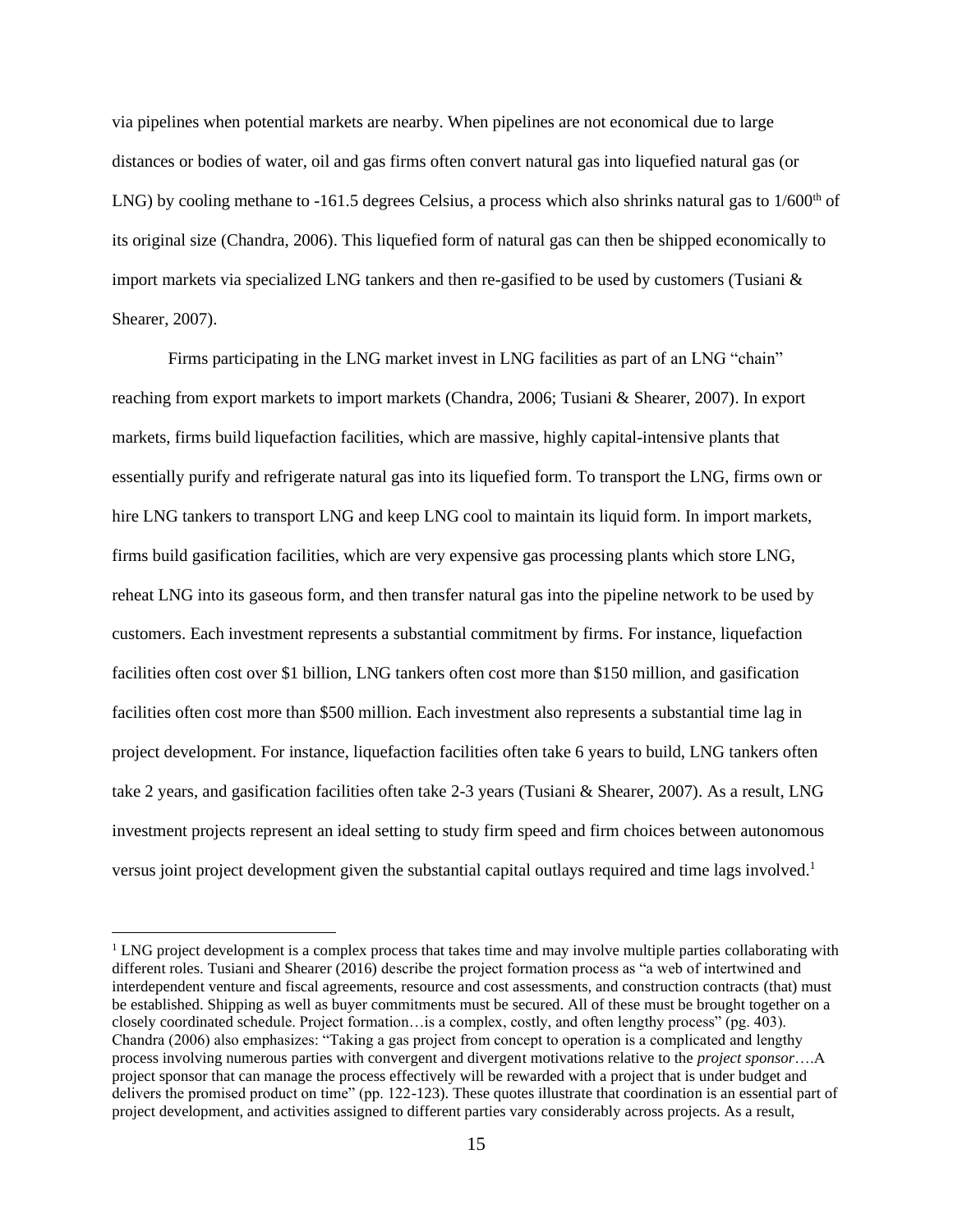via pipelines when potential markets are nearby. When pipelines are not economical due to large distances or bodies of water, oil and gas firms often convert natural gas into liquefied natural gas (or LNG) by cooling methane to  $-161.5$  degrees Celsius, a process which also shrinks natural gas to  $1/600<sup>th</sup>$  of its original size (Chandra, 2006). This liquefied form of natural gas can then be shipped economically to import markets via specialized LNG tankers and then re-gasified to be used by customers (Tusiani  $\&$ Shearer, 2007).

Firms participating in the LNG market invest in LNG facilities as part of an LNG "chain" reaching from export markets to import markets (Chandra, 2006; Tusiani & Shearer, 2007). In export markets, firms build liquefaction facilities, which are massive, highly capital-intensive plants that essentially purify and refrigerate natural gas into its liquefied form. To transport the LNG, firms own or hire LNG tankers to transport LNG and keep LNG cool to maintain its liquid form. In import markets, firms build gasification facilities, which are very expensive gas processing plants which store LNG, reheat LNG into its gaseous form, and then transfer natural gas into the pipeline network to be used by customers. Each investment represents a substantial commitment by firms. For instance, liquefaction facilities often cost over \$1 billion, LNG tankers often cost more than \$150 million, and gasification facilities often cost more than \$500 million. Each investment also represents a substantial time lag in project development. For instance, liquefaction facilities often take 6 years to build, LNG tankers often take 2 years, and gasification facilities often take 2-3 years (Tusiani & Shearer, 2007). As a result, LNG investment projects represent an ideal setting to study firm speed and firm choices between autonomous versus joint project development given the substantial capital outlays required and time lags involved.<sup>1</sup>

 $<sup>1</sup>$  LNG project development is a complex process that takes time and may involve multiple parties collaborating with</sup> different roles. Tusiani and Shearer (2016) describe the project formation process as "a web of intertwined and interdependent venture and fiscal agreements, resource and cost assessments, and construction contracts (that) must be established. Shipping as well as buyer commitments must be secured. All of these must be brought together on a closely coordinated schedule. Project formation…is a complex, costly, and often lengthy process" (pg. 403). Chandra (2006) also emphasizes: "Taking a gas project from concept to operation is a complicated and lengthy process involving numerous parties with convergent and divergent motivations relative to the *project sponsor*….A project sponsor that can manage the process effectively will be rewarded with a project that is under budget and delivers the promised product on time" (pp. 122-123). These quotes illustrate that coordination is an essential part of project development, and activities assigned to different parties vary considerably across projects. As a result,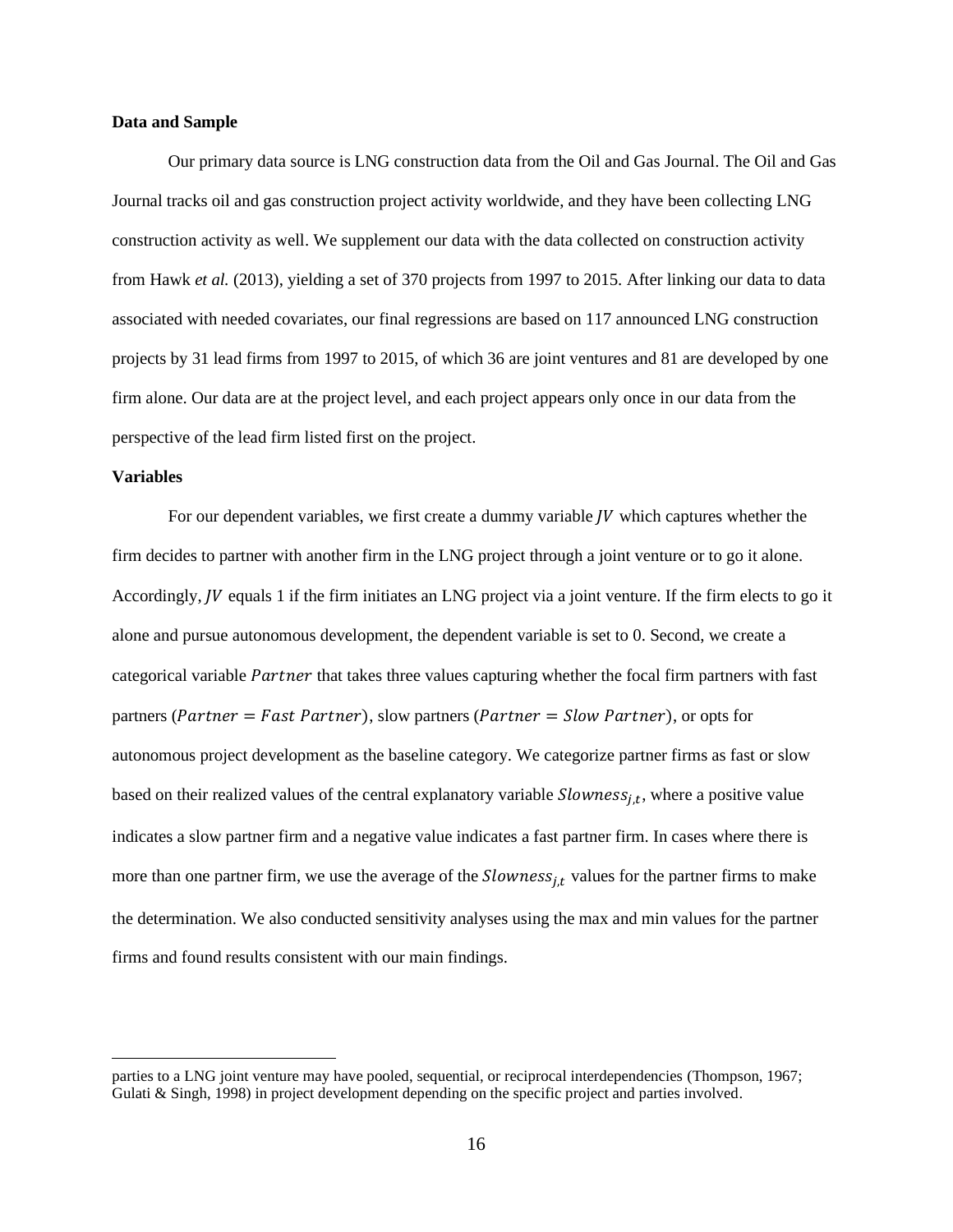## **Data and Sample**

Our primary data source is LNG construction data from the Oil and Gas Journal. The Oil and Gas Journal tracks oil and gas construction project activity worldwide, and they have been collecting LNG construction activity as well. We supplement our data with the data collected on construction activity from Hawk *et al.* (2013), yielding a set of 370 projects from 1997 to 2015. After linking our data to data associated with needed covariates, our final regressions are based on 117 announced LNG construction projects by 31 lead firms from 1997 to 2015, of which 36 are joint ventures and 81 are developed by one firm alone. Our data are at the project level, and each project appears only once in our data from the perspective of the lead firm listed first on the project.

## **Variables**

For our dependent variables, we first create a dummy variable  *which captures whether the* firm decides to partner with another firm in the LNG project through a joint venture or to go it alone. Accordingly,  *equals 1 if the firm initiates an LNG project via a joint venture. If the firm elects to go it* alone and pursue autonomous development, the dependent variable is set to 0. Second, we create a categorical variable Partner that takes three values capturing whether the focal firm partners with fast partners (*Partner* = *Fast Partner*), slow partners (*Partner* = *Slow Partner*), or opts for autonomous project development as the baseline category. We categorize partner firms as fast or slow based on their realized values of the central explanatory variable  $Slowness_{j,t}$ , where a positive value indicates a slow partner firm and a negative value indicates a fast partner firm. In cases where there is more than one partner firm, we use the average of the  $Slowness_{i,t}$  values for the partner firms to make the determination. We also conducted sensitivity analyses using the max and min values for the partner firms and found results consistent with our main findings.

parties to a LNG joint venture may have pooled, sequential, or reciprocal interdependencies (Thompson, 1967; Gulati & Singh, 1998) in project development depending on the specific project and parties involved.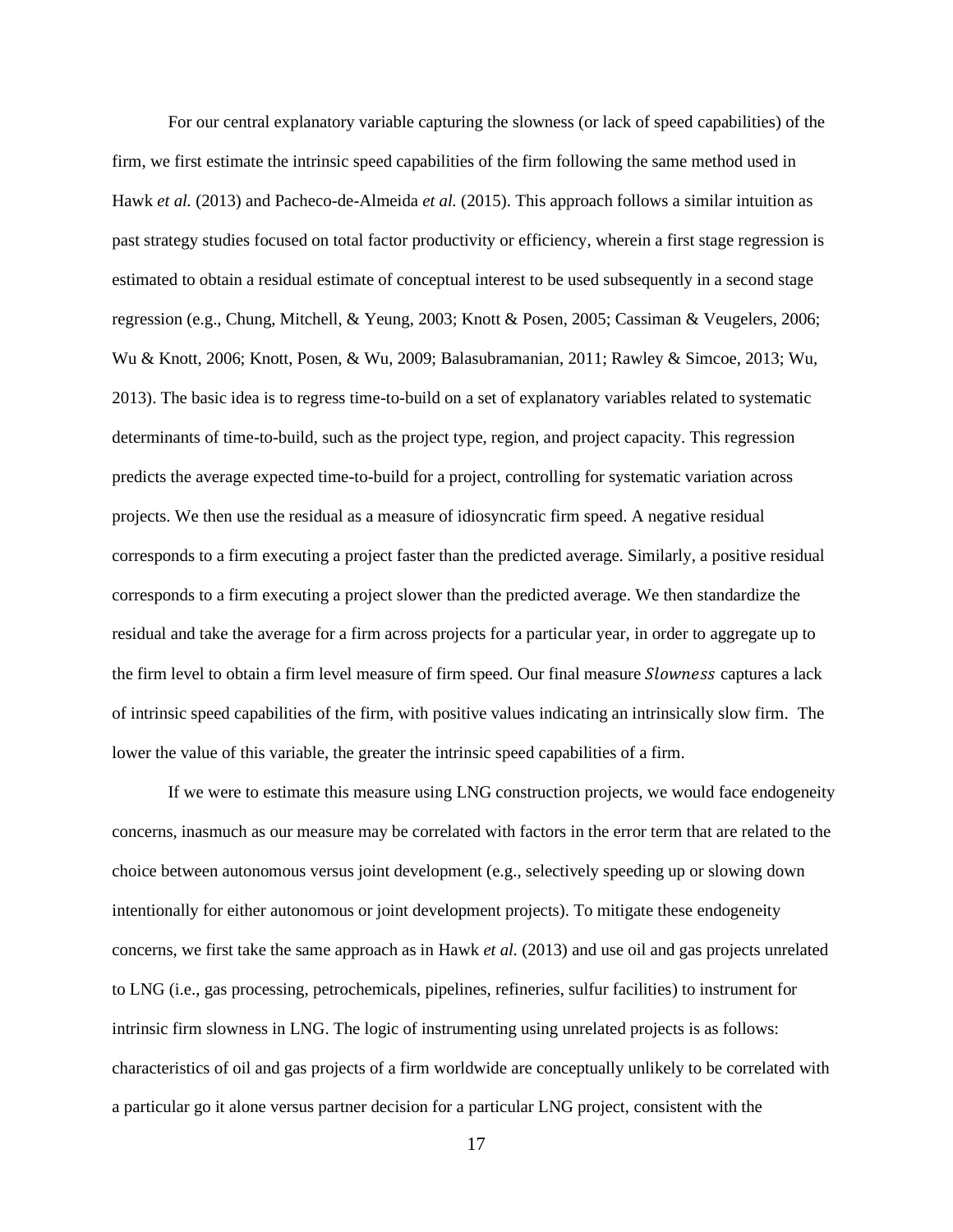For our central explanatory variable capturing the slowness (or lack of speed capabilities) of the firm, we first estimate the intrinsic speed capabilities of the firm following the same method used in Hawk *et al.* (2013) and Pacheco-de-Almeida *et al.* (2015). This approach follows a similar intuition as past strategy studies focused on total factor productivity or efficiency, wherein a first stage regression is estimated to obtain a residual estimate of conceptual interest to be used subsequently in a second stage regression (e.g., Chung, Mitchell, & Yeung, 2003; Knott & Posen, 2005; Cassiman & Veugelers, 2006; Wu & Knott, 2006; Knott, Posen, & Wu, 2009; Balasubramanian, 2011; Rawley & Simcoe, 2013; Wu, 2013). The basic idea is to regress time-to-build on a set of explanatory variables related to systematic determinants of time-to-build, such as the project type, region, and project capacity. This regression predicts the average expected time-to-build for a project, controlling for systematic variation across projects. We then use the residual as a measure of idiosyncratic firm speed. A negative residual corresponds to a firm executing a project faster than the predicted average. Similarly, a positive residual corresponds to a firm executing a project slower than the predicted average. We then standardize the residual and take the average for a firm across projects for a particular year, in order to aggregate up to the firm level to obtain a firm level measure of firm speed. Our final measure *Slowness* captures a lack of intrinsic speed capabilities of the firm, with positive values indicating an intrinsically slow firm. The lower the value of this variable, the greater the intrinsic speed capabilities of a firm.

If we were to estimate this measure using LNG construction projects, we would face endogeneity concerns, inasmuch as our measure may be correlated with factors in the error term that are related to the choice between autonomous versus joint development (e.g., selectively speeding up or slowing down intentionally for either autonomous or joint development projects). To mitigate these endogeneity concerns, we first take the same approach as in Hawk *et al.* (2013) and use oil and gas projects unrelated to LNG (i.e., gas processing, petrochemicals, pipelines, refineries, sulfur facilities) to instrument for intrinsic firm slowness in LNG. The logic of instrumenting using unrelated projects is as follows: characteristics of oil and gas projects of a firm worldwide are conceptually unlikely to be correlated with a particular go it alone versus partner decision for a particular LNG project, consistent with the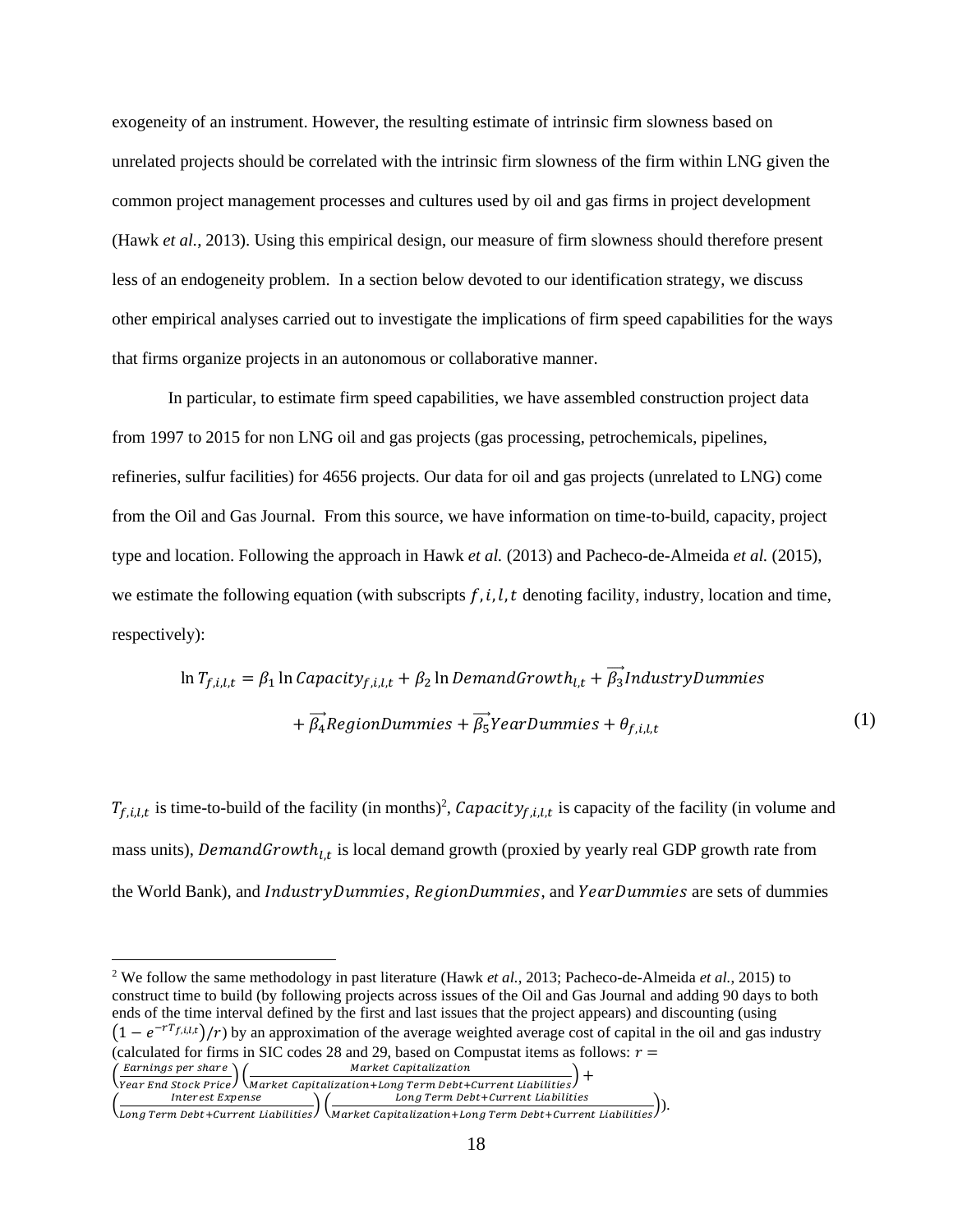exogeneity of an instrument. However, the resulting estimate of intrinsic firm slowness based on unrelated projects should be correlated with the intrinsic firm slowness of the firm within LNG given the common project management processes and cultures used by oil and gas firms in project development (Hawk *et al.*, 2013). Using this empirical design, our measure of firm slowness should therefore present less of an endogeneity problem. In a section below devoted to our identification strategy, we discuss other empirical analyses carried out to investigate the implications of firm speed capabilities for the ways that firms organize projects in an autonomous or collaborative manner.

In particular, to estimate firm speed capabilities, we have assembled construction project data from 1997 to 2015 for non LNG oil and gas projects (gas processing, petrochemicals, pipelines, refineries, sulfur facilities) for 4656 projects. Our data for oil and gas projects (unrelated to LNG) come from the Oil and Gas Journal. From this source, we have information on time-to-build, capacity, project type and location. Following the approach in Hawk *et al.* (2013) and Pacheco-de-Almeida *et al.* (2015), we estimate the following equation (with subscripts  $f, i, l, t$  denoting facility, industry, location and time, respectively):

$$
\ln T_{f,i,l,t} = \beta_1 \ln Capacity_{f,i,l,t} + \beta_2 \ln DemandGrowth_{l,t} + \overrightarrow{\beta_3} IndustryDummies
$$

$$
+ \overrightarrow{\beta_4} RegionDummies + \overrightarrow{\beta_5} YearDummies + \theta_{f,i,l,t}
$$
(1)

 $T_{f,i,l,t}$  is time-to-build of the facility (in months)<sup>2</sup>, Capacity<sub>f,i,l,t</sub> is capacity of the facility (in volume and mass units), Demand Growth<sub>l,t</sub> is local demand growth (proxied by yearly real GDP growth rate from the World Bank), and *IndustryDummies*, *RegionDummies*, and *YearDummies* are sets of dummies

$$
\left(\frac{\text{Earnings per share}}{\text{Year End Stock Price}}\right) \left(\frac{\text{Market Capitalization}}{\text{Market Capitalization} + \text{Long Term Debt + Current Liabilities}}\right) +
$$

<sup>2</sup> We follow the same methodology in past literature (Hawk *et al.*, 2013; Pacheco-de-Almeida *et al.*, 2015) to construct time to build (by following projects across issues of the Oil and Gas Journal and adding 90 days to both ends of the time interval defined by the first and last issues that the project appears) and discounting (using  $(1 - e^{-rT_{f,i,l,t}})/r$  by an approximation of the average weighted average cost of capital in the oil and gas industry (calculated for firms in SIC codes 28 and 29, based on Compustat items as follows:  $r =$ Market Capitalization

 $\left(\frac{\text{Interest Expression}}{\text{Long Term Debt+Current Liabilities}}\right) \left(\frac{\text{Long Term Debt+Current Liabilities}}{\text{Market Capitalization+Long Term Debt+Current Liabilities}}\right).$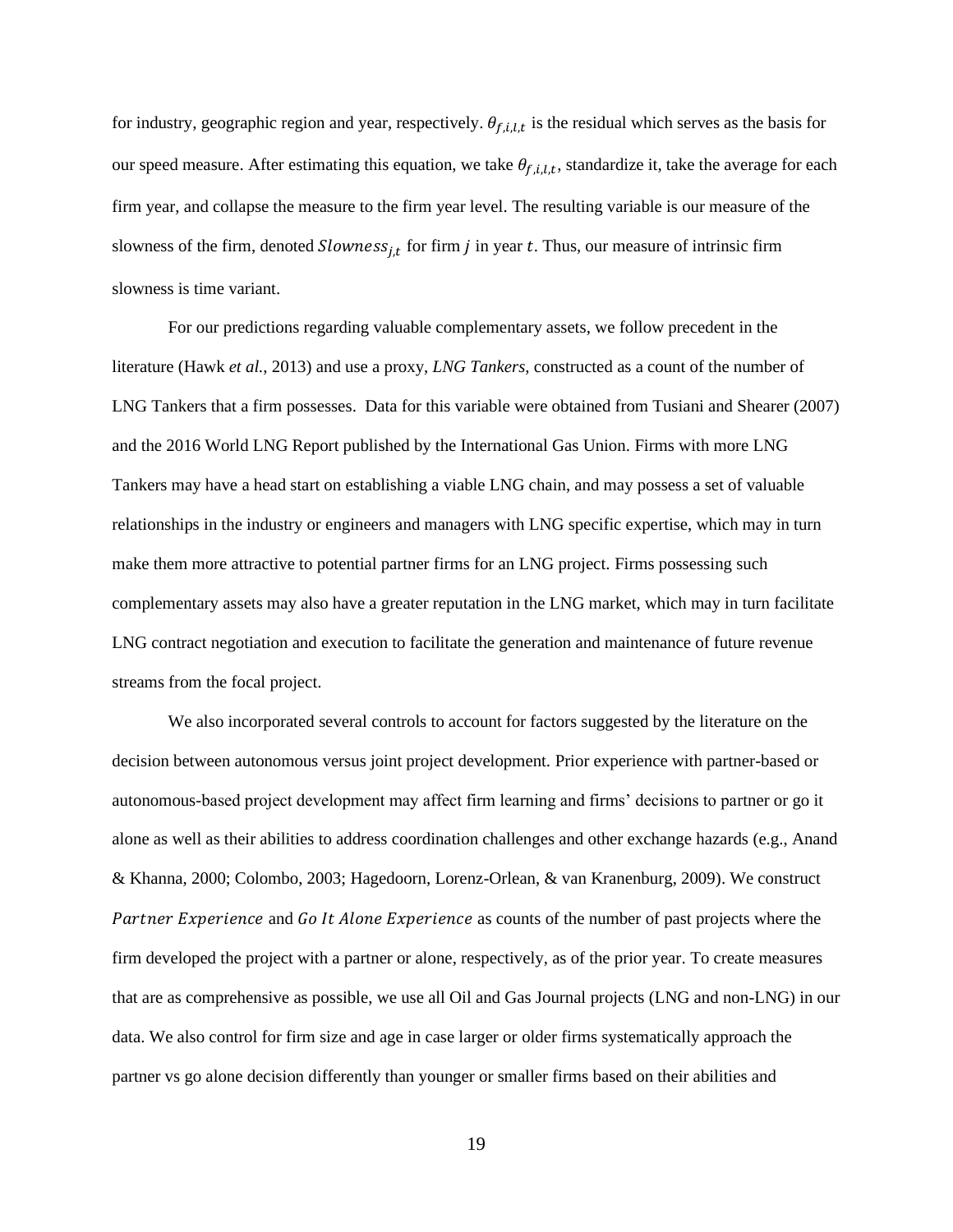for industry, geographic region and year, respectively.  $\theta_{f,i,l,t}$  is the residual which serves as the basis for our speed measure. After estimating this equation, we take  $\theta_{f,i,l,t}$ , standardize it, take the average for each firm year, and collapse the measure to the firm year level. The resulting variable is our measure of the slowness of the firm, denoted  $Slowness_{j,t}$  for firm  $j$  in year  $t$ . Thus, our measure of intrinsic firm slowness is time variant.

For our predictions regarding valuable complementary assets, we follow precedent in the literature (Hawk *et al.*, 2013) and use a proxy, *LNG Tankers*, constructed as a count of the number of LNG Tankers that a firm possesses. Data for this variable were obtained from Tusiani and Shearer (2007) and the 2016 World LNG Report published by the International Gas Union. Firms with more LNG Tankers may have a head start on establishing a viable LNG chain, and may possess a set of valuable relationships in the industry or engineers and managers with LNG specific expertise, which may in turn make them more attractive to potential partner firms for an LNG project. Firms possessing such complementary assets may also have a greater reputation in the LNG market, which may in turn facilitate LNG contract negotiation and execution to facilitate the generation and maintenance of future revenue streams from the focal project.

We also incorporated several controls to account for factors suggested by the literature on the decision between autonomous versus joint project development. Prior experience with partner-based or autonomous-based project development may affect firm learning and firms' decisions to partner or go it alone as well as their abilities to address coordination challenges and other exchange hazards (e.g., Anand & Khanna, 2000; Colombo, 2003; Hagedoorn, Lorenz-Orlean, & van Kranenburg, 2009). We construct Partner Experience and Go It Alone Experience as counts of the number of past projects where the firm developed the project with a partner or alone, respectively, as of the prior year. To create measures that are as comprehensive as possible, we use all Oil and Gas Journal projects (LNG and non-LNG) in our data. We also control for firm size and age in case larger or older firms systematically approach the partner vs go alone decision differently than younger or smaller firms based on their abilities and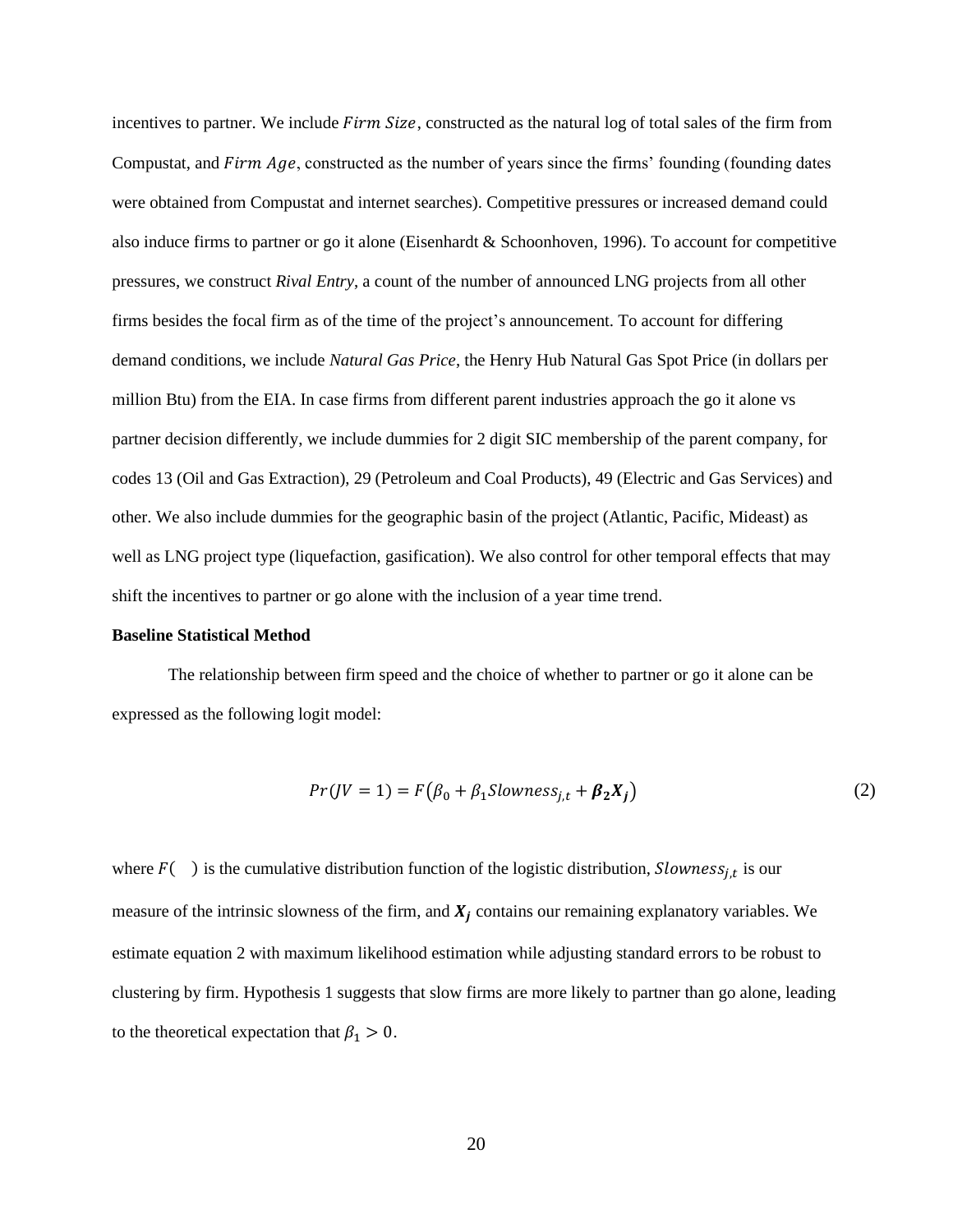incentives to partner. We include Firm Size, constructed as the natural log of total sales of the firm from Compustat, and  $Firm Age$ , constructed as the number of years since the firms' founding (founding dates were obtained from Compustat and internet searches). Competitive pressures or increased demand could also induce firms to partner or go it alone (Eisenhardt & Schoonhoven, 1996). To account for competitive pressures, we construct *Rival Entry*, a count of the number of announced LNG projects from all other firms besides the focal firm as of the time of the project's announcement. To account for differing demand conditions, we include *Natural Gas Price*, the Henry Hub Natural Gas Spot Price (in dollars per million Btu) from the EIA. In case firms from different parent industries approach the go it alone vs partner decision differently, we include dummies for 2 digit SIC membership of the parent company, for codes 13 (Oil and Gas Extraction), 29 (Petroleum and Coal Products), 49 (Electric and Gas Services) and other. We also include dummies for the geographic basin of the project (Atlantic, Pacific, Mideast) as well as LNG project type (liquefaction, gasification). We also control for other temporal effects that may shift the incentives to partner or go alone with the inclusion of a year time trend.

#### **Baseline Statistical Method**

The relationship between firm speed and the choice of whether to partner or go it alone can be expressed as the following logit model:

$$
Pr(JV = 1) = F(\beta_0 + \beta_1 \text{Slowness}_{j,t} + \beta_2 X_j)
$$
\n<sup>(2)</sup>

where  $F( )$  is the cumulative distribution function of the logistic distribution, *Slowness<sub>j,t</sub>* is our measure of the intrinsic slowness of the firm, and  $X_j$  contains our remaining explanatory variables. We estimate equation 2 with maximum likelihood estimation while adjusting standard errors to be robust to clustering by firm. Hypothesis 1 suggests that slow firms are more likely to partner than go alone, leading to the theoretical expectation that  $\beta_1 > 0$ .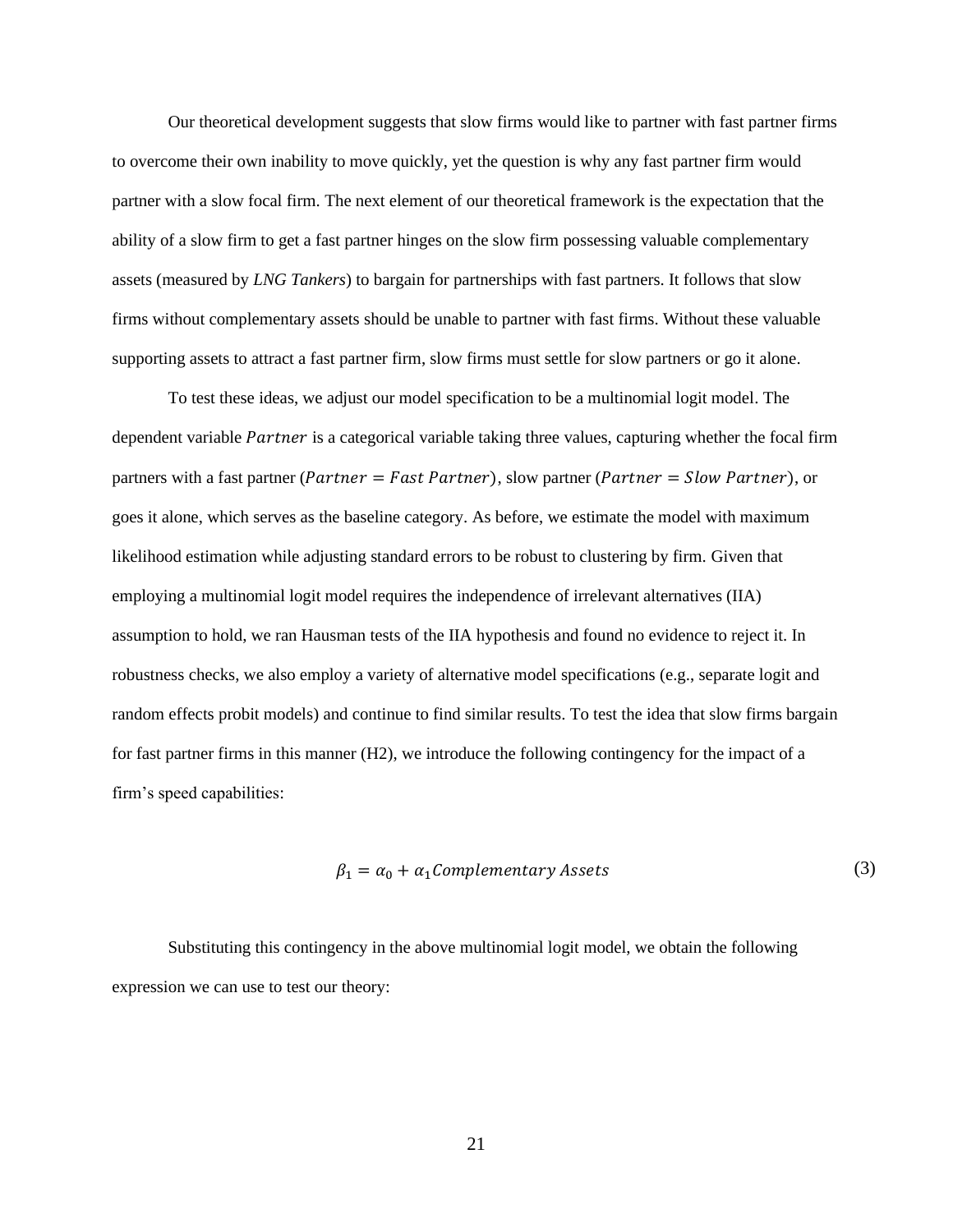Our theoretical development suggests that slow firms would like to partner with fast partner firms to overcome their own inability to move quickly, yet the question is why any fast partner firm would partner with a slow focal firm. The next element of our theoretical framework is the expectation that the ability of a slow firm to get a fast partner hinges on the slow firm possessing valuable complementary assets (measured by *LNG Tankers*) to bargain for partnerships with fast partners. It follows that slow firms without complementary assets should be unable to partner with fast firms. Without these valuable supporting assets to attract a fast partner firm, slow firms must settle for slow partners or go it alone.

To test these ideas, we adjust our model specification to be a multinomial logit model. The dependent variable *Partner* is a categorical variable taking three values, capturing whether the focal firm partners with a fast partner (*Partner* = *Fast Partner*), slow partner (*Partner* = *Slow Partner*), or goes it alone, which serves as the baseline category. As before, we estimate the model with maximum likelihood estimation while adjusting standard errors to be robust to clustering by firm. Given that employing a multinomial logit model requires the independence of irrelevant alternatives (IIA) assumption to hold, we ran Hausman tests of the IIA hypothesis and found no evidence to reject it. In robustness checks, we also employ a variety of alternative model specifications (e.g., separate logit and random effects probit models) and continue to find similar results. To test the idea that slow firms bargain for fast partner firms in this manner (H2), we introduce the following contingency for the impact of a firm's speed capabilities:

$$
\beta_1 = \alpha_0 + \alpha_1 \text{Complementary Assets} \tag{3}
$$

Substituting this contingency in the above multinomial logit model, we obtain the following expression we can use to test our theory: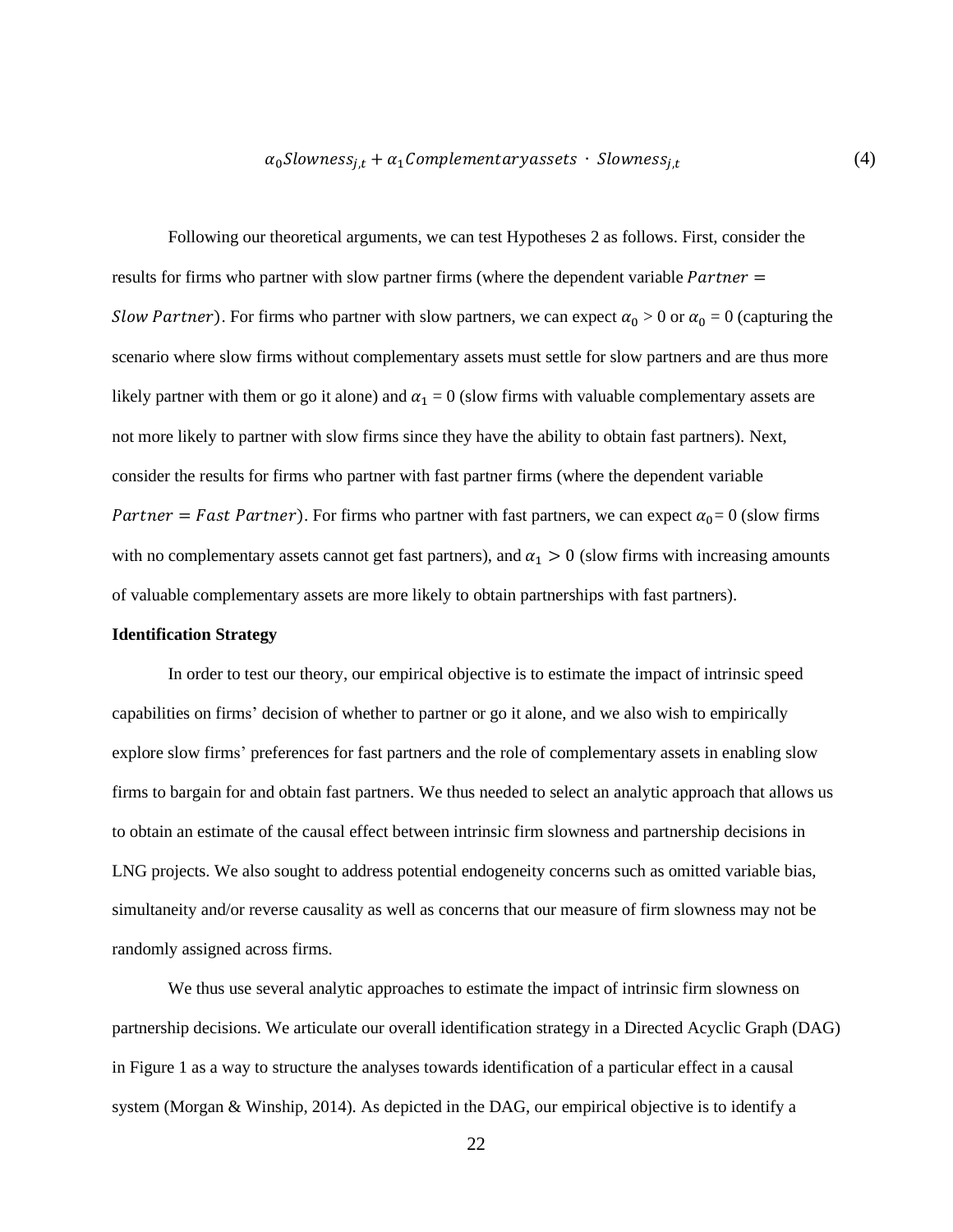# $\alpha_0$ Slowness<sub>j,t</sub> +  $\alpha_1$ Complementaryassets · Slowness<sub>j,t</sub>

(4)

Following our theoretical arguments, we can test Hypotheses 2 as follows. First, consider the results for firms who partner with slow partner firms (where the dependent variable  $Partner =$ Slow Partner). For firms who partner with slow partners, we can expect  $\alpha_0 > 0$  or  $\alpha_0 = 0$  (capturing the scenario where slow firms without complementary assets must settle for slow partners and are thus more likely partner with them or go it alone) and  $\alpha_1 = 0$  (slow firms with valuable complementary assets are not more likely to partner with slow firms since they have the ability to obtain fast partners). Next, consider the results for firms who partner with fast partner firms (where the dependent variable Partner = Fast Partner). For firms who partner with fast partners, we can expect  $\alpha_0=0$  (slow firms with no complementary assets cannot get fast partners), and  $\alpha_1 > 0$  (slow firms with increasing amounts of valuable complementary assets are more likely to obtain partnerships with fast partners).

# **Identification Strategy**

In order to test our theory, our empirical objective is to estimate the impact of intrinsic speed capabilities on firms' decision of whether to partner or go it alone, and we also wish to empirically explore slow firms' preferences for fast partners and the role of complementary assets in enabling slow firms to bargain for and obtain fast partners. We thus needed to select an analytic approach that allows us to obtain an estimate of the causal effect between intrinsic firm slowness and partnership decisions in LNG projects. We also sought to address potential endogeneity concerns such as omitted variable bias, simultaneity and/or reverse causality as well as concerns that our measure of firm slowness may not be randomly assigned across firms.

We thus use several analytic approaches to estimate the impact of intrinsic firm slowness on partnership decisions. We articulate our overall identification strategy in a Directed Acyclic Graph (DAG) in Figure 1 as a way to structure the analyses towards identification of a particular effect in a causal system (Morgan & Winship, 2014). As depicted in the DAG, our empirical objective is to identify a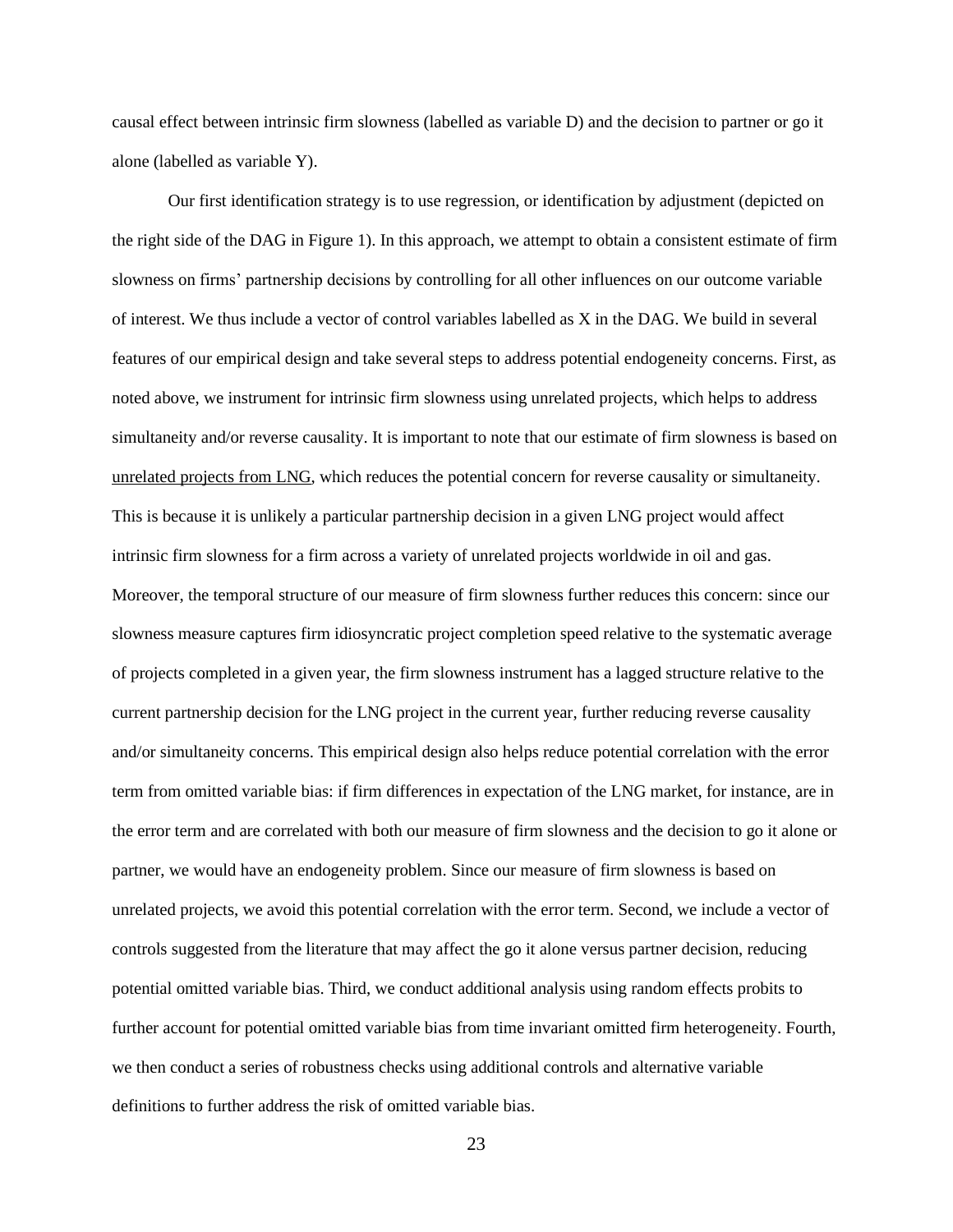causal effect between intrinsic firm slowness (labelled as variable D) and the decision to partner or go it alone (labelled as variable Y).

Our first identification strategy is to use regression, or identification by adjustment (depicted on the right side of the DAG in Figure 1). In this approach, we attempt to obtain a consistent estimate of firm slowness on firms' partnership decisions by controlling for all other influences on our outcome variable of interest. We thus include a vector of control variables labelled as X in the DAG. We build in several features of our empirical design and take several steps to address potential endogeneity concerns. First, as noted above, we instrument for intrinsic firm slowness using unrelated projects, which helps to address simultaneity and/or reverse causality. It is important to note that our estimate of firm slowness is based on unrelated projects from LNG, which reduces the potential concern for reverse causality or simultaneity. This is because it is unlikely a particular partnership decision in a given LNG project would affect intrinsic firm slowness for a firm across a variety of unrelated projects worldwide in oil and gas. Moreover, the temporal structure of our measure of firm slowness further reduces this concern: since our slowness measure captures firm idiosyncratic project completion speed relative to the systematic average of projects completed in a given year, the firm slowness instrument has a lagged structure relative to the current partnership decision for the LNG project in the current year, further reducing reverse causality and/or simultaneity concerns. This empirical design also helps reduce potential correlation with the error term from omitted variable bias: if firm differences in expectation of the LNG market, for instance, are in the error term and are correlated with both our measure of firm slowness and the decision to go it alone or partner, we would have an endogeneity problem. Since our measure of firm slowness is based on unrelated projects, we avoid this potential correlation with the error term. Second, we include a vector of controls suggested from the literature that may affect the go it alone versus partner decision, reducing potential omitted variable bias. Third, we conduct additional analysis using random effects probits to further account for potential omitted variable bias from time invariant omitted firm heterogeneity. Fourth, we then conduct a series of robustness checks using additional controls and alternative variable definitions to further address the risk of omitted variable bias.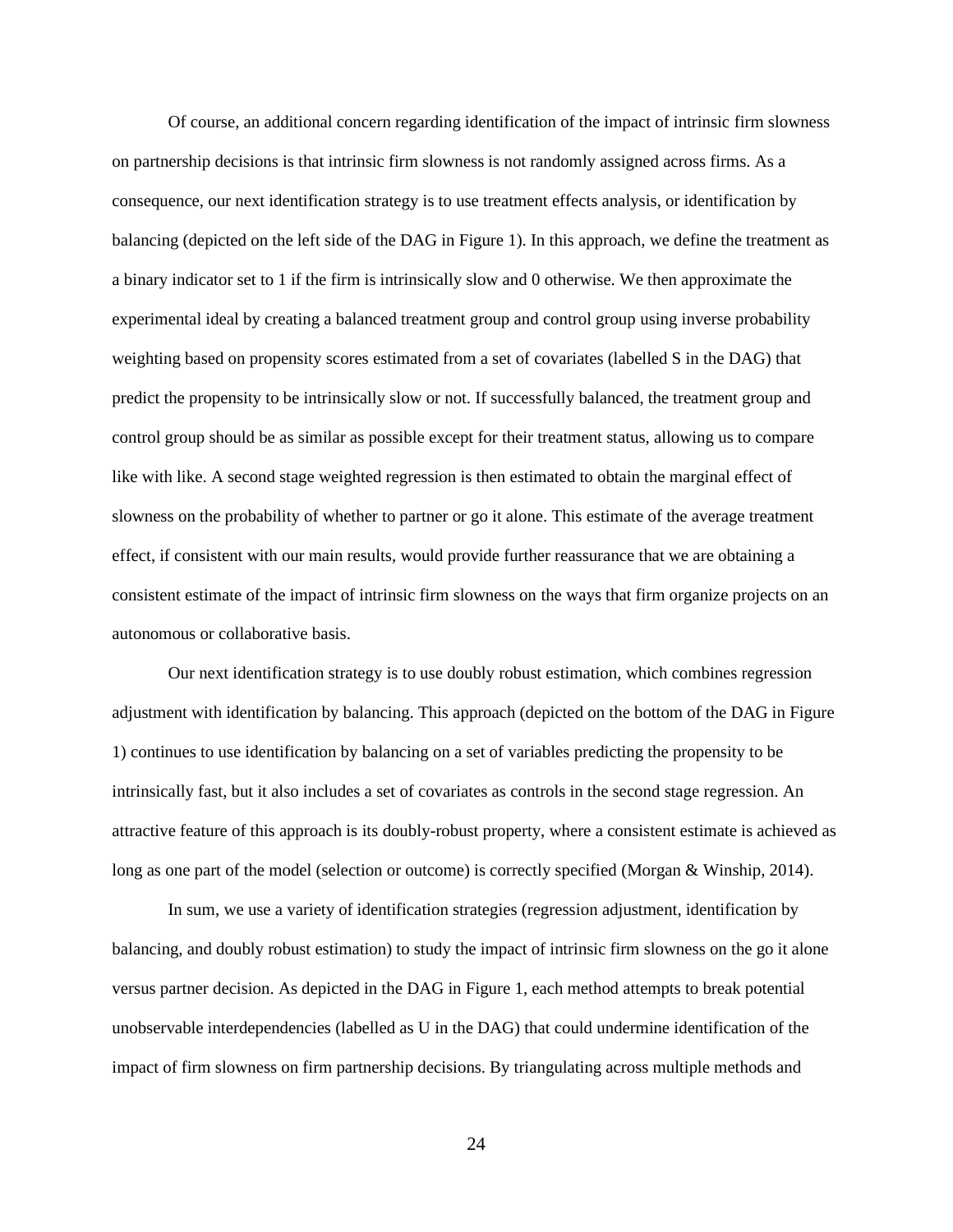Of course, an additional concern regarding identification of the impact of intrinsic firm slowness on partnership decisions is that intrinsic firm slowness is not randomly assigned across firms. As a consequence, our next identification strategy is to use treatment effects analysis, or identification by balancing (depicted on the left side of the DAG in Figure 1). In this approach, we define the treatment as a binary indicator set to 1 if the firm is intrinsically slow and 0 otherwise. We then approximate the experimental ideal by creating a balanced treatment group and control group using inverse probability weighting based on propensity scores estimated from a set of covariates (labelled S in the DAG) that predict the propensity to be intrinsically slow or not. If successfully balanced, the treatment group and control group should be as similar as possible except for their treatment status, allowing us to compare like with like. A second stage weighted regression is then estimated to obtain the marginal effect of slowness on the probability of whether to partner or go it alone. This estimate of the average treatment effect, if consistent with our main results, would provide further reassurance that we are obtaining a consistent estimate of the impact of intrinsic firm slowness on the ways that firm organize projects on an autonomous or collaborative basis.

Our next identification strategy is to use doubly robust estimation, which combines regression adjustment with identification by balancing. This approach (depicted on the bottom of the DAG in Figure 1) continues to use identification by balancing on a set of variables predicting the propensity to be intrinsically fast, but it also includes a set of covariates as controls in the second stage regression. An attractive feature of this approach is its doubly-robust property, where a consistent estimate is achieved as long as one part of the model (selection or outcome) is correctly specified (Morgan & Winship, 2014).

In sum, we use a variety of identification strategies (regression adjustment, identification by balancing, and doubly robust estimation) to study the impact of intrinsic firm slowness on the go it alone versus partner decision. As depicted in the DAG in Figure 1, each method attempts to break potential unobservable interdependencies (labelled as U in the DAG) that could undermine identification of the impact of firm slowness on firm partnership decisions. By triangulating across multiple methods and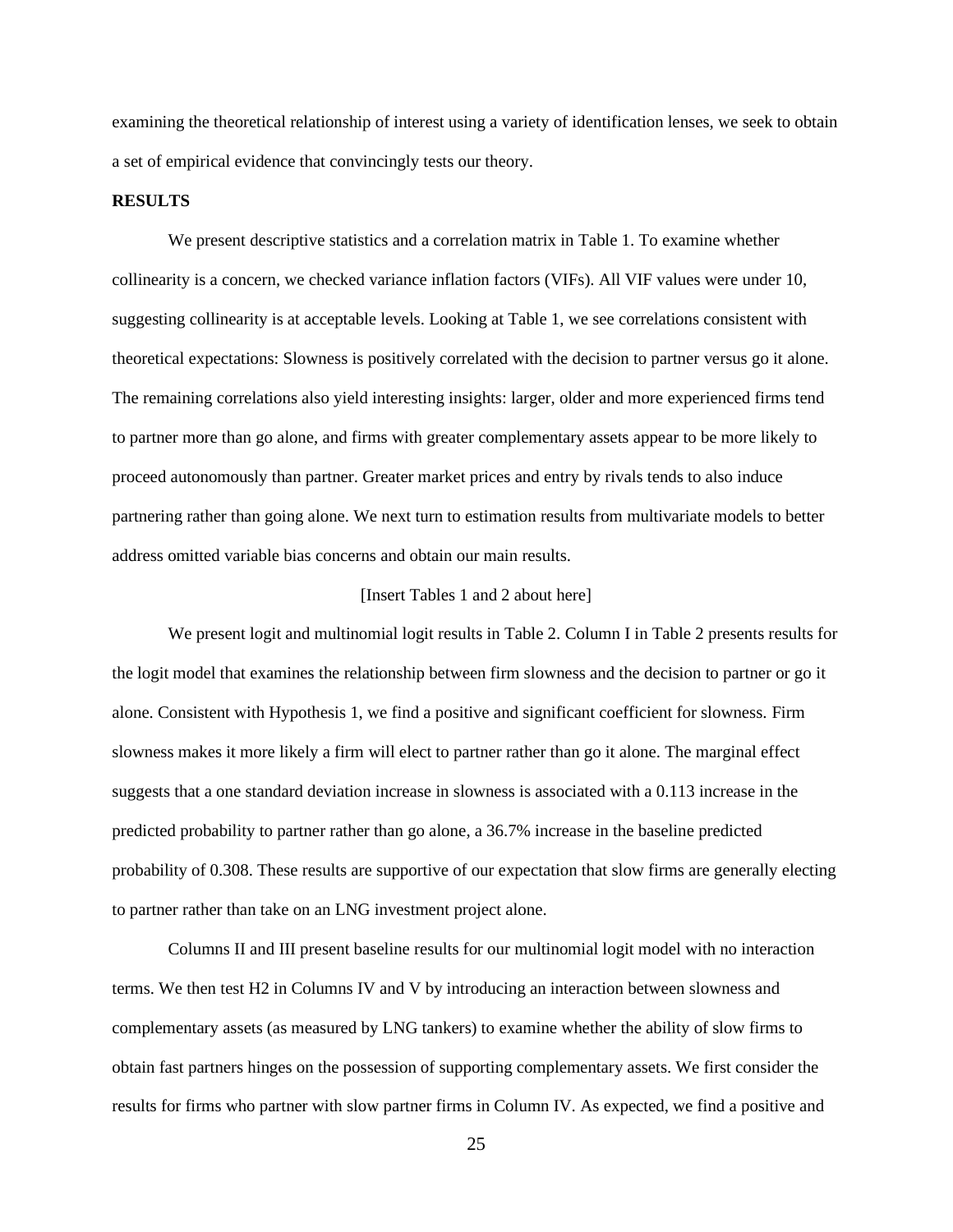examining the theoretical relationship of interest using a variety of identification lenses, we seek to obtain a set of empirical evidence that convincingly tests our theory.

#### **RESULTS**

We present descriptive statistics and a correlation matrix in Table 1. To examine whether collinearity is a concern, we checked variance inflation factors (VIFs). All VIF values were under 10, suggesting collinearity is at acceptable levels. Looking at Table 1, we see correlations consistent with theoretical expectations: Slowness is positively correlated with the decision to partner versus go it alone. The remaining correlations also yield interesting insights: larger, older and more experienced firms tend to partner more than go alone, and firms with greater complementary assets appear to be more likely to proceed autonomously than partner. Greater market prices and entry by rivals tends to also induce partnering rather than going alone. We next turn to estimation results from multivariate models to better address omitted variable bias concerns and obtain our main results.

## [Insert Tables 1 and 2 about here]

We present logit and multinomial logit results in Table 2. Column I in Table 2 presents results for the logit model that examines the relationship between firm slowness and the decision to partner or go it alone. Consistent with Hypothesis 1, we find a positive and significant coefficient for slowness. Firm slowness makes it more likely a firm will elect to partner rather than go it alone. The marginal effect suggests that a one standard deviation increase in slowness is associated with a 0.113 increase in the predicted probability to partner rather than go alone, a 36.7% increase in the baseline predicted probability of 0.308. These results are supportive of our expectation that slow firms are generally electing to partner rather than take on an LNG investment project alone.

Columns II and III present baseline results for our multinomial logit model with no interaction terms. We then test H2 in Columns IV and V by introducing an interaction between slowness and complementary assets (as measured by LNG tankers) to examine whether the ability of slow firms to obtain fast partners hinges on the possession of supporting complementary assets. We first consider the results for firms who partner with slow partner firms in Column IV. As expected, we find a positive and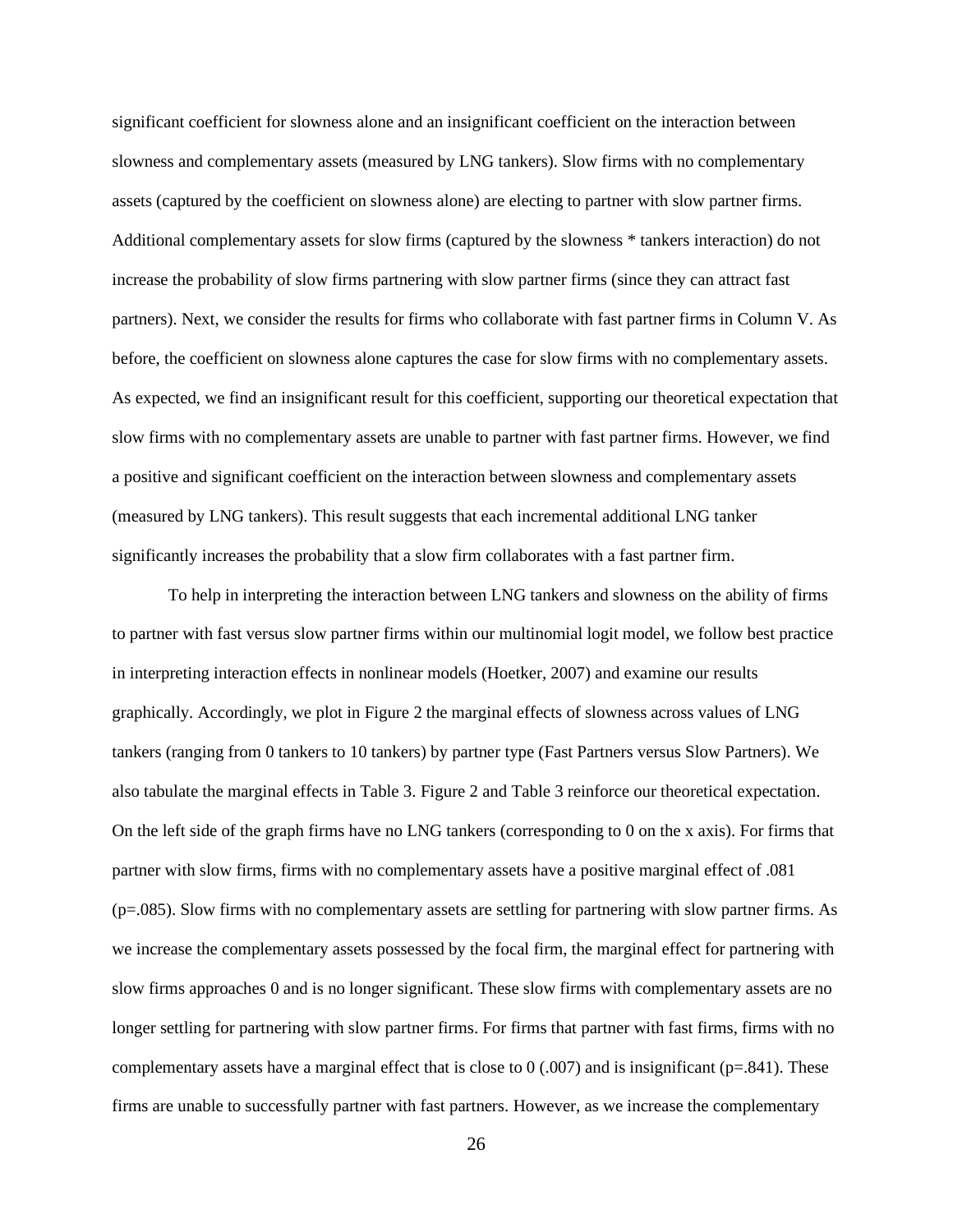significant coefficient for slowness alone and an insignificant coefficient on the interaction between slowness and complementary assets (measured by LNG tankers). Slow firms with no complementary assets (captured by the coefficient on slowness alone) are electing to partner with slow partner firms. Additional complementary assets for slow firms (captured by the slowness \* tankers interaction) do not increase the probability of slow firms partnering with slow partner firms (since they can attract fast partners). Next, we consider the results for firms who collaborate with fast partner firms in Column V. As before, the coefficient on slowness alone captures the case for slow firms with no complementary assets. As expected, we find an insignificant result for this coefficient, supporting our theoretical expectation that slow firms with no complementary assets are unable to partner with fast partner firms. However, we find a positive and significant coefficient on the interaction between slowness and complementary assets (measured by LNG tankers). This result suggests that each incremental additional LNG tanker significantly increases the probability that a slow firm collaborates with a fast partner firm.

To help in interpreting the interaction between LNG tankers and slowness on the ability of firms to partner with fast versus slow partner firms within our multinomial logit model, we follow best practice in interpreting interaction effects in nonlinear models (Hoetker, 2007) and examine our results graphically. Accordingly, we plot in Figure 2 the marginal effects of slowness across values of LNG tankers (ranging from 0 tankers to 10 tankers) by partner type (Fast Partners versus Slow Partners). We also tabulate the marginal effects in Table 3. Figure 2 and Table 3 reinforce our theoretical expectation. On the left side of the graph firms have no LNG tankers (corresponding to 0 on the x axis). For firms that partner with slow firms, firms with no complementary assets have a positive marginal effect of .081 (p=.085). Slow firms with no complementary assets are settling for partnering with slow partner firms. As we increase the complementary assets possessed by the focal firm, the marginal effect for partnering with slow firms approaches 0 and is no longer significant. These slow firms with complementary assets are no longer settling for partnering with slow partner firms. For firms that partner with fast firms, firms with no complementary assets have a marginal effect that is close to  $(0.007)$  and is insignificant (p=.841). These firms are unable to successfully partner with fast partners. However, as we increase the complementary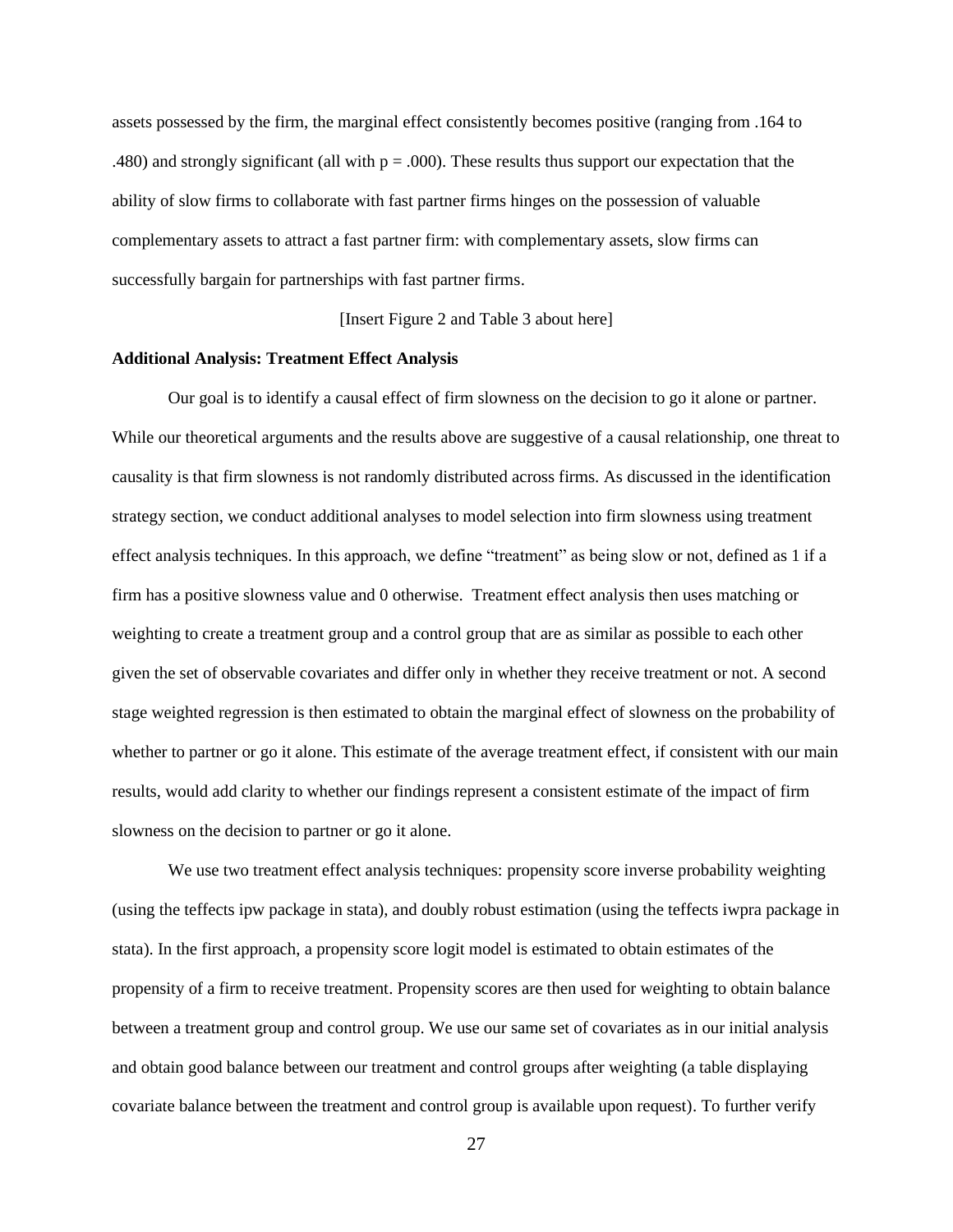assets possessed by the firm, the marginal effect consistently becomes positive (ranging from .164 to .480) and strongly significant (all with  $p = .000$ ). These results thus support our expectation that the ability of slow firms to collaborate with fast partner firms hinges on the possession of valuable complementary assets to attract a fast partner firm: with complementary assets, slow firms can successfully bargain for partnerships with fast partner firms.

[Insert Figure 2 and Table 3 about here]

## **Additional Analysis: Treatment Effect Analysis**

Our goal is to identify a causal effect of firm slowness on the decision to go it alone or partner. While our theoretical arguments and the results above are suggestive of a causal relationship, one threat to causality is that firm slowness is not randomly distributed across firms. As discussed in the identification strategy section, we conduct additional analyses to model selection into firm slowness using treatment effect analysis techniques. In this approach, we define "treatment" as being slow or not, defined as 1 if a firm has a positive slowness value and 0 otherwise. Treatment effect analysis then uses matching or weighting to create a treatment group and a control group that are as similar as possible to each other given the set of observable covariates and differ only in whether they receive treatment or not. A second stage weighted regression is then estimated to obtain the marginal effect of slowness on the probability of whether to partner or go it alone. This estimate of the average treatment effect, if consistent with our main results, would add clarity to whether our findings represent a consistent estimate of the impact of firm slowness on the decision to partner or go it alone.

We use two treatment effect analysis techniques: propensity score inverse probability weighting (using the teffects ipw package in stata), and doubly robust estimation (using the teffects iwpra package in stata). In the first approach, a propensity score logit model is estimated to obtain estimates of the propensity of a firm to receive treatment. Propensity scores are then used for weighting to obtain balance between a treatment group and control group. We use our same set of covariates as in our initial analysis and obtain good balance between our treatment and control groups after weighting (a table displaying covariate balance between the treatment and control group is available upon request). To further verify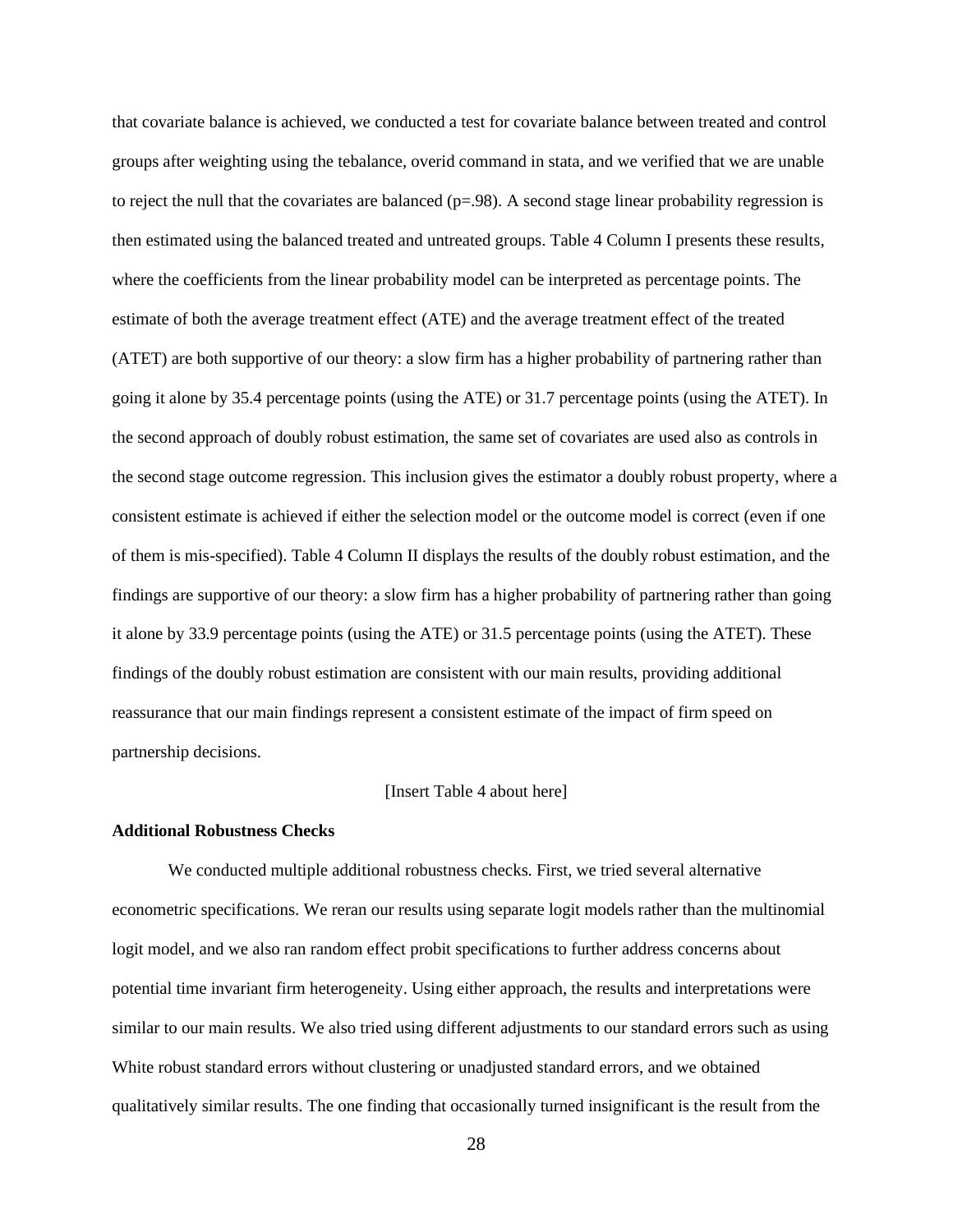that covariate balance is achieved, we conducted a test for covariate balance between treated and control groups after weighting using the tebalance, overid command in stata, and we verified that we are unable to reject the null that the covariates are balanced  $(p=.98)$ . A second stage linear probability regression is then estimated using the balanced treated and untreated groups. Table 4 Column I presents these results, where the coefficients from the linear probability model can be interpreted as percentage points. The estimate of both the average treatment effect (ATE) and the average treatment effect of the treated (ATET) are both supportive of our theory: a slow firm has a higher probability of partnering rather than going it alone by 35.4 percentage points (using the ATE) or 31.7 percentage points (using the ATET). In the second approach of doubly robust estimation, the same set of covariates are used also as controls in the second stage outcome regression. This inclusion gives the estimator a doubly robust property, where a consistent estimate is achieved if either the selection model or the outcome model is correct (even if one of them is mis-specified). Table 4 Column II displays the results of the doubly robust estimation, and the findings are supportive of our theory: a slow firm has a higher probability of partnering rather than going it alone by 33.9 percentage points (using the ATE) or 31.5 percentage points (using the ATET). These findings of the doubly robust estimation are consistent with our main results, providing additional reassurance that our main findings represent a consistent estimate of the impact of firm speed on partnership decisions.

## [Insert Table 4 about here]

## **Additional Robustness Checks**

We conducted multiple additional robustness checks. First, we tried several alternative econometric specifications. We reran our results using separate logit models rather than the multinomial logit model, and we also ran random effect probit specifications to further address concerns about potential time invariant firm heterogeneity. Using either approach, the results and interpretations were similar to our main results. We also tried using different adjustments to our standard errors such as using White robust standard errors without clustering or unadjusted standard errors, and we obtained qualitatively similar results. The one finding that occasionally turned insignificant is the result from the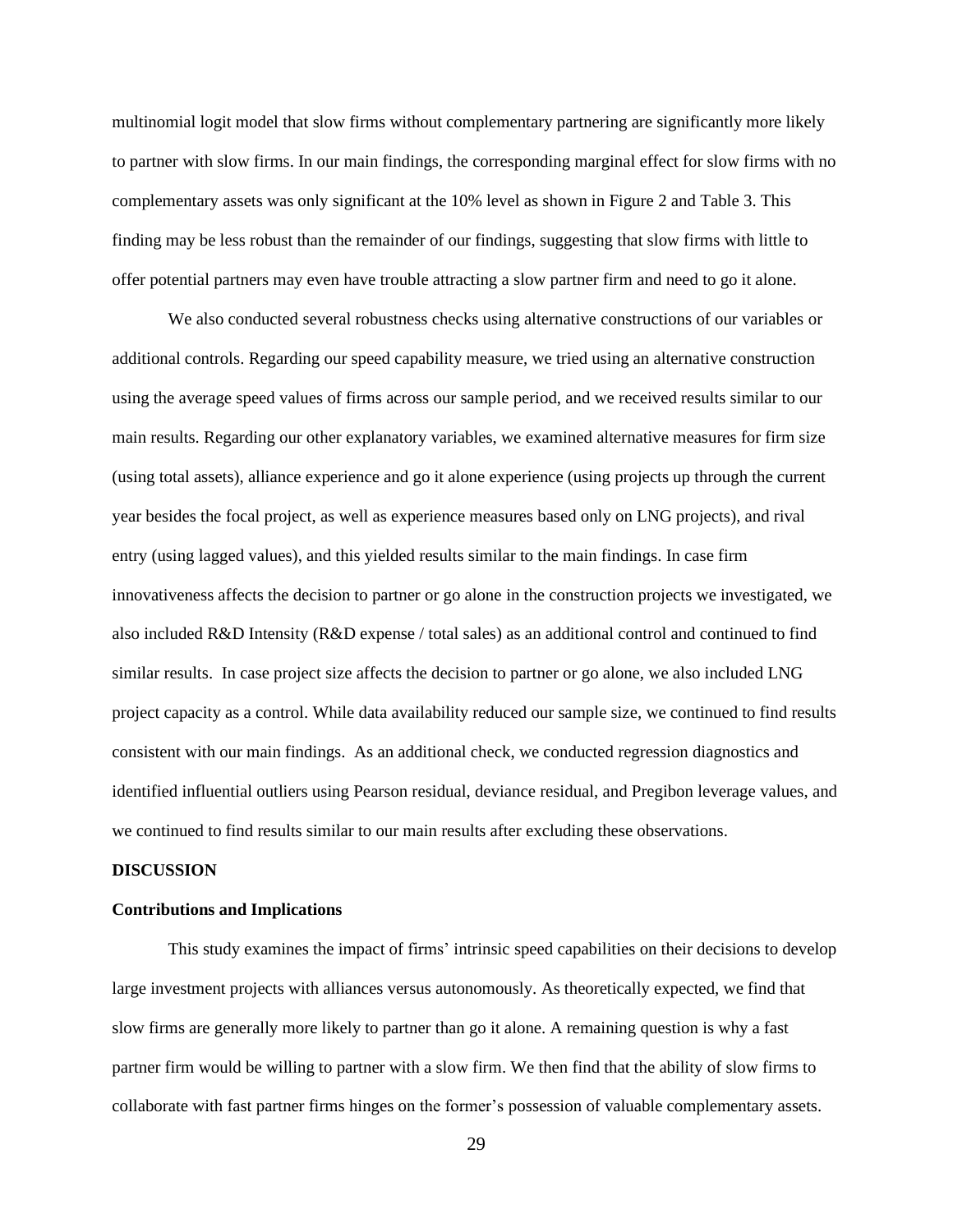multinomial logit model that slow firms without complementary partnering are significantly more likely to partner with slow firms. In our main findings, the corresponding marginal effect for slow firms with no complementary assets was only significant at the 10% level as shown in Figure 2 and Table 3. This finding may be less robust than the remainder of our findings, suggesting that slow firms with little to offer potential partners may even have trouble attracting a slow partner firm and need to go it alone.

We also conducted several robustness checks using alternative constructions of our variables or additional controls. Regarding our speed capability measure, we tried using an alternative construction using the average speed values of firms across our sample period, and we received results similar to our main results. Regarding our other explanatory variables, we examined alternative measures for firm size (using total assets), alliance experience and go it alone experience (using projects up through the current year besides the focal project, as well as experience measures based only on LNG projects), and rival entry (using lagged values), and this yielded results similar to the main findings. In case firm innovativeness affects the decision to partner or go alone in the construction projects we investigated, we also included R&D Intensity (R&D expense / total sales) as an additional control and continued to find similar results. In case project size affects the decision to partner or go alone, we also included LNG project capacity as a control. While data availability reduced our sample size, we continued to find results consistent with our main findings. As an additional check, we conducted regression diagnostics and identified influential outliers using Pearson residual, deviance residual, and Pregibon leverage values, and we continued to find results similar to our main results after excluding these observations.

#### **DISCUSSION**

#### **Contributions and Implications**

This study examines the impact of firms' intrinsic speed capabilities on their decisions to develop large investment projects with alliances versus autonomously. As theoretically expected, we find that slow firms are generally more likely to partner than go it alone. A remaining question is why a fast partner firm would be willing to partner with a slow firm. We then find that the ability of slow firms to collaborate with fast partner firms hinges on the former's possession of valuable complementary assets.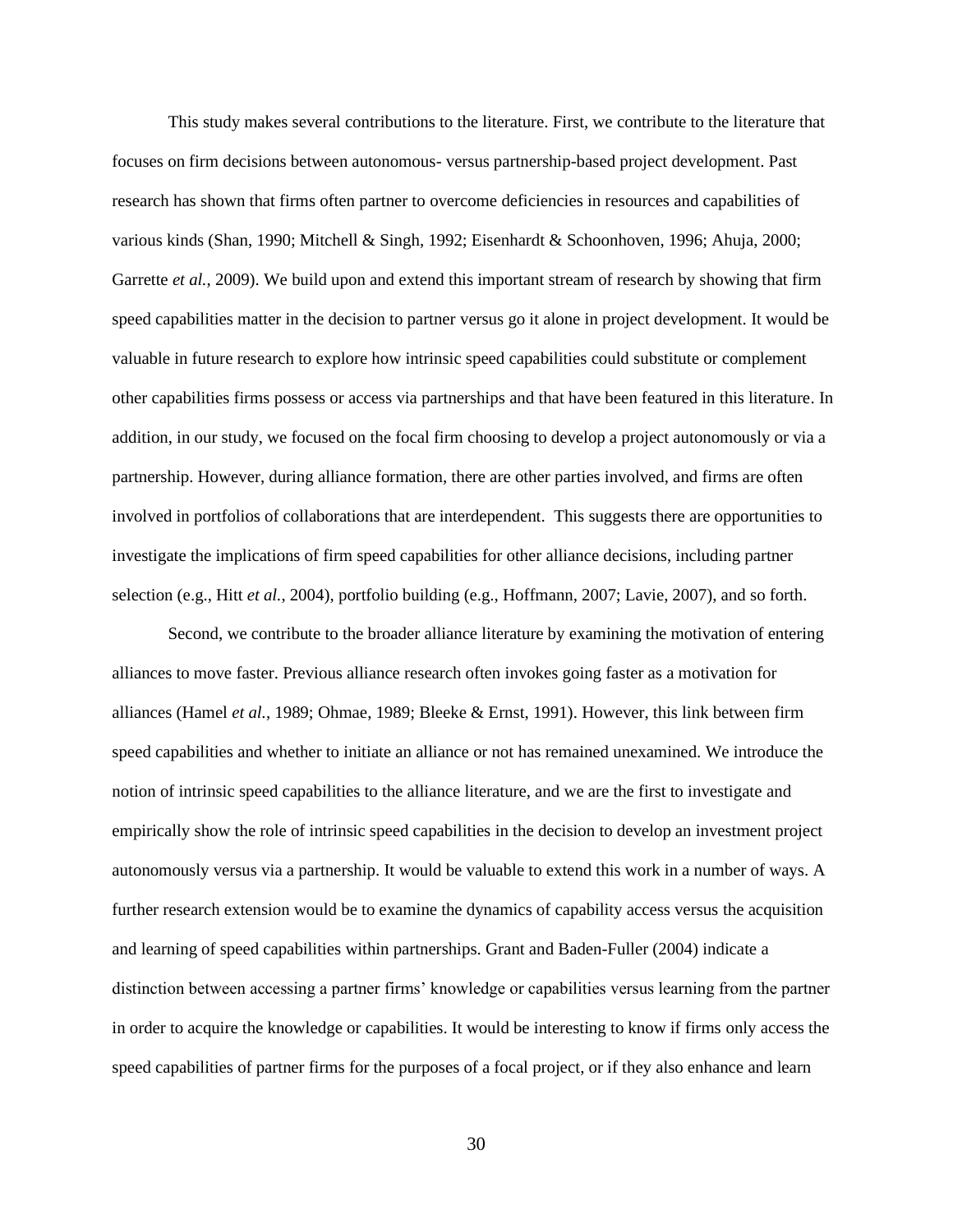This study makes several contributions to the literature. First, we contribute to the literature that focuses on firm decisions between autonomous- versus partnership-based project development. Past research has shown that firms often partner to overcome deficiencies in resources and capabilities of various kinds (Shan, 1990; Mitchell & Singh, 1992; Eisenhardt & Schoonhoven, 1996; Ahuja, 2000; Garrette *et al.*, 2009). We build upon and extend this important stream of research by showing that firm speed capabilities matter in the decision to partner versus go it alone in project development. It would be valuable in future research to explore how intrinsic speed capabilities could substitute or complement other capabilities firms possess or access via partnerships and that have been featured in this literature. In addition, in our study, we focused on the focal firm choosing to develop a project autonomously or via a partnership. However, during alliance formation, there are other parties involved, and firms are often involved in portfolios of collaborations that are interdependent. This suggests there are opportunities to investigate the implications of firm speed capabilities for other alliance decisions, including partner selection (e.g., Hitt *et al.*, 2004), portfolio building (e.g., Hoffmann, 2007; Lavie, 2007), and so forth.

Second, we contribute to the broader alliance literature by examining the motivation of entering alliances to move faster. Previous alliance research often invokes going faster as a motivation for alliances (Hamel *et al.*, 1989; Ohmae, 1989; Bleeke & Ernst, 1991). However, this link between firm speed capabilities and whether to initiate an alliance or not has remained unexamined. We introduce the notion of intrinsic speed capabilities to the alliance literature, and we are the first to investigate and empirically show the role of intrinsic speed capabilities in the decision to develop an investment project autonomously versus via a partnership. It would be valuable to extend this work in a number of ways. A further research extension would be to examine the dynamics of capability access versus the acquisition and learning of speed capabilities within partnerships. Grant and Baden-Fuller (2004) indicate a distinction between accessing a partner firms' knowledge or capabilities versus learning from the partner in order to acquire the knowledge or capabilities. It would be interesting to know if firms only access the speed capabilities of partner firms for the purposes of a focal project, or if they also enhance and learn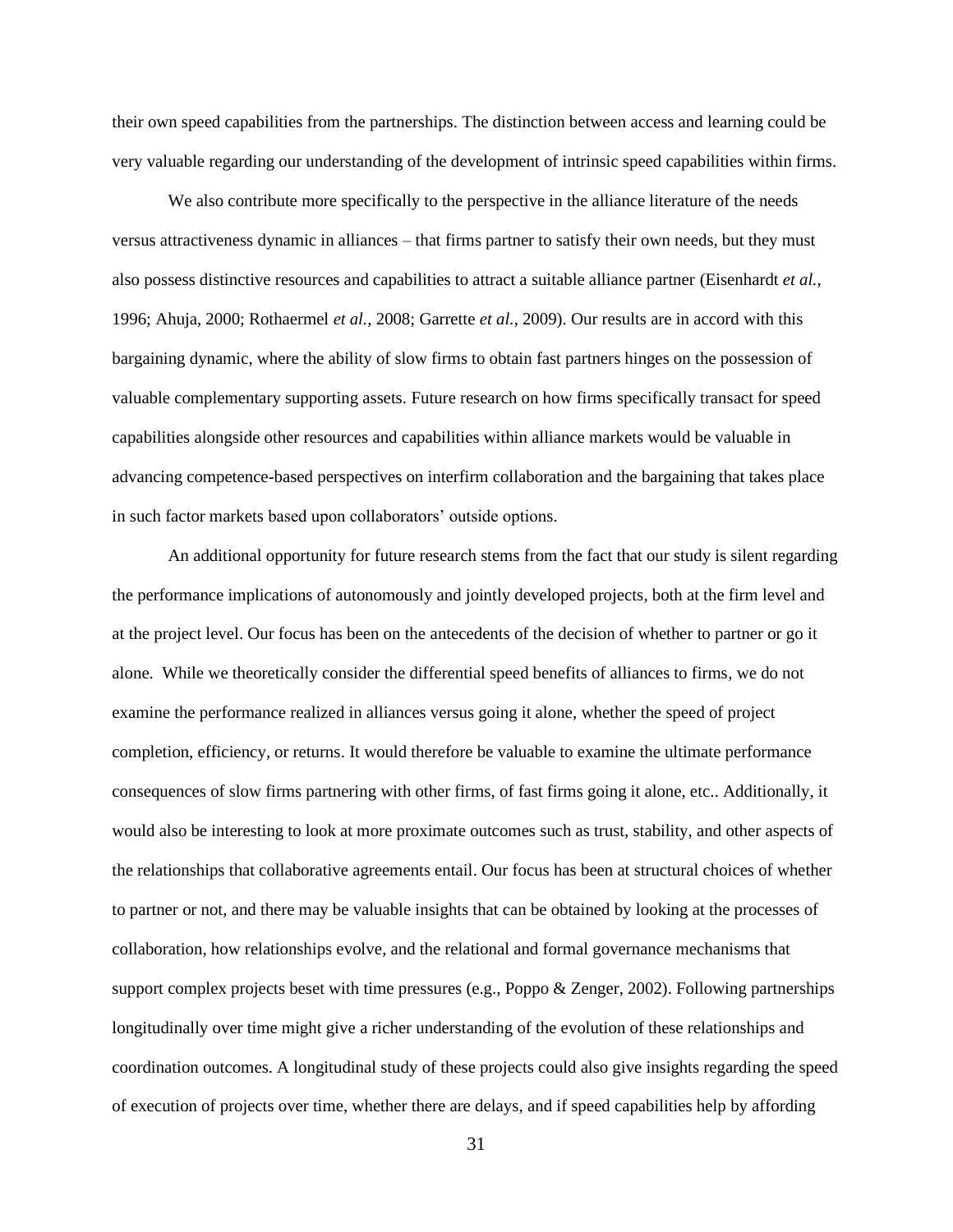their own speed capabilities from the partnerships. The distinction between access and learning could be very valuable regarding our understanding of the development of intrinsic speed capabilities within firms.

We also contribute more specifically to the perspective in the alliance literature of the needs versus attractiveness dynamic in alliances – that firms partner to satisfy their own needs, but they must also possess distinctive resources and capabilities to attract a suitable alliance partner (Eisenhardt *et al.*, 1996; Ahuja, 2000; Rothaermel *et al.*, 2008; Garrette *et al.*, 2009). Our results are in accord with this bargaining dynamic, where the ability of slow firms to obtain fast partners hinges on the possession of valuable complementary supporting assets. Future research on how firms specifically transact for speed capabilities alongside other resources and capabilities within alliance markets would be valuable in advancing competence-based perspectives on interfirm collaboration and the bargaining that takes place in such factor markets based upon collaborators' outside options.

An additional opportunity for future research stems from the fact that our study is silent regarding the performance implications of autonomously and jointly developed projects, both at the firm level and at the project level. Our focus has been on the antecedents of the decision of whether to partner or go it alone. While we theoretically consider the differential speed benefits of alliances to firms, we do not examine the performance realized in alliances versus going it alone, whether the speed of project completion, efficiency, or returns. It would therefore be valuable to examine the ultimate performance consequences of slow firms partnering with other firms, of fast firms going it alone, etc.. Additionally, it would also be interesting to look at more proximate outcomes such as trust, stability, and other aspects of the relationships that collaborative agreements entail. Our focus has been at structural choices of whether to partner or not, and there may be valuable insights that can be obtained by looking at the processes of collaboration, how relationships evolve, and the relational and formal governance mechanisms that support complex projects beset with time pressures (e.g., Poppo & Zenger, 2002). Following partnerships longitudinally over time might give a richer understanding of the evolution of these relationships and coordination outcomes. A longitudinal study of these projects could also give insights regarding the speed of execution of projects over time, whether there are delays, and if speed capabilities help by affording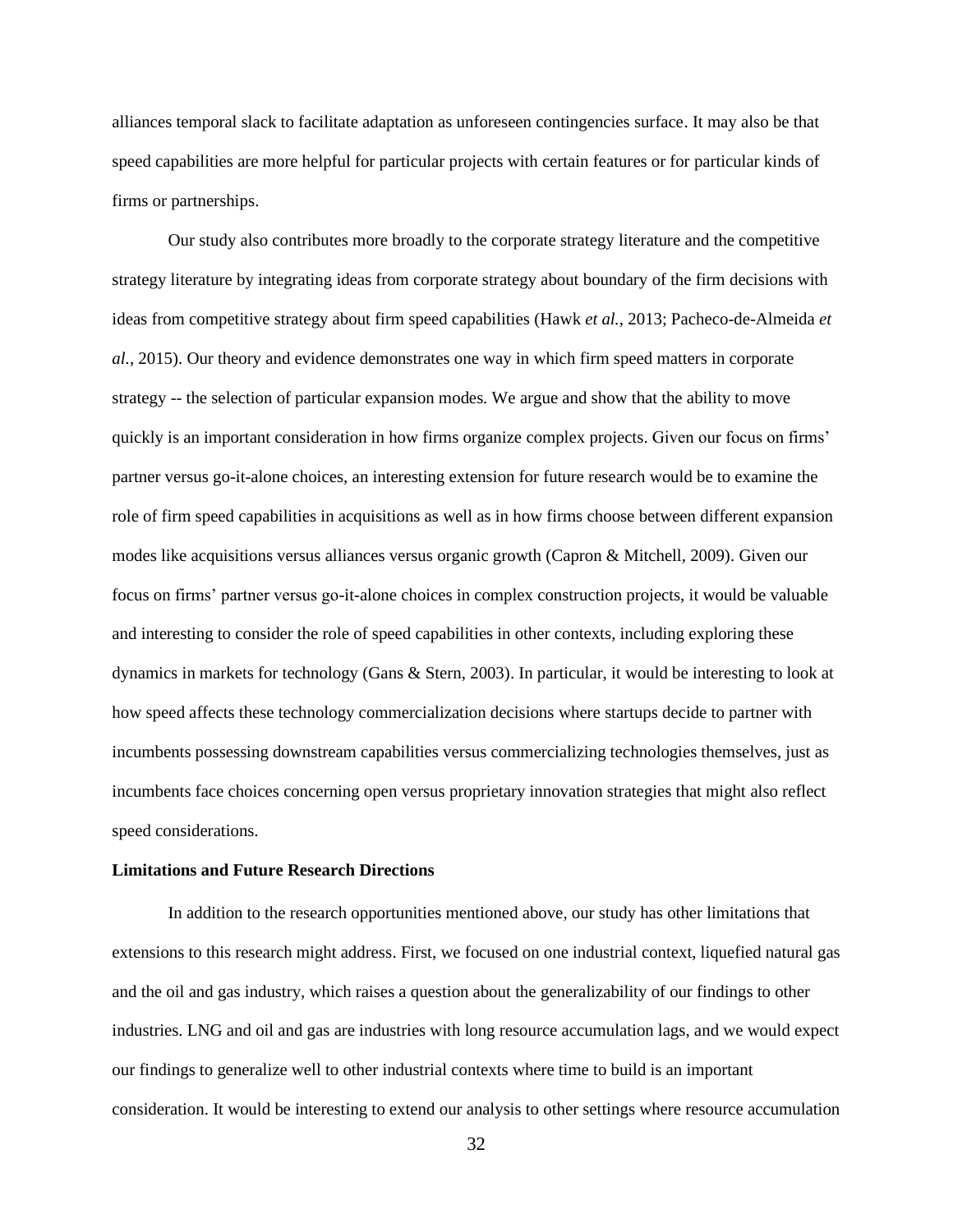alliances temporal slack to facilitate adaptation as unforeseen contingencies surface. It may also be that speed capabilities are more helpful for particular projects with certain features or for particular kinds of firms or partnerships.

Our study also contributes more broadly to the corporate strategy literature and the competitive strategy literature by integrating ideas from corporate strategy about boundary of the firm decisions with ideas from competitive strategy about firm speed capabilities (Hawk *et al.*, 2013; Pacheco-de-Almeida *et al.*, 2015). Our theory and evidence demonstrates one way in which firm speed matters in corporate strategy -- the selection of particular expansion modes. We argue and show that the ability to move quickly is an important consideration in how firms organize complex projects. Given our focus on firms' partner versus go-it-alone choices, an interesting extension for future research would be to examine the role of firm speed capabilities in acquisitions as well as in how firms choose between different expansion modes like acquisitions versus alliances versus organic growth (Capron & Mitchell, 2009). Given our focus on firms' partner versus go-it-alone choices in complex construction projects, it would be valuable and interesting to consider the role of speed capabilities in other contexts, including exploring these dynamics in markets for technology (Gans & Stern, 2003). In particular, it would be interesting to look at how speed affects these technology commercialization decisions where startups decide to partner with incumbents possessing downstream capabilities versus commercializing technologies themselves, just as incumbents face choices concerning open versus proprietary innovation strategies that might also reflect speed considerations.

#### **Limitations and Future Research Directions**

In addition to the research opportunities mentioned above, our study has other limitations that extensions to this research might address. First, we focused on one industrial context, liquefied natural gas and the oil and gas industry, which raises a question about the generalizability of our findings to other industries. LNG and oil and gas are industries with long resource accumulation lags, and we would expect our findings to generalize well to other industrial contexts where time to build is an important consideration. It would be interesting to extend our analysis to other settings where resource accumulation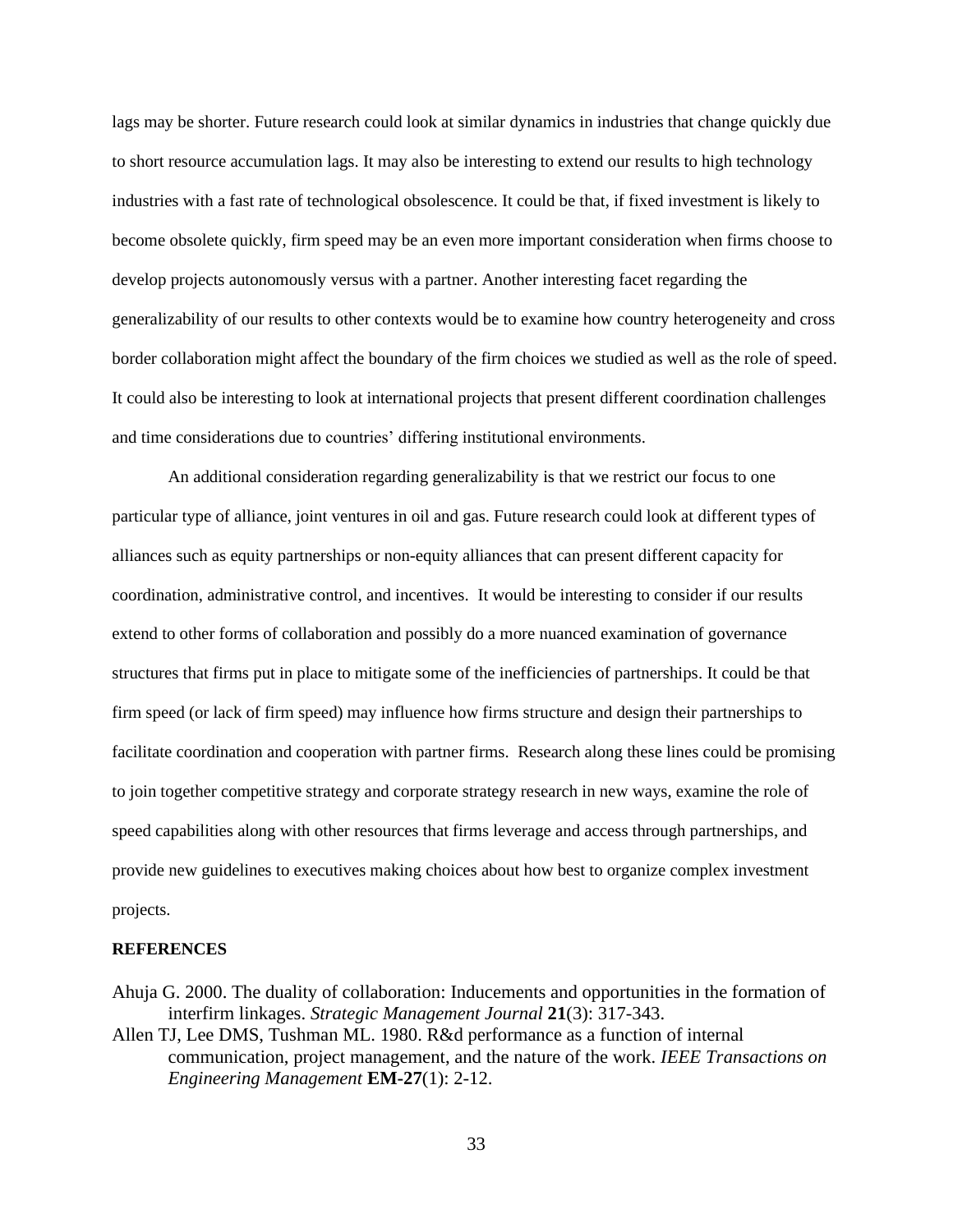lags may be shorter. Future research could look at similar dynamics in industries that change quickly due to short resource accumulation lags. It may also be interesting to extend our results to high technology industries with a fast rate of technological obsolescence. It could be that, if fixed investment is likely to become obsolete quickly, firm speed may be an even more important consideration when firms choose to develop projects autonomously versus with a partner. Another interesting facet regarding the generalizability of our results to other contexts would be to examine how country heterogeneity and cross border collaboration might affect the boundary of the firm choices we studied as well as the role of speed. It could also be interesting to look at international projects that present different coordination challenges and time considerations due to countries' differing institutional environments.

An additional consideration regarding generalizability is that we restrict our focus to one particular type of alliance, joint ventures in oil and gas. Future research could look at different types of alliances such as equity partnerships or non-equity alliances that can present different capacity for coordination, administrative control, and incentives. It would be interesting to consider if our results extend to other forms of collaboration and possibly do a more nuanced examination of governance structures that firms put in place to mitigate some of the inefficiencies of partnerships. It could be that firm speed (or lack of firm speed) may influence how firms structure and design their partnerships to facilitate coordination and cooperation with partner firms. Research along these lines could be promising to join together competitive strategy and corporate strategy research in new ways, examine the role of speed capabilities along with other resources that firms leverage and access through partnerships, and provide new guidelines to executives making choices about how best to organize complex investment projects.

# **REFERENCES**

- Ahuja G. 2000. The duality of collaboration: Inducements and opportunities in the formation of interfirm linkages. *Strategic Management Journal* **21**(3): 317-343.
- Allen TJ, Lee DMS, Tushman ML. 1980. R&d performance as a function of internal communication, project management, and the nature of the work. *IEEE Transactions on Engineering Management* **EM-27**(1): 2-12.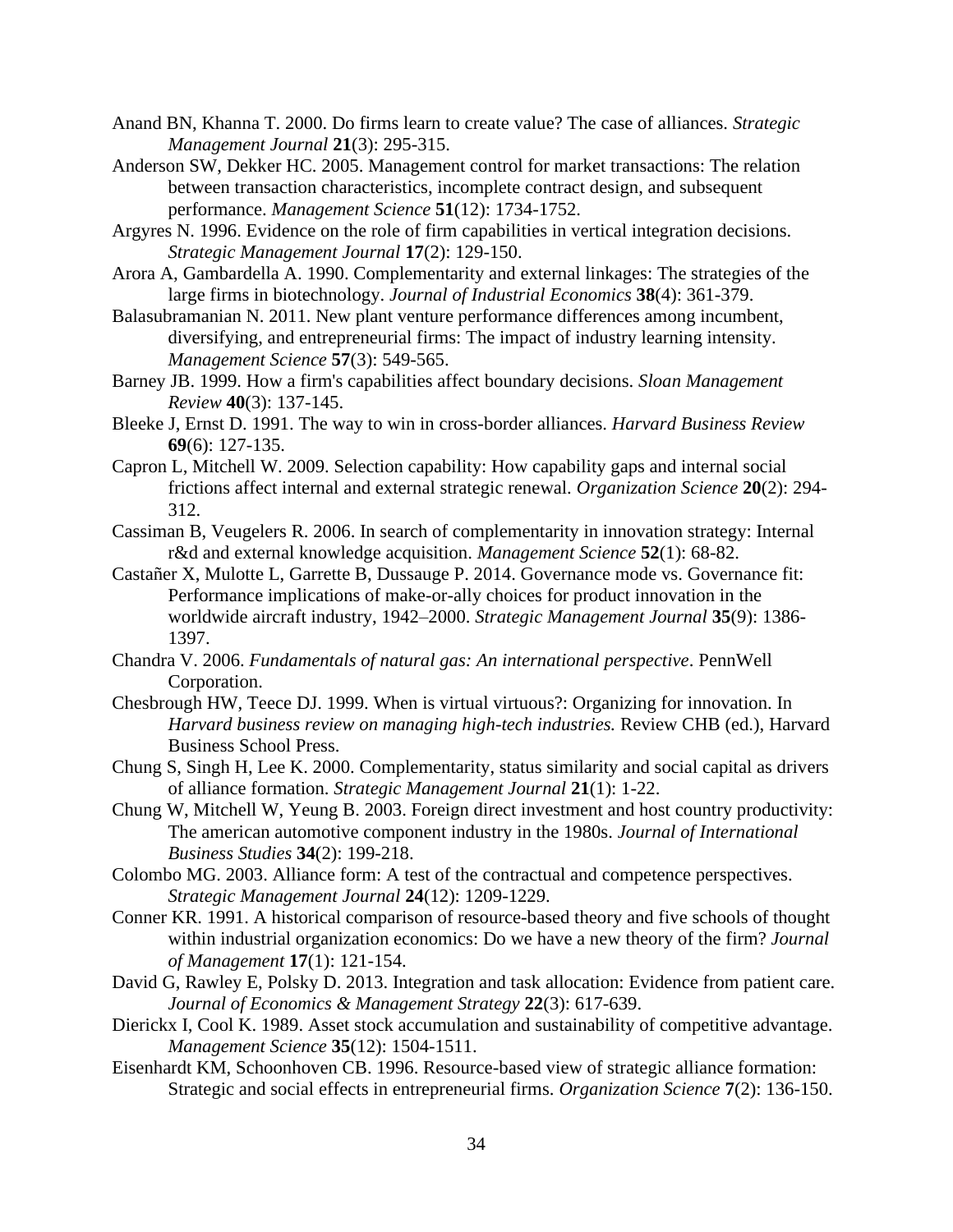- Anand BN, Khanna T. 2000. Do firms learn to create value? The case of alliances. *Strategic Management Journal* **21**(3): 295-315.
- Anderson SW, Dekker HC. 2005. Management control for market transactions: The relation between transaction characteristics, incomplete contract design, and subsequent performance. *Management Science* **51**(12): 1734-1752.
- Argyres N. 1996. Evidence on the role of firm capabilities in vertical integration decisions. *Strategic Management Journal* **17**(2): 129-150.
- Arora A, Gambardella A. 1990. Complementarity and external linkages: The strategies of the large firms in biotechnology. *Journal of Industrial Economics* **38**(4): 361-379.
- Balasubramanian N. 2011. New plant venture performance differences among incumbent, diversifying, and entrepreneurial firms: The impact of industry learning intensity. *Management Science* **57**(3): 549-565.
- Barney JB. 1999. How a firm's capabilities affect boundary decisions. *Sloan Management Review* **40**(3): 137-145.
- Bleeke J, Ernst D. 1991. The way to win in cross-border alliances. *Harvard Business Review* **69**(6): 127-135.
- Capron L, Mitchell W. 2009. Selection capability: How capability gaps and internal social frictions affect internal and external strategic renewal. *Organization Science* **20**(2): 294- 312.
- Cassiman B, Veugelers R. 2006. In search of complementarity in innovation strategy: Internal r&d and external knowledge acquisition. *Management Science* **52**(1): 68-82.
- Castañer X, Mulotte L, Garrette B, Dussauge P. 2014. Governance mode vs. Governance fit: Performance implications of make-or-ally choices for product innovation in the worldwide aircraft industry, 1942–2000. *Strategic Management Journal* **35**(9): 1386- 1397.
- Chandra V. 2006. *Fundamentals of natural gas: An international perspective*. PennWell Corporation.
- Chesbrough HW, Teece DJ. 1999. When is virtual virtuous?: Organizing for innovation. In *Harvard business review on managing high-tech industries.* Review CHB (ed.), Harvard Business School Press.
- Chung S, Singh H, Lee K. 2000. Complementarity, status similarity and social capital as drivers of alliance formation. *Strategic Management Journal* **21**(1): 1-22.
- Chung W, Mitchell W, Yeung B. 2003. Foreign direct investment and host country productivity: The american automotive component industry in the 1980s. *Journal of International Business Studies* **34**(2): 199-218.
- Colombo MG. 2003. Alliance form: A test of the contractual and competence perspectives. *Strategic Management Journal* **24**(12): 1209-1229.
- Conner KR. 1991. A historical comparison of resource-based theory and five schools of thought within industrial organization economics: Do we have a new theory of the firm? *Journal of Management* **17**(1): 121-154.
- David G, Rawley E, Polsky D. 2013. Integration and task allocation: Evidence from patient care. *Journal of Economics & Management Strategy* **22**(3): 617-639.
- Dierickx I, Cool K. 1989. Asset stock accumulation and sustainability of competitive advantage. *Management Science* **35**(12): 1504-1511.
- Eisenhardt KM, Schoonhoven CB. 1996. Resource-based view of strategic alliance formation: Strategic and social effects in entrepreneurial firms. *Organization Science* **7**(2): 136-150.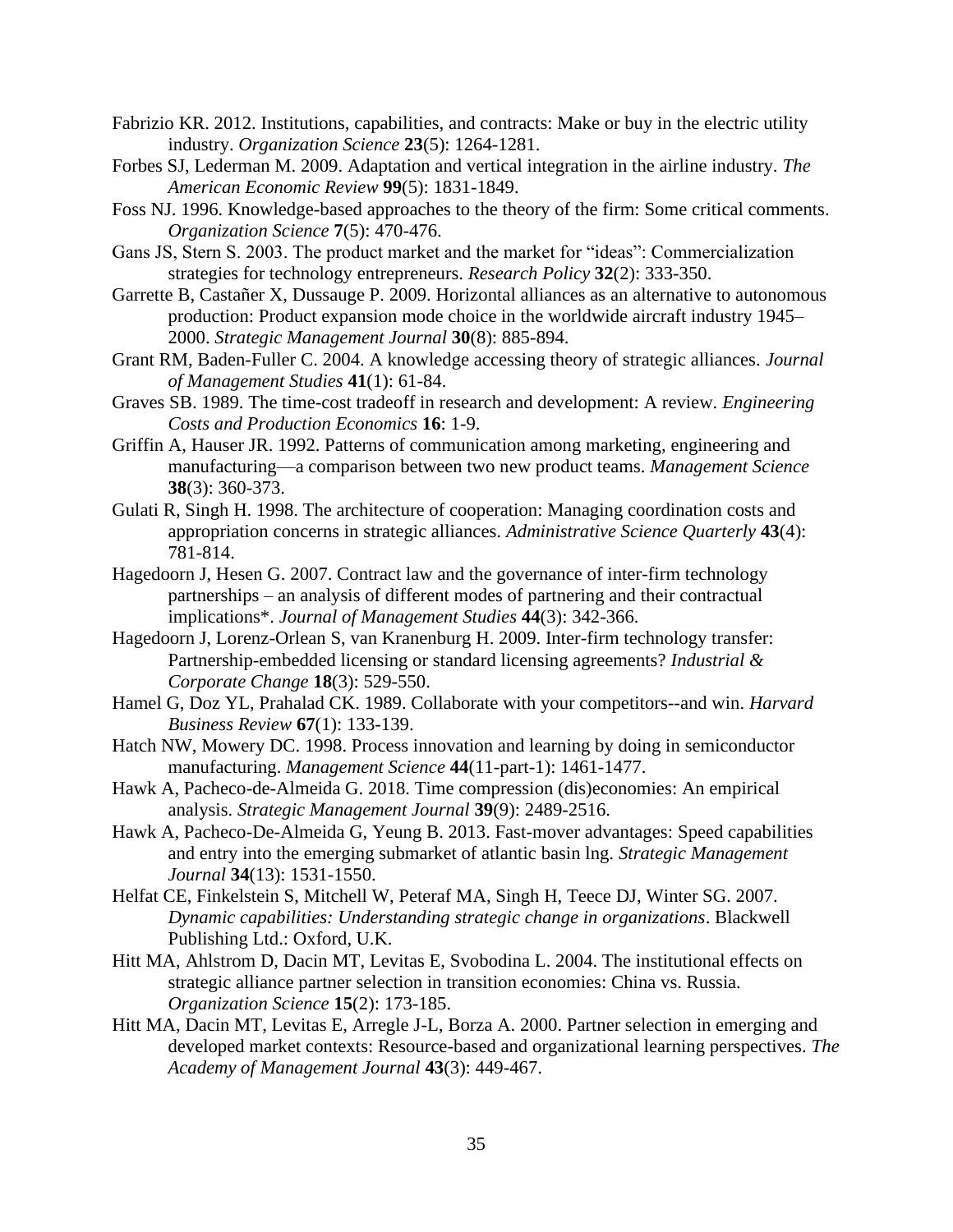- Fabrizio KR. 2012. Institutions, capabilities, and contracts: Make or buy in the electric utility industry. *Organization Science* **23**(5): 1264-1281.
- Forbes SJ, Lederman M. 2009. Adaptation and vertical integration in the airline industry. *The American Economic Review* **99**(5): 1831-1849.
- Foss NJ. 1996. Knowledge-based approaches to the theory of the firm: Some critical comments. *Organization Science* **7**(5): 470-476.
- Gans JS, Stern S. 2003. The product market and the market for "ideas": Commercialization strategies for technology entrepreneurs. *Research Policy* **32**(2): 333-350.
- Garrette B, Castañer X, Dussauge P. 2009. Horizontal alliances as an alternative to autonomous production: Product expansion mode choice in the worldwide aircraft industry 1945– 2000. *Strategic Management Journal* **30**(8): 885-894.
- Grant RM, Baden-Fuller C. 2004. A knowledge accessing theory of strategic alliances. *Journal of Management Studies* **41**(1): 61-84.
- Graves SB. 1989. The time-cost tradeoff in research and development: A review. *Engineering Costs and Production Economics* **16**: 1-9.
- Griffin A, Hauser JR. 1992. Patterns of communication among marketing, engineering and manufacturing—a comparison between two new product teams. *Management Science* **38**(3): 360-373.
- Gulati R, Singh H. 1998. The architecture of cooperation: Managing coordination costs and appropriation concerns in strategic alliances. *Administrative Science Quarterly* **43**(4): 781-814.
- Hagedoorn J, Hesen G. 2007. Contract law and the governance of inter-firm technology partnerships – an analysis of different modes of partnering and their contractual implications\*. *Journal of Management Studies* **44**(3): 342-366.
- Hagedoorn J, Lorenz-Orlean S, van Kranenburg H. 2009. Inter-firm technology transfer: Partnership-embedded licensing or standard licensing agreements? *Industrial & Corporate Change* **18**(3): 529-550.
- Hamel G, Doz YL, Prahalad CK. 1989. Collaborate with your competitors--and win. *Harvard Business Review* **67**(1): 133-139.
- Hatch NW, Mowery DC. 1998. Process innovation and learning by doing in semiconductor manufacturing. *Management Science* **44**(11-part-1): 1461-1477.
- Hawk A, Pacheco-de-Almeida G. 2018. Time compression (dis)economies: An empirical analysis. *Strategic Management Journal* **39**(9): 2489-2516.
- Hawk A, Pacheco-De-Almeida G, Yeung B. 2013. Fast-mover advantages: Speed capabilities and entry into the emerging submarket of atlantic basin lng. *Strategic Management Journal* **34**(13): 1531-1550.
- Helfat CE, Finkelstein S, Mitchell W, Peteraf MA, Singh H, Teece DJ, Winter SG. 2007. *Dynamic capabilities: Understanding strategic change in organizations*. Blackwell Publishing Ltd.: Oxford, U.K.
- Hitt MA, Ahlstrom D, Dacin MT, Levitas E, Svobodina L. 2004. The institutional effects on strategic alliance partner selection in transition economies: China vs. Russia. *Organization Science* **15**(2): 173-185.
- Hitt MA, Dacin MT, Levitas E, Arregle J-L, Borza A. 2000. Partner selection in emerging and developed market contexts: Resource-based and organizational learning perspectives. *The Academy of Management Journal* **43**(3): 449-467.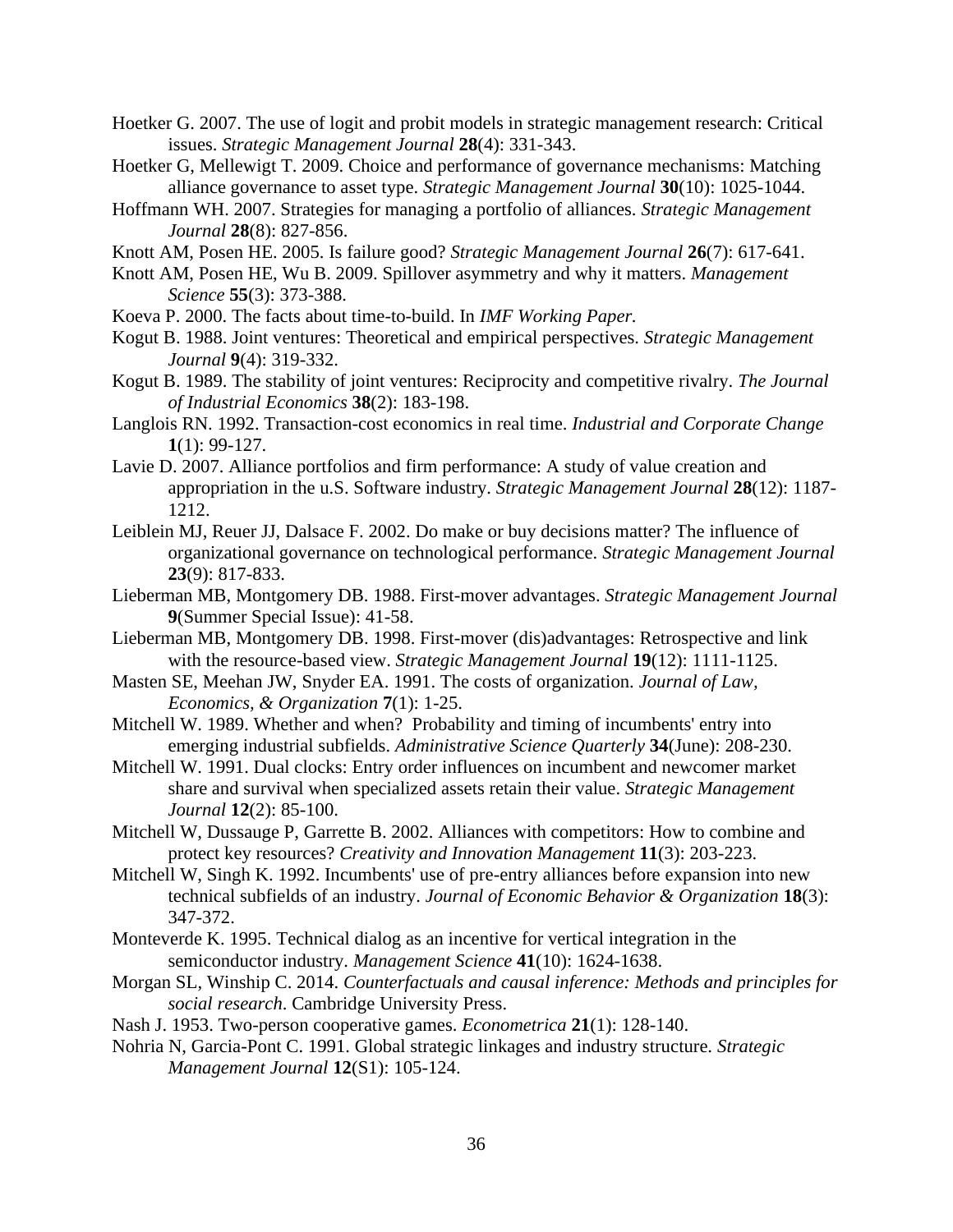- Hoetker G. 2007. The use of logit and probit models in strategic management research: Critical issues. *Strategic Management Journal* **28**(4): 331-343.
- Hoetker G, Mellewigt T. 2009. Choice and performance of governance mechanisms: Matching alliance governance to asset type. *Strategic Management Journal* **30**(10): 1025-1044.
- Hoffmann WH. 2007. Strategies for managing a portfolio of alliances. *Strategic Management Journal* **28**(8): 827-856.
- Knott AM, Posen HE. 2005. Is failure good? *Strategic Management Journal* **26**(7): 617-641.
- Knott AM, Posen HE, Wu B. 2009. Spillover asymmetry and why it matters. *Management Science* **55**(3): 373-388.
- Koeva P. 2000. The facts about time-to-build. In *IMF Working Paper.*
- Kogut B. 1988. Joint ventures: Theoretical and empirical perspectives. *Strategic Management Journal* **9**(4): 319-332.
- Kogut B. 1989. The stability of joint ventures: Reciprocity and competitive rivalry. *The Journal of Industrial Economics* **38**(2): 183-198.
- Langlois RN. 1992. Transaction-cost economics in real time. *Industrial and Corporate Change* **1**(1): 99-127.
- Lavie D. 2007. Alliance portfolios and firm performance: A study of value creation and appropriation in the u.S. Software industry. *Strategic Management Journal* **28**(12): 1187- 1212.
- Leiblein MJ, Reuer JJ, Dalsace F. 2002. Do make or buy decisions matter? The influence of organizational governance on technological performance. *Strategic Management Journal* **23**(9): 817-833.
- Lieberman MB, Montgomery DB. 1988. First-mover advantages. *Strategic Management Journal* **9**(Summer Special Issue): 41-58.
- Lieberman MB, Montgomery DB. 1998. First-mover (dis)advantages: Retrospective and link with the resource-based view. *Strategic Management Journal* **19**(12): 1111-1125.
- Masten SE, Meehan JW, Snyder EA. 1991. The costs of organization. *Journal of Law, Economics, & Organization* **7**(1): 1-25.
- Mitchell W. 1989. Whether and when? Probability and timing of incumbents' entry into emerging industrial subfields. *Administrative Science Quarterly* **34**(June): 208-230.
- Mitchell W. 1991. Dual clocks: Entry order influences on incumbent and newcomer market share and survival when specialized assets retain their value. *Strategic Management Journal* **12**(2): 85-100.
- Mitchell W, Dussauge P, Garrette B. 2002. Alliances with competitors: How to combine and protect key resources? *Creativity and Innovation Management* **11**(3): 203-223.
- Mitchell W, Singh K. 1992. Incumbents' use of pre-entry alliances before expansion into new technical subfields of an industry. *Journal of Economic Behavior & Organization* **18**(3): 347-372.
- Monteverde K. 1995. Technical dialog as an incentive for vertical integration in the semiconductor industry. *Management Science* **41**(10): 1624-1638.
- Morgan SL, Winship C. 2014. *Counterfactuals and causal inference: Methods and principles for social research*. Cambridge University Press.
- Nash J. 1953. Two-person cooperative games. *Econometrica* **21**(1): 128-140.
- Nohria N, Garcia-Pont C. 1991. Global strategic linkages and industry structure. *Strategic Management Journal* **12**(S1): 105-124.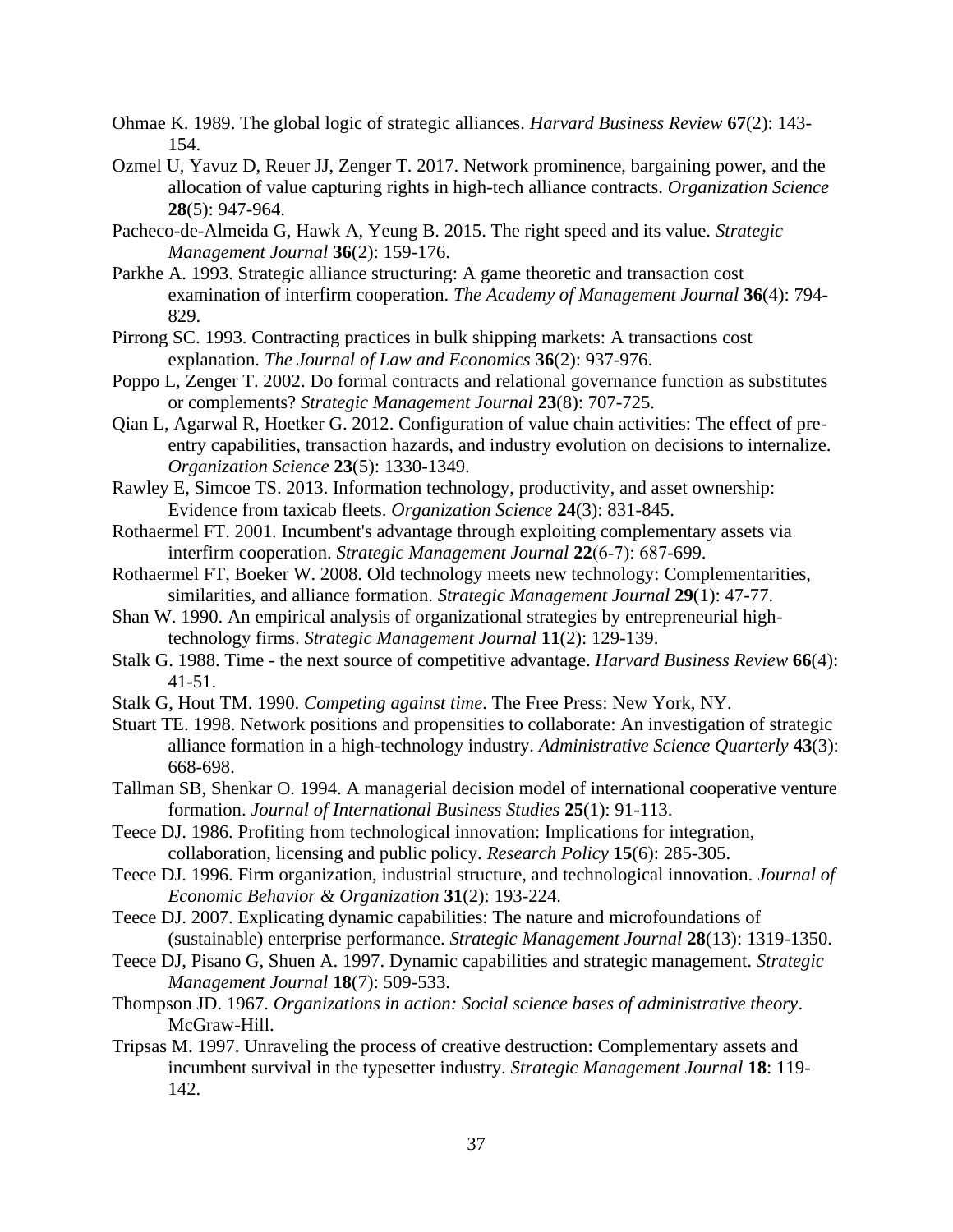- Ohmae K. 1989. The global logic of strategic alliances. *Harvard Business Review* **67**(2): 143- 154.
- Ozmel U, Yavuz D, Reuer JJ, Zenger T. 2017. Network prominence, bargaining power, and the allocation of value capturing rights in high-tech alliance contracts. *Organization Science* **28**(5): 947-964.
- Pacheco-de-Almeida G, Hawk A, Yeung B. 2015. The right speed and its value. *Strategic Management Journal* **36**(2): 159-176.
- Parkhe A. 1993. Strategic alliance structuring: A game theoretic and transaction cost examination of interfirm cooperation. *The Academy of Management Journal* **36**(4): 794- 829.
- Pirrong SC. 1993. Contracting practices in bulk shipping markets: A transactions cost explanation. *The Journal of Law and Economics* **36**(2): 937-976.
- Poppo L, Zenger T. 2002. Do formal contracts and relational governance function as substitutes or complements? *Strategic Management Journal* **23**(8): 707-725.
- Qian L, Agarwal R, Hoetker G. 2012. Configuration of value chain activities: The effect of preentry capabilities, transaction hazards, and industry evolution on decisions to internalize. *Organization Science* **23**(5): 1330-1349.
- Rawley E, Simcoe TS. 2013. Information technology, productivity, and asset ownership: Evidence from taxicab fleets. *Organization Science* **24**(3): 831-845.
- Rothaermel FT. 2001. Incumbent's advantage through exploiting complementary assets via interfirm cooperation. *Strategic Management Journal* **22**(6‐7): 687-699.
- Rothaermel FT, Boeker W. 2008. Old technology meets new technology: Complementarities, similarities, and alliance formation. *Strategic Management Journal* **29**(1): 47-77.
- Shan W. 1990. An empirical analysis of organizational strategies by entrepreneurial hightechnology firms. *Strategic Management Journal* **11**(2): 129-139.
- Stalk G. 1988. Time the next source of competitive advantage. *Harvard Business Review* **66**(4): 41-51.
- Stalk G, Hout TM. 1990. *Competing against time*. The Free Press: New York, NY.
- Stuart TE. 1998. Network positions and propensities to collaborate: An investigation of strategic alliance formation in a high-technology industry. *Administrative Science Quarterly* **43**(3): 668-698.
- Tallman SB, Shenkar O. 1994. A managerial decision model of international cooperative venture formation. *Journal of International Business Studies* **25**(1): 91-113.
- Teece DJ. 1986. Profiting from technological innovation: Implications for integration, collaboration, licensing and public policy. *Research Policy* **15**(6): 285-305.
- Teece DJ. 1996. Firm organization, industrial structure, and technological innovation. *Journal of Economic Behavior & Organization* **31**(2): 193-224.
- Teece DJ. 2007. Explicating dynamic capabilities: The nature and microfoundations of (sustainable) enterprise performance. *Strategic Management Journal* **28**(13): 1319-1350.
- Teece DJ, Pisano G, Shuen A. 1997. Dynamic capabilities and strategic management. *Strategic Management Journal* **18**(7): 509-533.
- Thompson JD. 1967. *Organizations in action: Social science bases of administrative theory*. McGraw-Hill.
- Tripsas M. 1997. Unraveling the process of creative destruction: Complementary assets and incumbent survival in the typesetter industry. *Strategic Management Journal* **18**: 119- 142.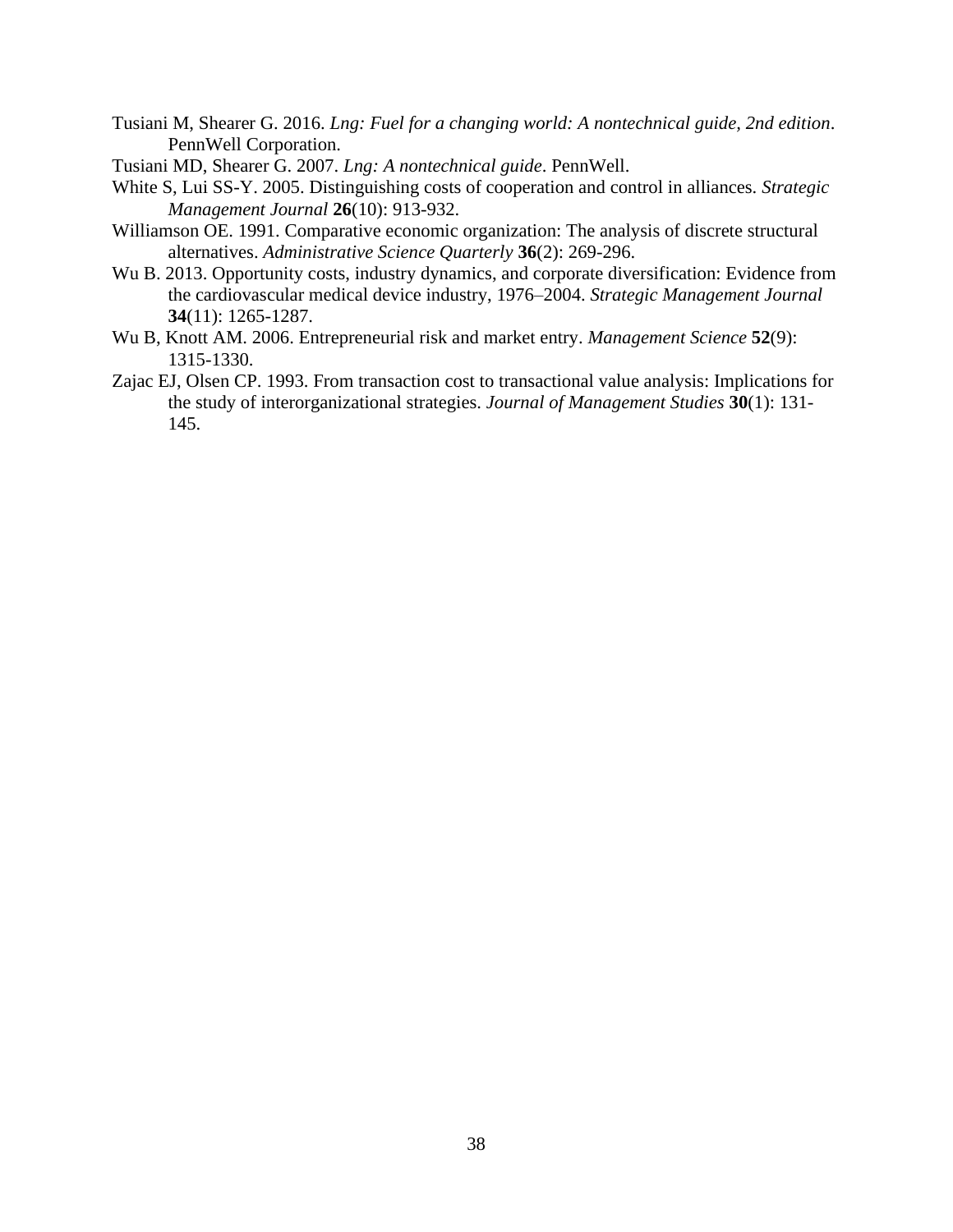- Tusiani M, Shearer G. 2016. *Lng: Fuel for a changing world: A nontechnical guide, 2nd edition*. PennWell Corporation.
- Tusiani MD, Shearer G. 2007. *Lng: A nontechnical guide*. PennWell.
- White S, Lui SS-Y. 2005. Distinguishing costs of cooperation and control in alliances. *Strategic Management Journal* **26**(10): 913-932.
- Williamson OE. 1991. Comparative economic organization: The analysis of discrete structural alternatives. *Administrative Science Quarterly* **36**(2): 269-296.
- Wu B. 2013. Opportunity costs, industry dynamics, and corporate diversification: Evidence from the cardiovascular medical device industry, 1976–2004. *Strategic Management Journal* **34**(11): 1265-1287.
- Wu B, Knott AM. 2006. Entrepreneurial risk and market entry. *Management Science* **52**(9): 1315-1330.
- Zajac EJ, Olsen CP. 1993. From transaction cost to transactional value analysis: Implications for the study of interorganizational strategies. *Journal of Management Studies* **30**(1): 131- 145.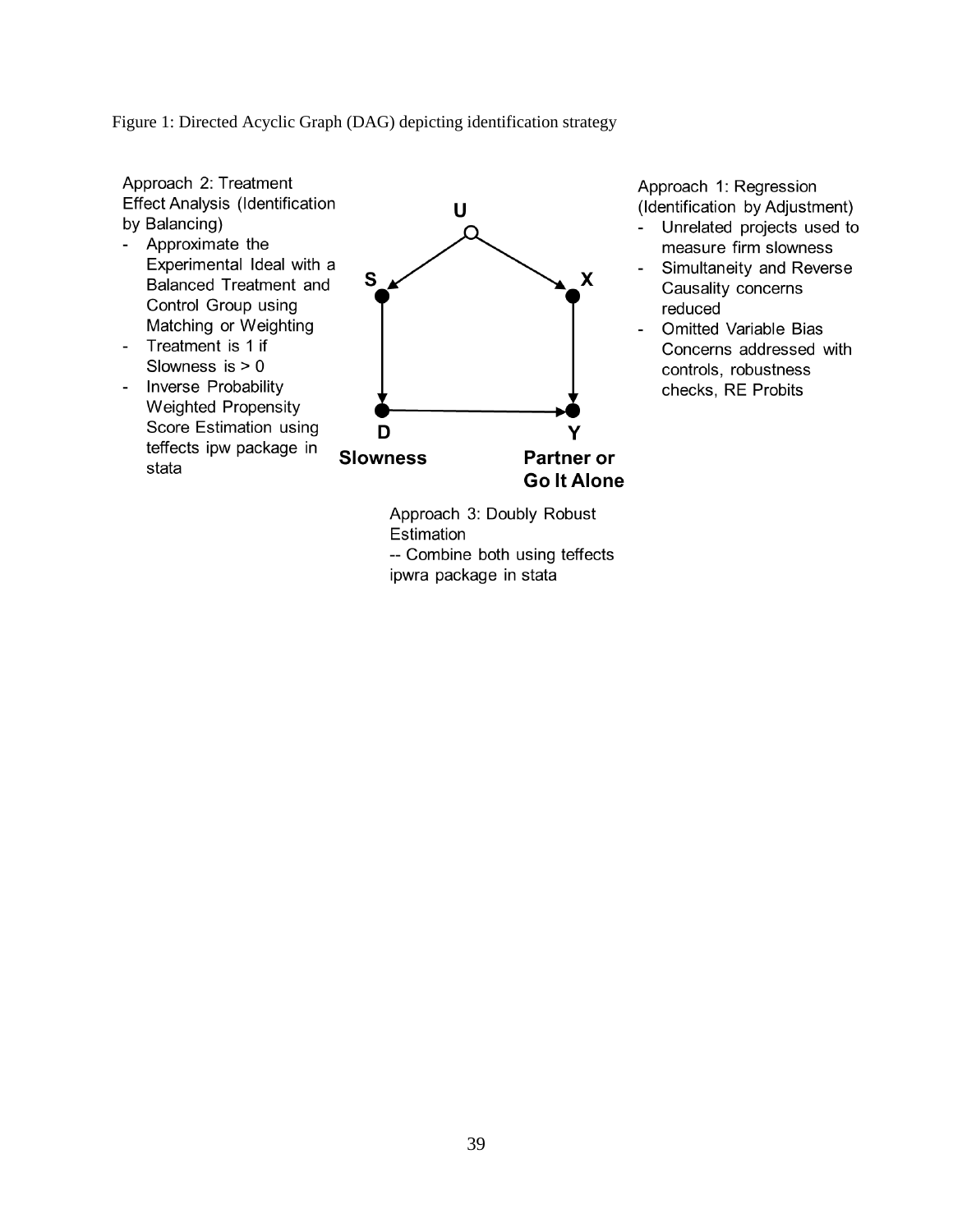Figure 1: Directed Acyclic Graph (DAG) depicting identification strategy

Approach 2: Treatment **Effect Analysis (Identification** by Balancing)

- Approximate the Experimental Ideal with a Balanced Treatment and Control Group using Matching or Weighting Treatment is 1 if  $\blacksquare$
- Slowness is  $> 0$ - Inverse Probability
- **Weighted Propensity** Score Estimation using teffects ipw package in stata



Approach 1: Regression (Identification by Adjustment)

- Unrelated projects used to  $\equiv$ measure firm slowness
- Simultaneity and Reverse  $\Box$ Causality concerns reduced
- **Omitted Variable Bias**  $\bar{\phantom{a}}$ Concerns addressed with controls, robustness checks, RE Probits

Approach 3: Doubly Robust Estimation -- Combine both using teffects ipwra package in stata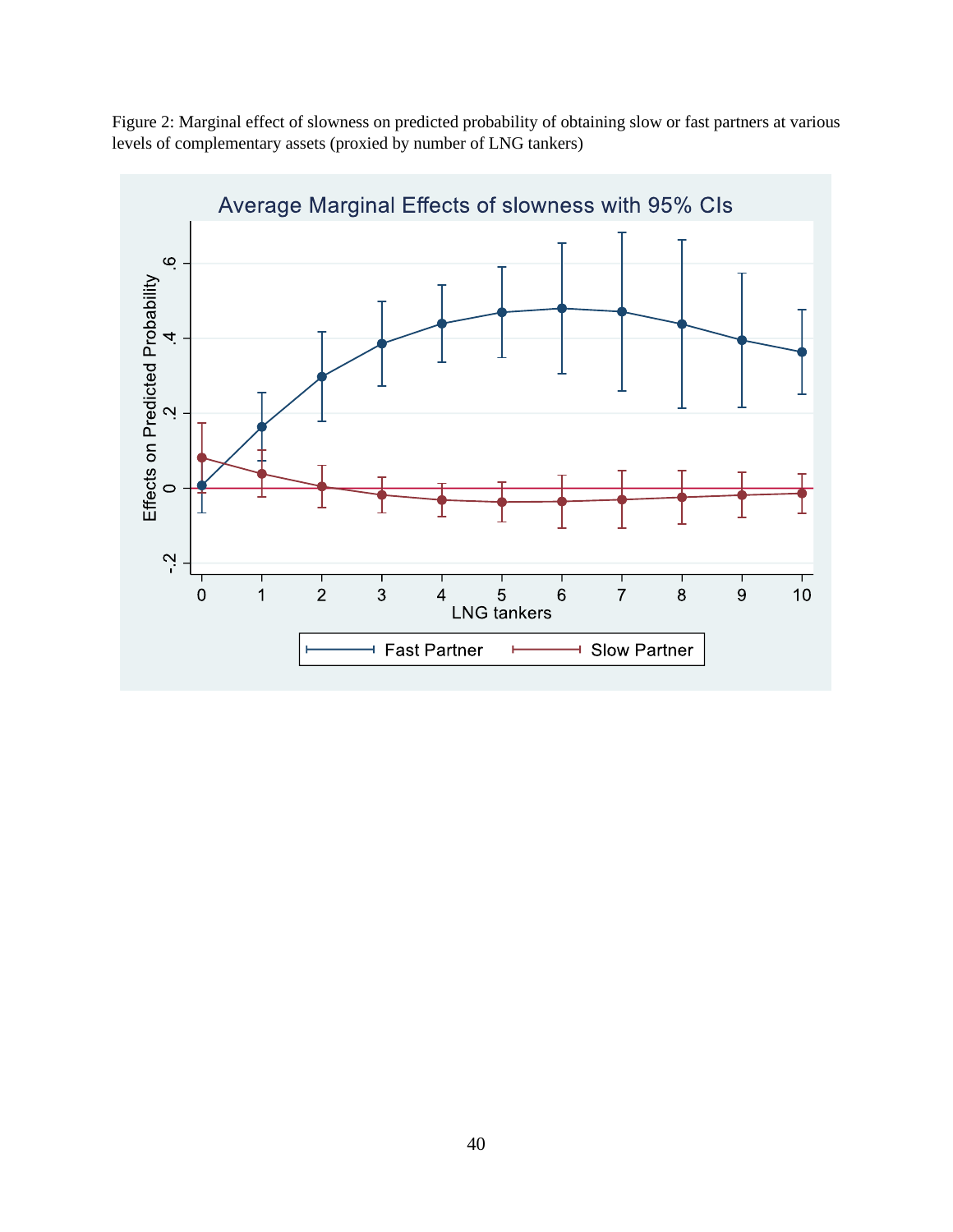

Figure 2: Marginal effect of slowness on predicted probability of obtaining slow or fast partners at various levels of complementary assets (proxied by number of LNG tankers)

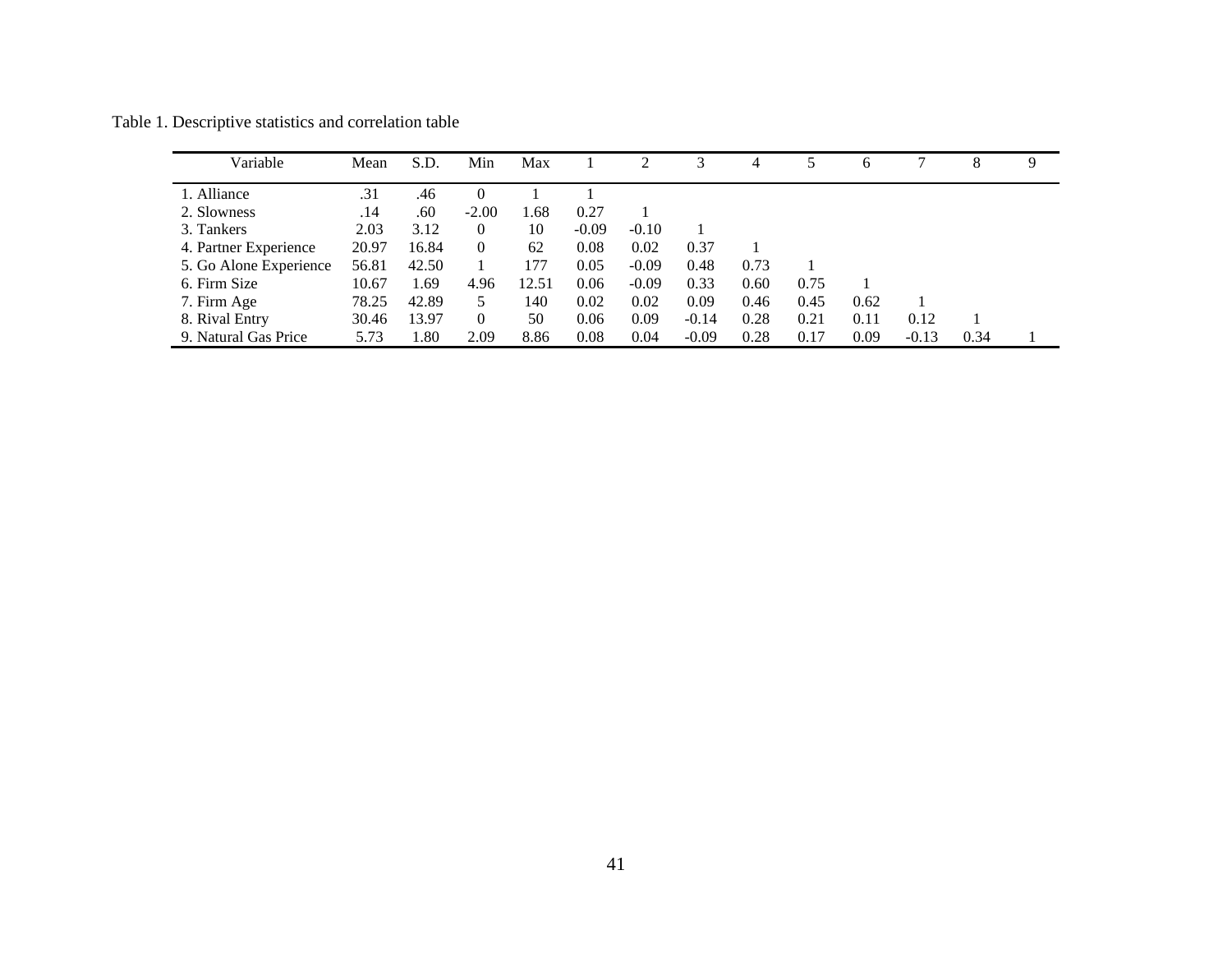| Variable               | Mean  | S.D.  | Min            | Max   |         |         | 3       | 4    |      | 6    |         | 8    | 9 |
|------------------------|-------|-------|----------------|-------|---------|---------|---------|------|------|------|---------|------|---|
| 1. Alliance            | .31   | .46   | $\Omega$       |       |         |         |         |      |      |      |         |      |   |
| 2. Slowness            | .14   | .60   | $-2.00$        | 1.68  | 0.27    |         |         |      |      |      |         |      |   |
| 3. Tankers             | 2.03  | 3.12  | $\theta$       | 10    | $-0.09$ | $-0.10$ |         |      |      |      |         |      |   |
| 4. Partner Experience  | 20.97 | 16.84 | $\overline{0}$ | 62    | 0.08    | 0.02    | 0.37    |      |      |      |         |      |   |
| 5. Go Alone Experience | 56.81 | 42.50 |                | 177   | 0.05    | $-0.09$ | 0.48    | 0.73 |      |      |         |      |   |
| 6. Firm Size           | 10.67 | 1.69  | 4.96           | 12.51 | 0.06    | $-0.09$ | 0.33    | 0.60 | 0.75 |      |         |      |   |
| 7. Firm Age            | 78.25 | 42.89 | 5.             | 140   | 0.02    | 0.02    | 0.09    | 0.46 | 0.45 | 0.62 |         |      |   |
| 8. Rival Entry         | 30.46 | 13.97 | $\Omega$       | 50    | 0.06    | 0.09    | $-0.14$ | 0.28 | 0.21 | 0.11 | 0.12    |      |   |
| 9. Natural Gas Price   | 5.73  | 1.80  | 2.09           | 8.86  | 0.08    | 0.04    | $-0.09$ | 0.28 | 0.17 | 0.09 | $-0.13$ | 0.34 |   |

Table 1. Descriptive statistics and correlation table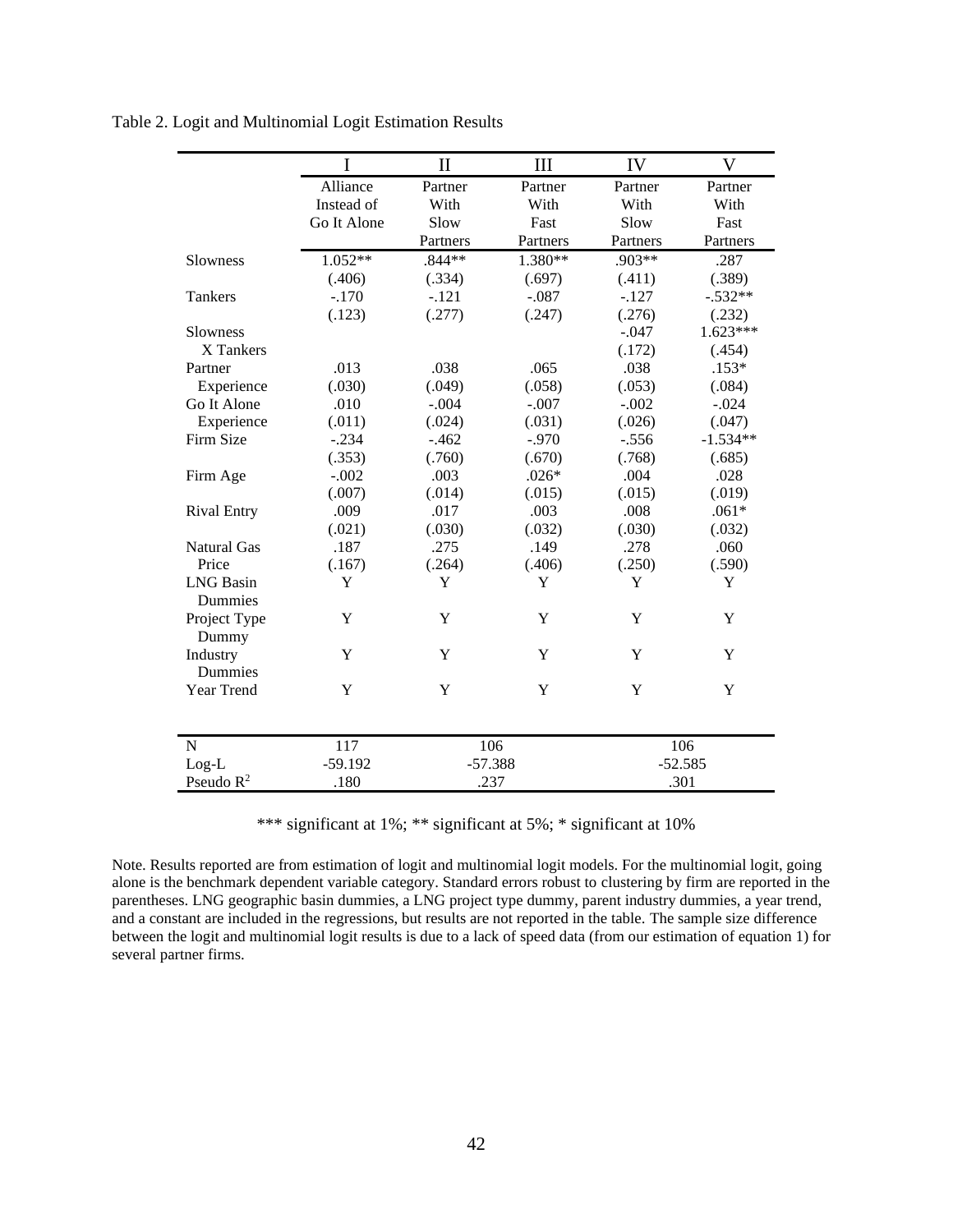|                    | I           | $\mathbf{I}$ | III      | IV                | $\overline{\mathsf{V}}$ |  |  |
|--------------------|-------------|--------------|----------|-------------------|-------------------------|--|--|
|                    | Alliance    | Partner      | Partner  | Partner           | Partner                 |  |  |
|                    | Instead of  | With         | With     | With              | With                    |  |  |
|                    | Go It Alone | Slow         | Fast     | Slow              | Fast                    |  |  |
|                    |             | Partners     | Partners | Partners          | Partners                |  |  |
| Slowness           | $1.052**$   | $.844**$     | 1.380**  | .903**            | .287                    |  |  |
|                    | (.406)      | (.334)       | (.697)   | (.411)            | (.389)                  |  |  |
| Tankers            | $-.170$     | $-.121$      | $-.087$  | $-.127$           | $-.532**$               |  |  |
|                    | (.123)      | (.277)       | (.247)   | (.276)            | (.232)                  |  |  |
| <b>Slowness</b>    |             |              |          | $-.047$           | 1.623***                |  |  |
| X Tankers          |             |              |          | (.172)            | (.454)                  |  |  |
| Partner            | .013        | .038         | .065     | .038              | $.153*$                 |  |  |
| Experience         | (.030)      | (.049)       | (.058)   | (.053)            | (.084)                  |  |  |
| Go It Alone        | .010        | $-.004$      | $-.007$  | $-.002$           | $-.024$                 |  |  |
| Experience         | (.011)      | (.024)       | (.031)   | (.026)            | (.047)                  |  |  |
| Firm Size          | $-.234$     | $-.462$      | $-.970$  | $-.556$           | $-1.534**$              |  |  |
|                    | (.353)      | (.760)       | (.670)   | (.768)            | (.685)                  |  |  |
| Firm Age           | $-.002$     | .003         | $.026*$  | .004              | .028                    |  |  |
|                    | (.007)      | (.014)       | (.015)   | (.015)            | (.019)                  |  |  |
| <b>Rival Entry</b> | .009        | .017         | .003     | .008              | $.061*$                 |  |  |
|                    | (.021)      | (.030)       | (.032)   | (.030)            | (.032)                  |  |  |
| <b>Natural Gas</b> | .187        | .275         | .149     | .278              | .060                    |  |  |
| Price              | (.167)      | (.264)       | (.406)   | (.250)            | (.590)                  |  |  |
| <b>LNG</b> Basin   | Y           | Y            | Y        | Y                 | Y                       |  |  |
| Dummies            |             |              |          |                   |                         |  |  |
| Project Type       | Y           | Y            | Y        | Y                 | Y                       |  |  |
| Dummy              |             |              |          |                   |                         |  |  |
| Industry           | Y           | Y            | Y        | Y                 | Y                       |  |  |
| Dummies            |             |              |          |                   |                         |  |  |
| Year Trend         | Y           | Y            | Y        | Y                 | Y                       |  |  |
|                    |             |              |          |                   |                         |  |  |
| ${\bf N}$          | 117         | 106          |          |                   | 106                     |  |  |
| $Log-L$            | $-59.192$   | $-57.388$    |          |                   |                         |  |  |
| Pseudo $R^2$       | .180        | .237         |          | $-52.585$<br>.301 |                         |  |  |
|                    |             |              |          |                   |                         |  |  |

Table 2. Logit and Multinomial Logit Estimation Results

\*\*\* significant at 1%; \*\* significant at 5%; \* significant at 10%

Note. Results reported are from estimation of logit and multinomial logit models. For the multinomial logit, going alone is the benchmark dependent variable category. Standard errors robust to clustering by firm are reported in the parentheses. LNG geographic basin dummies, a LNG project type dummy, parent industry dummies, a year trend, and a constant are included in the regressions, but results are not reported in the table. The sample size difference between the logit and multinomial logit results is due to a lack of speed data (from our estimation of equation 1) for several partner firms.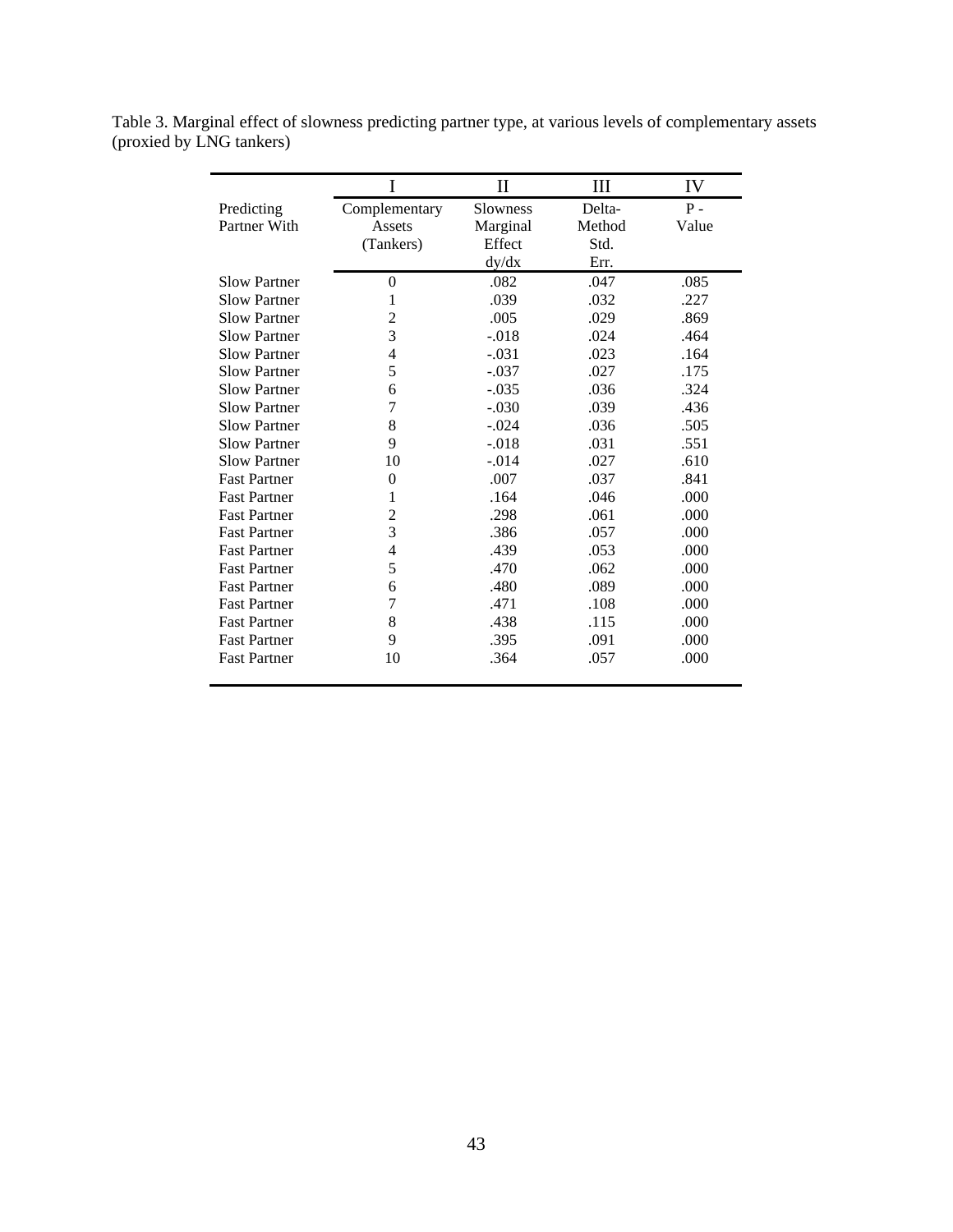| Table 3. Marginal effect of slowness predicting partner type, at various levels of complementary assets |  |
|---------------------------------------------------------------------------------------------------------|--|
| (proxied by LNG tankers)                                                                                |  |

|                     | I              | $\mathbf{I}$ | III    | IV    |
|---------------------|----------------|--------------|--------|-------|
| Predicting          | Complementary  | Slowness     | Delta- | $P -$ |
| Partner With        | Assets         | Marginal     | Method | Value |
|                     | (Tankers)      | Effect       | Std.   |       |
|                     |                | dy/dx        | Err.   |       |
| <b>Slow Partner</b> | $\overline{0}$ | .082         | .047   | .085  |
| <b>Slow Partner</b> | 1              | .039         | .032   | .227  |
| <b>Slow Partner</b> | 2              | .005         | .029   | .869  |
| <b>Slow Partner</b> | 3              | $-.018$      | .024   | .464  |
| <b>Slow Partner</b> | 4              | $-.031$      | .023   | .164  |
| <b>Slow Partner</b> | 5              | $-.037$      | .027   | .175  |
| <b>Slow Partner</b> | 6              | $-.035$      | .036   | .324  |
| <b>Slow Partner</b> | 7              | $-.030$      | .039   | .436  |
| <b>Slow Partner</b> | 8              | $-.024$      | .036   | .505  |
| <b>Slow Partner</b> | 9              | $-.018$      | .031   | .551  |
| <b>Slow Partner</b> | 10             | $-.014$      | .027   | .610  |
| <b>Fast Partner</b> | 0              | .007         | .037   | .841  |
| <b>Fast Partner</b> | 1              | .164         | .046   | .000  |
| <b>Fast Partner</b> | $\overline{c}$ | .298         | .061   | .000  |
| <b>Fast Partner</b> | 3              | .386         | .057   | .000  |
| <b>Fast Partner</b> | 4              | .439         | .053   | .000  |
| <b>Fast Partner</b> | 5              | .470         | .062   | .000  |
| <b>Fast Partner</b> | 6              | .480         | .089   | .000  |
| <b>Fast Partner</b> | 7              | .471         | .108   | .000  |
| <b>Fast Partner</b> | 8              | .438         | .115   | .000  |
| <b>Fast Partner</b> | 9              | .395         | .091   | .000  |
| <b>Fast Partner</b> | 10             | .364         | .057   | .000  |